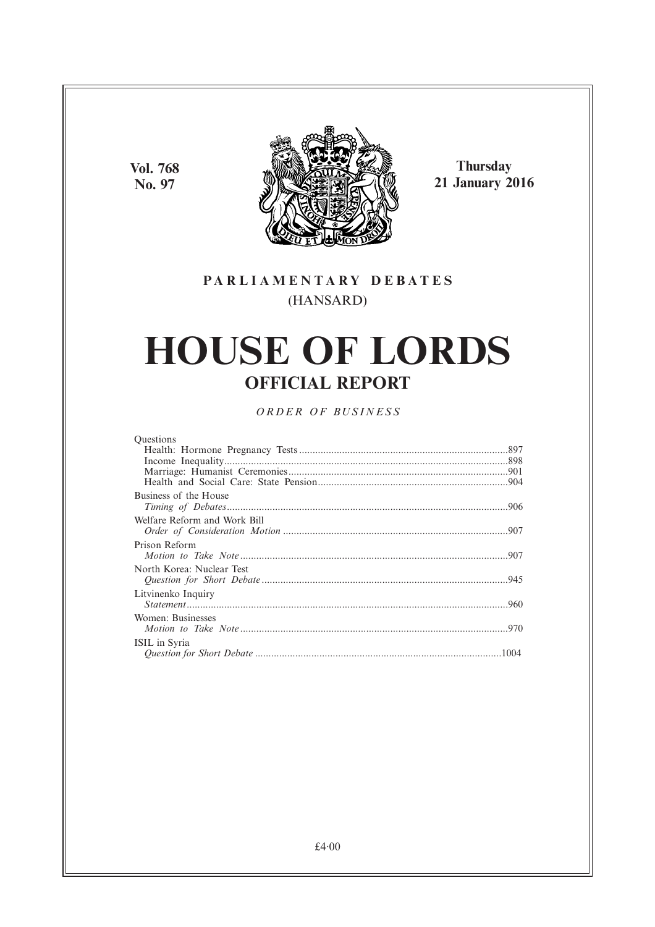**Vol. 768 No. 97**



**Thursday 21 January 2016**

## **PARL IAMENTARY DEBATES** (HANSARD)

# **HOUSE OF LORDS OFFICIAL REPORT**

*ORDER OF BUSINESS*

| <b>Ouestions</b>             |  |
|------------------------------|--|
|                              |  |
|                              |  |
|                              |  |
|                              |  |
| Business of the House        |  |
|                              |  |
| Welfare Reform and Work Bill |  |
|                              |  |
| Prison Reform                |  |
| North Korea: Nuclear Test    |  |
|                              |  |
| Litvinenko Inquiry           |  |
|                              |  |
| Women: Businesses            |  |
|                              |  |
| ISIL in Syria                |  |
|                              |  |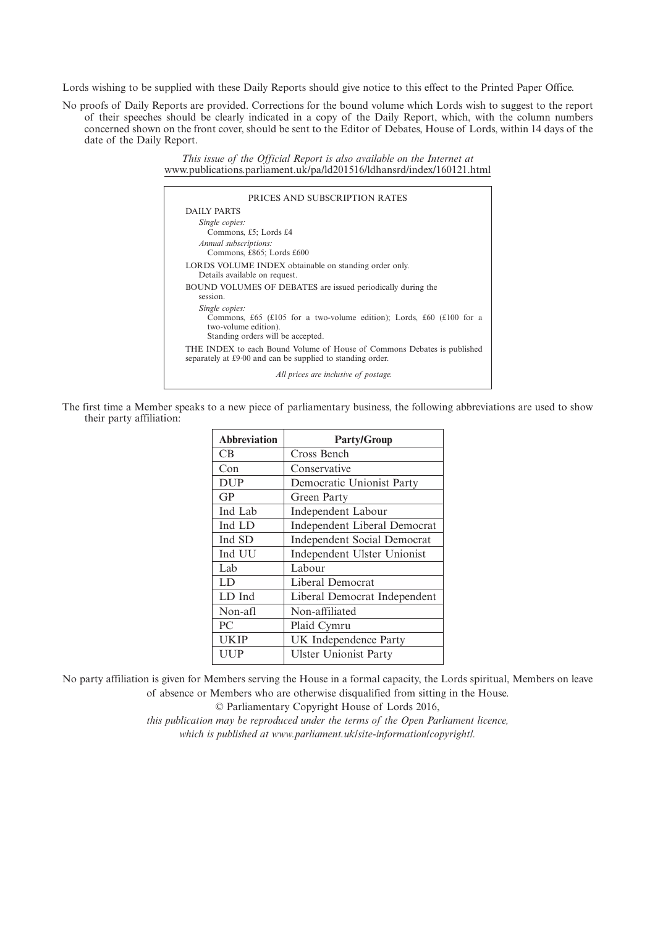Lords wishing to be supplied with these Daily Reports should give notice to this effect to the Printed Paper Office.

No proofs of Daily Reports are provided. Corrections for the bound volume which Lords wish to suggest to the report of their speeches should be clearly indicated in a copy of the Daily Report, which, with the column numbers concerned shown on the front cover, should be sent to the Editor of Debates, House of Lords, within 14 days of the date of the Daily Report.

> *This issue of the Official Report is also available on the Internet at* www.publications.parliament.uk/pa/ld201516/ldhansrd/index/160121.html

| PRICES AND SUBSCRIPTION RATES                                                                                                                       |
|-----------------------------------------------------------------------------------------------------------------------------------------------------|
| DAILY PARTS                                                                                                                                         |
| Single copies:<br>Commons, £5; Lords £4<br>Annual subscriptions:<br>Commons, £865; Lords £600                                                       |
| LORDS VOLUME INDEX obtainable on standing order only.<br>Details available on request.                                                              |
| <b>BOUND VOLUMES OF DEBATES</b> are issued periodically during the<br>session.                                                                      |
| Single copies:<br>Commons, £65 (£105 for a two-volume edition); Lords, £60 (£100 for a<br>two-volume edition).<br>Standing orders will be accepted. |
| THE INDEX to each Bound Volume of House of Commons Debates is published<br>separately at £9.00 and can be supplied to standing order.               |
| All prices are inclusive of postage.                                                                                                                |

The first time a Member speaks to a new piece of parliamentary business, the following abbreviations are used to show their party affiliation:

| <b>Abbreviation</b> | <b>Party/Group</b>                  |
|---------------------|-------------------------------------|
| CB                  | Cross Bench                         |
| Con                 | Conservative                        |
| <b>DUP</b>          | Democratic Unionist Party           |
| GP                  | Green Party                         |
| Ind Lab             | <b>Independent Labour</b>           |
| Ind LD              | <b>Independent Liberal Democrat</b> |
| Ind SD              | <b>Independent Social Democrat</b>  |
| Ind UU              | Independent Ulster Unionist         |
| Lab                 | Labour                              |
| LD                  | Liberal Democrat                    |
| LD Ind              | Liberal Democrat Independent        |
| Non-afl             | Non-affiliated                      |
| PC                  | Plaid Cymru                         |
| <b>UKIP</b>         | UK Independence Party               |
| <b>UUP</b>          | <b>Ulster Unionist Party</b>        |

No party affiliation is given for Members serving the House in a formal capacity, the Lords spiritual, Members on leave of absence or Members who are otherwise disqualified from sitting in the House.

© Parliamentary Copyright House of Lords 2016,

*this publication may be reproduced under the terms of the Open Parliament licence, which is published at www.parliament.uk/site-information/copyright/.*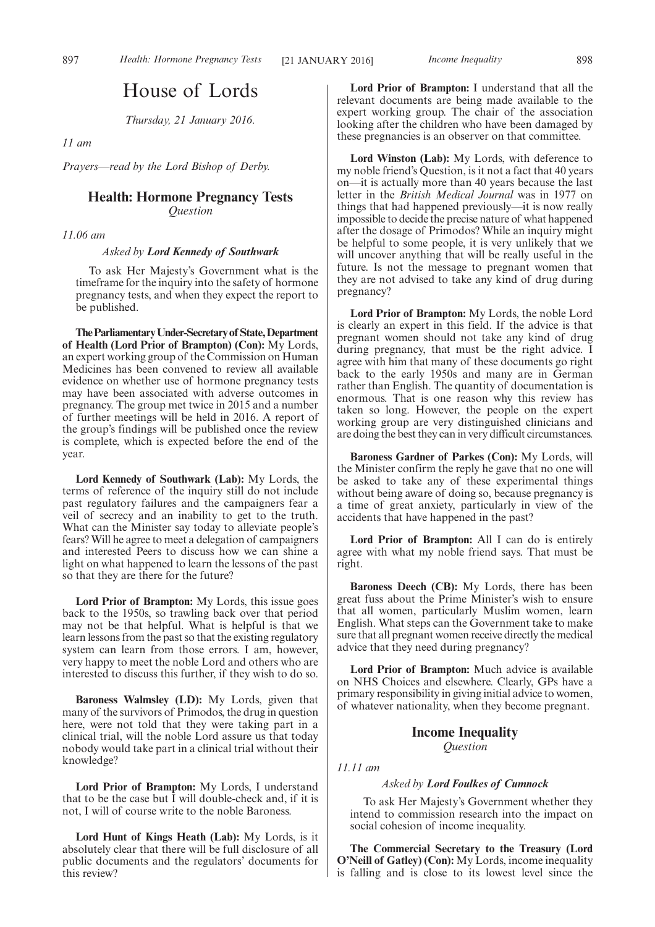# House of Lords

*Thursday, 21 January 2016.*

*11 am*

*Prayers—read by the Lord Bishop of Derby.*

### **Health: Hormone Pregnancy Tests** *Question*

*11.06 am*

### *Asked by Lord Kennedy of Southwark*

To ask Her Majesty's Government what is the timeframe for the inquiry into the safety of hormone pregnancy tests, and when they expect the report to be published.

**TheParliamentaryUnder-Secretaryof State,Department of Health (Lord Prior of Brampton) (Con):** My Lords, an expert working group of the Commission on Human Medicines has been convened to review all available evidence on whether use of hormone pregnancy tests may have been associated with adverse outcomes in pregnancy. The group met twice in 2015 and a number of further meetings will be held in 2016. A report of the group's findings will be published once the review is complete, which is expected before the end of the year.

**Lord Kennedy of Southwark (Lab):** My Lords, the terms of reference of the inquiry still do not include past regulatory failures and the campaigners fear a veil of secrecy and an inability to get to the truth. What can the Minister say today to alleviate people's fears? Will he agree to meet a delegation of campaigners and interested Peers to discuss how we can shine a light on what happened to learn the lessons of the past so that they are there for the future?

**Lord Prior of Brampton:** My Lords, this issue goes back to the 1950s, so trawling back over that period may not be that helpful. What is helpful is that we learn lessons from the past so that the existing regulatory system can learn from those errors. I am, however, very happy to meet the noble Lord and others who are interested to discuss this further, if they wish to do so.

**Baroness Walmsley (LD):** My Lords, given that many of the survivors of Primodos, the drug in question here, were not told that they were taking part in a clinical trial, will the noble Lord assure us that today nobody would take part in a clinical trial without their knowledge?

**Lord Prior of Brampton:** My Lords, I understand that to be the case but I will double-check and, if it is not, I will of course write to the noble Baroness.

**Lord Hunt of Kings Heath (Lab):** My Lords, is it absolutely clear that there will be full disclosure of all public documents and the regulators' documents for this review?

**Lord Prior of Brampton:** I understand that all the relevant documents are being made available to the expert working group. The chair of the association looking after the children who have been damaged by these pregnancies is an observer on that committee.

**Lord Winston (Lab):** My Lords, with deference to my noble friend's Question, is it not a fact that 40 years on—it is actually more than 40 years because the last letter in the *British Medical Journal* was in 1977 on things that had happened previously—it is now really impossible to decide the precise nature of what happened after the dosage of Primodos? While an inquiry might be helpful to some people, it is very unlikely that we will uncover anything that will be really useful in the future. Is not the message to pregnant women that they are not advised to take any kind of drug during pregnancy?

**Lord Prior of Brampton:** My Lords, the noble Lord is clearly an expert in this field. If the advice is that pregnant women should not take any kind of drug during pregnancy, that must be the right advice. I agree with him that many of these documents go right back to the early 1950s and many are in German rather than English. The quantity of documentation is enormous. That is one reason why this review has taken so long. However, the people on the expert working group are very distinguished clinicians and are doing the best they can in very difficult circumstances.

**Baroness Gardner of Parkes (Con):** My Lords, will the Minister confirm the reply he gave that no one will be asked to take any of these experimental things without being aware of doing so, because pregnancy is a time of great anxiety, particularly in view of the accidents that have happened in the past?

**Lord Prior of Brampton:** All I can do is entirely agree with what my noble friend says. That must be right.

**Baroness Deech (CB):** My Lords, there has been great fuss about the Prime Minister's wish to ensure that all women, particularly Muslim women, learn English. What steps can the Government take to make sure that all pregnant women receive directly the medical advice that they need during pregnancy?

**Lord Prior of Brampton:** Much advice is available on NHS Choices and elsewhere. Clearly, GPs have a primary responsibility in giving initial advice to women, of whatever nationality, when they become pregnant.

### **Income Inequality** *Question*

*11.11 am*

### *Asked by Lord Foulkes of Cumnock*

To ask Her Majesty's Government whether they intend to commission research into the impact on social cohesion of income inequality.

**The Commercial Secretary to the Treasury (Lord O'Neill of Gatley) (Con):** My Lords, income inequality is falling and is close to its lowest level since the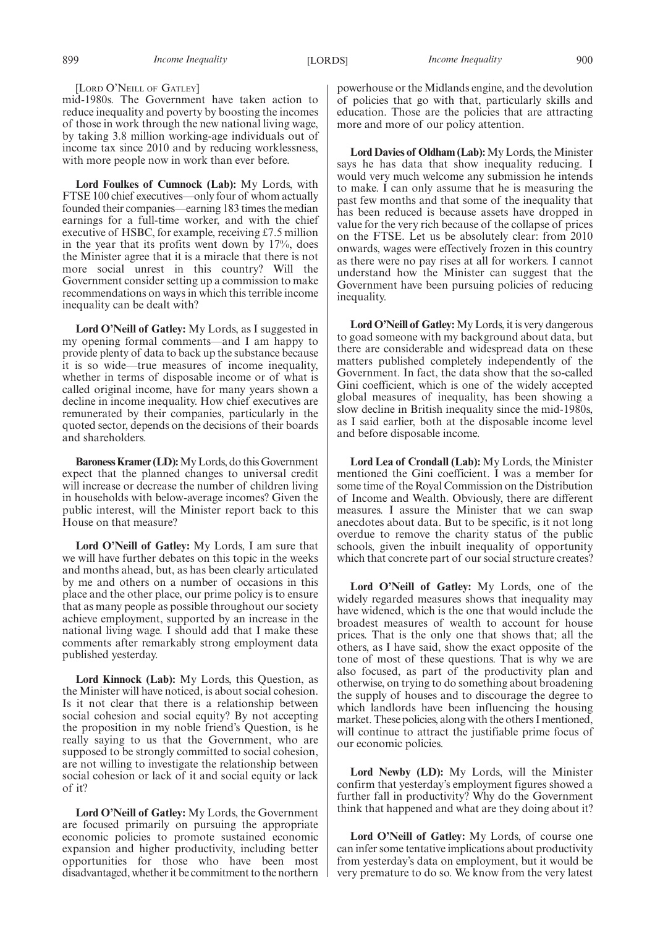#### [LORD O'NEILL OF GATLEY]

mid-1980s. The Government have taken action to reduce inequality and poverty by boosting the incomes of those in work through the new national living wage, by taking 3.8 million working-age individuals out of income tax since 2010 and by reducing worklessness, with more people now in work than ever before.

**Lord Foulkes of Cumnock (Lab):** My Lords, with FTSE 100 chief executives—only four of whom actually founded their companies—earning 183 times the median earnings for a full-time worker, and with the chief executive of HSBC, for example, receiving £7.5 million in the year that its profits went down by 17%, does the Minister agree that it is a miracle that there is not more social unrest in this country? Will the Government consider setting up a commission to make recommendations on ways in which this terrible income inequality can be dealt with?

**Lord O'Neill of Gatley:** My Lords, as I suggested in my opening formal comments—and I am happy to provide plenty of data to back up the substance because it is so wide—true measures of income inequality, whether in terms of disposable income or of what is called original income, have for many years shown a decline in income inequality. How chief executives are remunerated by their companies, particularly in the quoted sector, depends on the decisions of their boards and shareholders.

**Baroness Kramer (LD):**My Lords, do this Government expect that the planned changes to universal credit will increase or decrease the number of children living in households with below-average incomes? Given the public interest, will the Minister report back to this House on that measure?

**Lord O'Neill of Gatley:** My Lords, I am sure that we will have further debates on this topic in the weeks and months ahead, but, as has been clearly articulated by me and others on a number of occasions in this place and the other place, our prime policy is to ensure that as many people as possible throughout our society achieve employment, supported by an increase in the national living wage. I should add that I make these comments after remarkably strong employment data published yesterday.

**Lord Kinnock (Lab):** My Lords, this Question, as the Minister will have noticed, is about social cohesion. Is it not clear that there is a relationship between social cohesion and social equity? By not accepting the proposition in my noble friend's Question, is he really saying to us that the Government, who are supposed to be strongly committed to social cohesion, are not willing to investigate the relationship between social cohesion or lack of it and social equity or lack of it?

**Lord O'Neill of Gatley:** My Lords, the Government are focused primarily on pursuing the appropriate economic policies to promote sustained economic expansion and higher productivity, including better opportunities for those who have been most disadvantaged, whether it be commitment to the northern powerhouse or the Midlands engine, and the devolution of policies that go with that, particularly skills and education. Those are the policies that are attracting more and more of our policy attention.

Lord Davies of Oldham (Lab): My Lords, the Minister says he has data that show inequality reducing. I would very much welcome any submission he intends to make. I can only assume that he is measuring the past few months and that some of the inequality that has been reduced is because assets have dropped in value for the very rich because of the collapse of prices on the FTSE. Let us be absolutely clear: from 2010 onwards, wages were effectively frozen in this country as there were no pay rises at all for workers. I cannot understand how the Minister can suggest that the Government have been pursuing policies of reducing inequality.

**Lord O'Neill of Gatley:**My Lords, it is very dangerous to goad someone with my background about data, but there are considerable and widespread data on these matters published completely independently of the Government. In fact, the data show that the so-called Gini coefficient, which is one of the widely accepted global measures of inequality, has been showing a slow decline in British inequality since the mid-1980s, as I said earlier, both at the disposable income level and before disposable income.

**Lord Lea of Crondall (Lab):** My Lords, the Minister mentioned the Gini coefficient. I was a member for some time of the Royal Commission on the Distribution of Income and Wealth. Obviously, there are different measures. I assure the Minister that we can swap anecdotes about data. But to be specific, is it not long overdue to remove the charity status of the public schools, given the inbuilt inequality of opportunity which that concrete part of our social structure creates?

**Lord O'Neill of Gatley:** My Lords, one of the widely regarded measures shows that inequality may have widened, which is the one that would include the broadest measures of wealth to account for house prices. That is the only one that shows that; all the others, as I have said, show the exact opposite of the tone of most of these questions. That is why we are also focused, as part of the productivity plan and otherwise, on trying to do something about broadening the supply of houses and to discourage the degree to which landlords have been influencing the housing market. These policies, along with the others I mentioned, will continue to attract the justifiable prime focus of our economic policies.

**Lord Newby (LD):** My Lords, will the Minister confirm that yesterday's employment figures showed a further fall in productivity? Why do the Government think that happened and what are they doing about it?

**Lord O'Neill of Gatley:** My Lords, of course one can infer some tentative implications about productivity from yesterday's data on employment, but it would be very premature to do so. We know from the very latest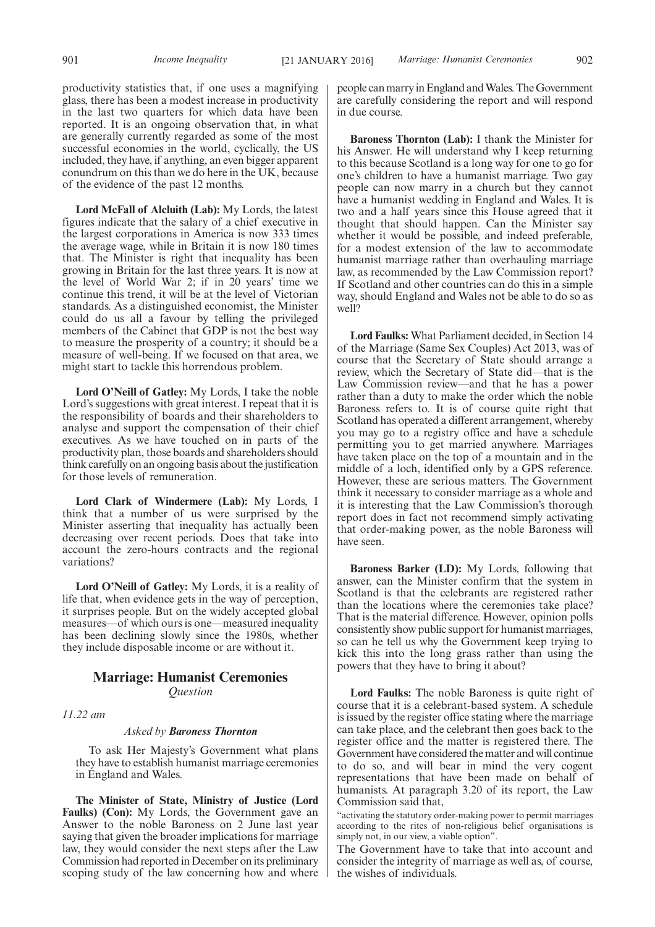productivity statistics that, if one uses a magnifying glass, there has been a modest increase in productivity in the last two quarters for which data have been reported. It is an ongoing observation that, in what are generally currently regarded as some of the most successful economies in the world, cyclically, the US included, they have, if anything, an even bigger apparent conundrum on this than we do here in the UK, because of the evidence of the past 12 months.

**Lord McFall of Alcluith (Lab):** My Lords, the latest figures indicate that the salary of a chief executive in the largest corporations in America is now 333 times the average wage, while in Britain it is now 180 times that. The Minister is right that inequality has been growing in Britain for the last three years. It is now at the level of World War 2; if in 20 years' time we continue this trend, it will be at the level of Victorian standards. As a distinguished economist, the Minister could do us all a favour by telling the privileged members of the Cabinet that GDP is not the best way to measure the prosperity of a country; it should be a measure of well-being. If we focused on that area, we might start to tackle this horrendous problem.

**Lord O'Neill of Gatley:** My Lords, I take the noble Lord's suggestions with great interest. I repeat that it is the responsibility of boards and their shareholders to analyse and support the compensation of their chief executives. As we have touched on in parts of the productivity plan, those boards and shareholders should think carefully on an ongoing basis about the justification for those levels of remuneration.

**Lord Clark of Windermere (Lab):** My Lords, I think that a number of us were surprised by the Minister asserting that inequality has actually been decreasing over recent periods. Does that take into account the zero-hours contracts and the regional variations?

**Lord O'Neill of Gatley:** My Lords, it is a reality of life that, when evidence gets in the way of perception, it surprises people. But on the widely accepted global measures—of which ours is one—measured inequality has been declining slowly since the 1980s, whether they include disposable income or are without it.

### **Marriage: Humanist Ceremonies** *Question*

*11.22 am*

### *Asked by Baroness Thornton*

To ask Her Majesty's Government what plans they have to establish humanist marriage ceremonies in England and Wales.

**The Minister of State, Ministry of Justice (Lord Faulks) (Con):** My Lords, the Government gave an Answer to the noble Baroness on 2 June last year saying that given the broader implications for marriage law, they would consider the next steps after the Law Commission had reported in December on its preliminary scoping study of the law concerning how and where people can marry in England andWales. The Government are carefully considering the report and will respond in due course.

**Baroness Thornton (Lab):** I thank the Minister for his Answer. He will understand why I keep returning to this because Scotland is a long way for one to go for one's children to have a humanist marriage. Two gay people can now marry in a church but they cannot have a humanist wedding in England and Wales. It is two and a half years since this House agreed that it thought that should happen. Can the Minister say whether it would be possible, and indeed preferable, for a modest extension of the law to accommodate humanist marriage rather than overhauling marriage law, as recommended by the Law Commission report? If Scotland and other countries can do this in a simple way, should England and Wales not be able to do so as well?

**Lord Faulks:** What Parliament decided, in Section 14 of the Marriage (Same Sex Couples) Act 2013, was of course that the Secretary of State should arrange a review, which the Secretary of State did—that is the Law Commission review—and that he has a power rather than a duty to make the order which the noble Baroness refers to. It is of course quite right that Scotland has operated a different arrangement, whereby you may go to a registry office and have a schedule permitting you to get married anywhere. Marriages have taken place on the top of a mountain and in the middle of a loch, identified only by a GPS reference. However, these are serious matters. The Government think it necessary to consider marriage as a whole and it is interesting that the Law Commission's thorough report does in fact not recommend simply activating that order-making power, as the noble Baroness will have seen.

**Baroness Barker (LD):** My Lords, following that answer, can the Minister confirm that the system in Scotland is that the celebrants are registered rather than the locations where the ceremonies take place? That is the material difference. However, opinion polls consistently show public support for humanist marriages, so can he tell us why the Government keep trying to kick this into the long grass rather than using the powers that they have to bring it about?

**Lord Faulks:** The noble Baroness is quite right of course that it is a celebrant-based system. A schedule is issued by the register office stating where the marriage can take place, and the celebrant then goes back to the register office and the matter is registered there. The Government have considered the matter and will continue to do so, and will bear in mind the very cogent representations that have been made on behalf of humanists. At paragraph 3.20 of its report, the Law Commission said that,

"activating the statutory order-making power to permit marriages according to the rites of non-religious belief organisations is simply not, in our view, a viable option".

The Government have to take that into account and consider the integrity of marriage as well as, of course, the wishes of individuals.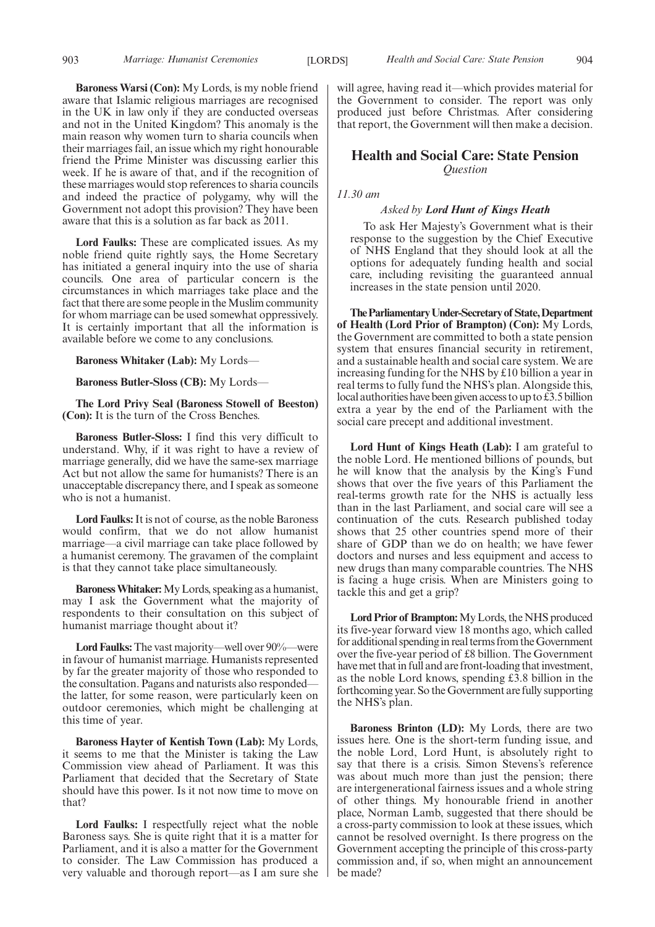**Baroness Warsi (Con):** My Lords, is my noble friend aware that Islamic religious marriages are recognised in the UK in law only if they are conducted overseas and not in the United Kingdom? This anomaly is the main reason why women turn to sharia councils when their marriages fail, an issue which my right honourable friend the Prime Minister was discussing earlier this week. If he is aware of that, and if the recognition of these marriages would stop references to sharia councils and indeed the practice of polygamy, why will the Government not adopt this provision? They have been aware that this is a solution as far back as 2011.

**Lord Faulks:** These are complicated issues. As my noble friend quite rightly says, the Home Secretary has initiated a general inquiry into the use of sharia councils. One area of particular concern is the circumstances in which marriages take place and the fact that there are some people in the Muslim community for whom marriage can be used somewhat oppressively. It is certainly important that all the information is available before we come to any conclusions.

**Baroness Whitaker (Lab):** My Lords—

**Baroness Butler-Sloss (CB):** My Lords—

**The Lord Privy Seal (Baroness Stowell of Beeston) (Con):** It is the turn of the Cross Benches.

**Baroness Butler-Sloss:** I find this very difficult to understand. Why, if it was right to have a review of marriage generally, did we have the same-sex marriage Act but not allow the same for humanists? There is an unacceptable discrepancy there, and I speak as someone who is not a humanist.

**Lord Faulks:**It is not of course, as the noble Baroness would confirm, that we do not allow humanist marriage—a civil marriage can take place followed by a humanist ceremony. The gravamen of the complaint is that they cannot take place simultaneously.

**BaronessWhitaker:**My Lords, speaking as a humanist, may I ask the Government what the majority of respondents to their consultation on this subject of humanist marriage thought about it?

**Lord Faulks:**The vast majority—well over 90%—were in favour of humanist marriage. Humanists represented by far the greater majority of those who responded to the consultation. Pagans and naturists also responded the latter, for some reason, were particularly keen on outdoor ceremonies, which might be challenging at this time of year.

**Baroness Hayter of Kentish Town (Lab):** My Lords, it seems to me that the Minister is taking the Law Commission view ahead of Parliament. It was this Parliament that decided that the Secretary of State should have this power. Is it not now time to move on that?

**Lord Faulks:** I respectfully reject what the noble Baroness says. She is quite right that it is a matter for Parliament, and it is also a matter for the Government to consider. The Law Commission has produced a very valuable and thorough report—as I am sure she will agree, having read it—which provides material for the Government to consider. The report was only produced just before Christmas. After considering that report, the Government will then make a decision.

### **Health and Social Care: State Pension** *Question*

*11.30 am*

### *Asked by Lord Hunt of Kings Heath*

To ask Her Majesty's Government what is their response to the suggestion by the Chief Executive of NHS England that they should look at all the options for adequately funding health and social care, including revisiting the guaranteed annual increases in the state pension until 2020.

**TheParliamentaryUnder-Secretaryof State,Department of Health (Lord Prior of Brampton) (Con):** My Lords, the Government are committed to both a state pension system that ensures financial security in retirement, and a sustainable health and social care system. We are increasing funding for the NHS by £10 billion a year in real terms to fully fund the NHS's plan. Alongside this, local authorities have been given access to up to £3.5 billion extra a year by the end of the Parliament with the social care precept and additional investment.

**Lord Hunt of Kings Heath (Lab):** I am grateful to the noble Lord. He mentioned billions of pounds, but he will know that the analysis by the King's Fund shows that over the five years of this Parliament the real-terms growth rate for the NHS is actually less than in the last Parliament, and social care will see a continuation of the cuts. Research published today shows that 25 other countries spend more of their share of GDP than we do on health; we have fewer doctors and nurses and less equipment and access to new drugs than many comparable countries. The NHS is facing a huge crisis. When are Ministers going to tackle this and get a grip?

**Lord Prior of Brampton:**My Lords, the NHS produced its five-year forward view 18 months ago, which called for additional spending in real terms from the Government over the five-year period of £8 billion. The Government have met that in full and are front-loading that investment, as the noble Lord knows, spending £3.8 billion in the forthcoming year. So the Government are fully supporting the NHS's plan.

**Baroness Brinton (LD):** My Lords, there are two issues here. One is the short-term funding issue, and the noble Lord, Lord Hunt, is absolutely right to say that there is a crisis. Simon Stevens's reference was about much more than just the pension; there are intergenerational fairness issues and a whole string of other things. My honourable friend in another place, Norman Lamb, suggested that there should be a cross-party commission to look at these issues, which cannot be resolved overnight. Is there progress on the Government accepting the principle of this cross-party commission and, if so, when might an announcement be made?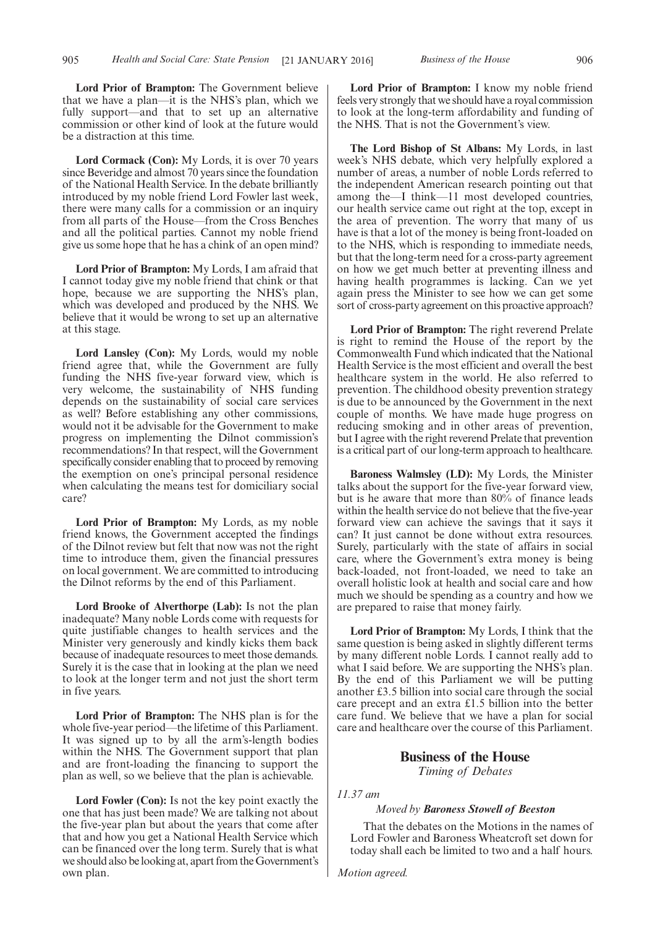**Lord Prior of Brampton:** The Government believe that we have a plan—it is the NHS's plan, which we fully support—and that to set up an alternative commission or other kind of look at the future would be a distraction at this time.

**Lord Cormack (Con):** My Lords, it is over 70 years since Beveridge and almost 70 years since the foundation of the National Health Service. In the debate brilliantly introduced by my noble friend Lord Fowler last week, there were many calls for a commission or an inquiry from all parts of the House—from the Cross Benches and all the political parties. Cannot my noble friend give us some hope that he has a chink of an open mind?

**Lord Prior of Brampton:** My Lords, I am afraid that I cannot today give my noble friend that chink or that hope, because we are supporting the NHS's plan, which was developed and produced by the NHS. We believe that it would be wrong to set up an alternative at this stage.

**Lord Lansley (Con):** My Lords, would my noble friend agree that, while the Government are fully funding the NHS five-year forward view, which is very welcome, the sustainability of NHS funding depends on the sustainability of social care services as well? Before establishing any other commissions, would not it be advisable for the Government to make progress on implementing the Dilnot commission's recommendations? In that respect, will the Government specifically consider enabling that to proceed by removing the exemption on one's principal personal residence when calculating the means test for domiciliary social care?

**Lord Prior of Brampton:** My Lords, as my noble friend knows, the Government accepted the findings of the Dilnot review but felt that now was not the right time to introduce them, given the financial pressures on local government. We are committed to introducing the Dilnot reforms by the end of this Parliament.

**Lord Brooke of Alverthorpe (Lab):** Is not the plan inadequate? Many noble Lords come with requests for quite justifiable changes to health services and the Minister very generously and kindly kicks them back because of inadequate resources to meet those demands. Surely it is the case that in looking at the plan we need to look at the longer term and not just the short term in five years.

**Lord Prior of Brampton:** The NHS plan is for the whole five-year period—the lifetime of this Parliament. It was signed up to by all the arm's-length bodies within the NHS. The Government support that plan and are front-loading the financing to support the plan as well, so we believe that the plan is achievable.

**Lord Fowler (Con):** Is not the key point exactly the one that has just been made? We are talking not about the five-year plan but about the years that come after that and how you get a National Health Service which can be financed over the long term. Surely that is what we should also be looking at, apart from the Government's own plan.

**Lord Prior of Brampton:** I know my noble friend feels very strongly that we should have a royal commission to look at the long-term affordability and funding of the NHS. That is not the Government's view.

**The Lord Bishop of St Albans:** My Lords, in last week's NHS debate, which very helpfully explored a number of areas, a number of noble Lords referred to the independent American research pointing out that among the—I think—11 most developed countries, our health service came out right at the top, except in the area of prevention. The worry that many of us have is that a lot of the money is being front-loaded on to the NHS, which is responding to immediate needs, but that the long-term need for a cross-party agreement on how we get much better at preventing illness and having health programmes is lacking. Can we yet again press the Minister to see how we can get some sort of cross-party agreement on this proactive approach?

**Lord Prior of Brampton:** The right reverend Prelate is right to remind the House of the report by the Commonwealth Fund which indicated that the National Health Service is the most efficient and overall the best healthcare system in the world. He also referred to prevention. The childhood obesity prevention strategy is due to be announced by the Government in the next couple of months. We have made huge progress on reducing smoking and in other areas of prevention, but I agree with the right reverend Prelate that prevention is a critical part of our long-term approach to healthcare.

**Baroness Walmsley (LD):** My Lords, the Minister talks about the support for the five-year forward view, but is he aware that more than 80% of finance leads within the health service do not believe that the five-year forward view can achieve the savings that it says it can? It just cannot be done without extra resources. Surely, particularly with the state of affairs in social care, where the Government's extra money is being back-loaded, not front-loaded, we need to take an overall holistic look at health and social care and how much we should be spending as a country and how we are prepared to raise that money fairly.

**Lord Prior of Brampton:** My Lords, I think that the same question is being asked in slightly different terms by many different noble Lords. I cannot really add to what I said before. We are supporting the NHS's plan. By the end of this Parliament we will be putting another £3.5 billion into social care through the social care precept and an extra £1.5 billion into the better care fund. We believe that we have a plan for social care and healthcare over the course of this Parliament.

### **Business of the House** *Timing of Debates*

*11.37 am*

### *Moved by Baroness Stowell of Beeston*

That the debates on the Motions in the names of Lord Fowler and Baroness Wheatcroft set down for today shall each be limited to two and a half hours.

*Motion agreed.*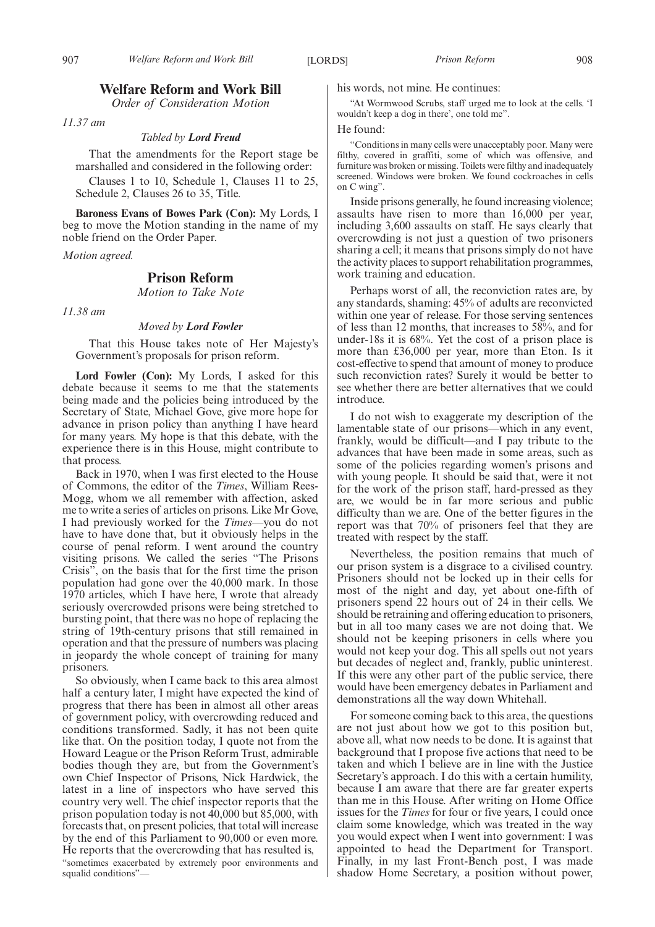### **Welfare Reform and Work Bill**

*Order of Consideration Motion*

*11.37 am*

### *Tabled by Lord Freud*

That the amendments for the Report stage be marshalled and considered in the following order:

Clauses 1 to 10, Schedule 1, Clauses 11 to 25, Schedule 2, Clauses 26 to 35, Title.

**Baroness Evans of Bowes Park (Con):** My Lords, I beg to move the Motion standing in the name of my noble friend on the Order Paper.

*Motion agreed.*

### **Prison Reform**

*Motion to Take Note*

*11.38 am*

#### *Moved by Lord Fowler*

That this House takes note of Her Majesty's Government's proposals for prison reform.

**Lord Fowler (Con):** My Lords, I asked for this debate because it seems to me that the statements being made and the policies being introduced by the Secretary of State, Michael Gove, give more hope for advance in prison policy than anything I have heard for many years. My hope is that this debate, with the experience there is in this House, might contribute to that process.

Back in 1970, when I was first elected to the House of Commons, the editor of the *Times*, William Rees-Mogg, whom we all remember with affection, asked me to write a series of articles on prisons. Like Mr Gove, I had previously worked for the *Times*—you do not have to have done that, but it obviously helps in the course of penal reform. I went around the country visiting prisons. We called the series "The Prisons Crisis", on the basis that for the first time the prison population had gone over the 40,000 mark. In those 1970 articles, which I have here, I wrote that already seriously overcrowded prisons were being stretched to bursting point, that there was no hope of replacing the string of 19th-century prisons that still remained in operation and that the pressure of numbers was placing in jeopardy the whole concept of training for many prisoners.

So obviously, when I came back to this area almost half a century later, I might have expected the kind of progress that there has been in almost all other areas of government policy, with overcrowding reduced and conditions transformed. Sadly, it has not been quite like that. On the position today, I quote not from the Howard League or the Prison Reform Trust, admirable bodies though they are, but from the Government's own Chief Inspector of Prisons, Nick Hardwick, the latest in a line of inspectors who have served this country very well. The chief inspector reports that the prison population today is not 40,000 but 85,000, with forecasts that, on present policies, that total will increase by the end of this Parliament to 90,000 or even more. He reports that the overcrowding that has resulted is,

"sometimes exacerbated by extremely poor environments and squalid conditions"—

his words, not mine. He continues:

"At Wormwood Scrubs, staff urged me to look at the cells. 'I wouldn't keep a dog in there', one told me".

#### He found:

"Conditions in many cells were unacceptably poor. Many were filthy, covered in graffiti, some of which was offensive, and furniture was broken or missing. Toilets were filthy and inadequately screened. Windows were broken. We found cockroaches in cells on C wing".

Inside prisons generally, he found increasing violence; assaults have risen to more than 16,000 per year, including 3,600 assaults on staff. He says clearly that overcrowding is not just a question of two prisoners sharing a cell; it means that prisons simply do not have the activity places to support rehabilitation programmes, work training and education.

Perhaps worst of all, the reconviction rates are, by any standards, shaming: 45% of adults are reconvicted within one year of release. For those serving sentences of less than 12 months, that increases to 58%, and for under-18s it is 68%. Yet the cost of a prison place is more than £36,000 per year, more than Eton. Is it cost-effective to spend that amount of money to produce such reconviction rates? Surely it would be better to see whether there are better alternatives that we could introduce.

I do not wish to exaggerate my description of the lamentable state of our prisons—which in any event, frankly, would be difficult—and I pay tribute to the advances that have been made in some areas, such as some of the policies regarding women's prisons and with young people. It should be said that, were it not for the work of the prison staff, hard-pressed as they are, we would be in far more serious and public difficulty than we are. One of the better figures in the report was that 70% of prisoners feel that they are treated with respect by the staff.

Nevertheless, the position remains that much of our prison system is a disgrace to a civilised country. Prisoners should not be locked up in their cells for most of the night and day, yet about one-fifth of prisoners spend 22 hours out of 24 in their cells. We should be retraining and offering education to prisoners, but in all too many cases we are not doing that. We should not be keeping prisoners in cells where you would not keep your dog. This all spells out not years but decades of neglect and, frankly, public uninterest. If this were any other part of the public service, there would have been emergency debates in Parliament and demonstrations all the way down Whitehall.

For someone coming back to this area, the questions are not just about how we got to this position but, above all, what now needs to be done. It is against that background that I propose five actions that need to be taken and which I believe are in line with the Justice Secretary's approach. I do this with a certain humility, because I am aware that there are far greater experts than me in this House. After writing on Home Office issues for the *Times* for four or five years, I could once claim some knowledge, which was treated in the way you would expect when I went into government: I was appointed to head the Department for Transport. Finally, in my last Front-Bench post, I was made shadow Home Secretary, a position without power,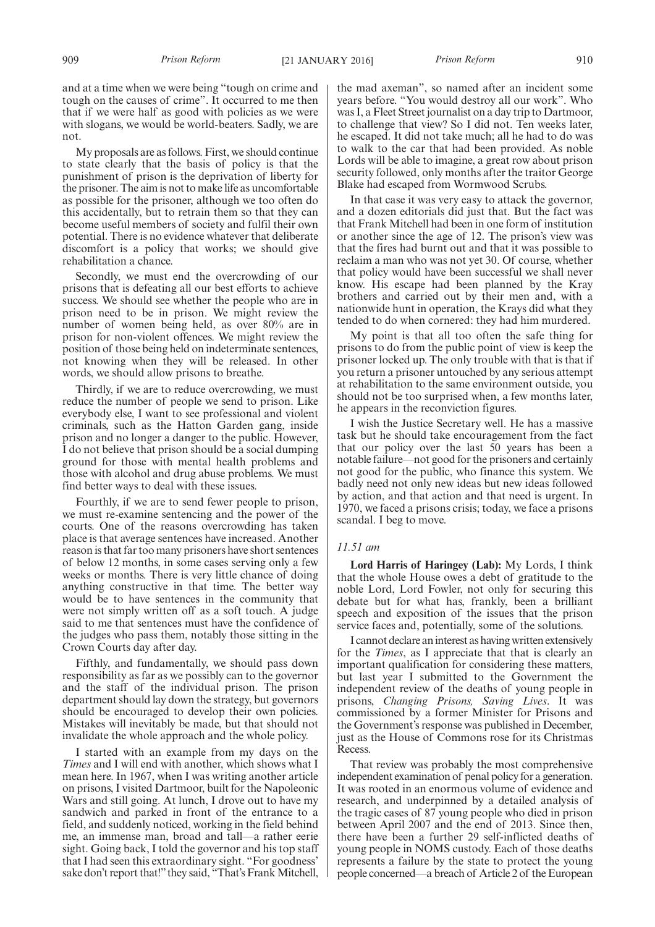and at a time when we were being "tough on crime and tough on the causes of crime". It occurred to me then that if we were half as good with policies as we were with slogans, we would be world-beaters. Sadly, we are not.

My proposals are as follows. First, we should continue to state clearly that the basis of policy is that the punishment of prison is the deprivation of liberty for the prisoner. The aim is not to make life as uncomfortable as possible for the prisoner, although we too often do this accidentally, but to retrain them so that they can become useful members of society and fulfil their own potential. There is no evidence whatever that deliberate discomfort is a policy that works; we should give rehabilitation a chance.

Secondly, we must end the overcrowding of our prisons that is defeating all our best efforts to achieve success. We should see whether the people who are in prison need to be in prison. We might review the number of women being held, as over 80% are in prison for non-violent offences. We might review the position of those being held on indeterminate sentences, not knowing when they will be released. In other words, we should allow prisons to breathe.

Thirdly, if we are to reduce overcrowding, we must reduce the number of people we send to prison. Like everybody else, I want to see professional and violent criminals, such as the Hatton Garden gang, inside prison and no longer a danger to the public. However, I do not believe that prison should be a social dumping ground for those with mental health problems and those with alcohol and drug abuse problems. We must find better ways to deal with these issues.

Fourthly, if we are to send fewer people to prison, we must re-examine sentencing and the power of the courts. One of the reasons overcrowding has taken place is that average sentences have increased. Another reason is that far too many prisoners have short sentences of below 12 months, in some cases serving only a few weeks or months. There is very little chance of doing anything constructive in that time. The better way would be to have sentences in the community that were not simply written off as a soft touch. A judge said to me that sentences must have the confidence of the judges who pass them, notably those sitting in the Crown Courts day after day.

Fifthly, and fundamentally, we should pass down responsibility as far as we possibly can to the governor and the staff of the individual prison. The prison department should lay down the strategy, but governors should be encouraged to develop their own policies. Mistakes will inevitably be made, but that should not invalidate the whole approach and the whole policy.

I started with an example from my days on the *Times* and I will end with another, which shows what I mean here. In 1967, when I was writing another article on prisons, I visited Dartmoor, built for the Napoleonic Wars and still going. At lunch, I drove out to have my sandwich and parked in front of the entrance to a field, and suddenly noticed, working in the field behind me, an immense man, broad and tall—a rather eerie sight. Going back, I told the governor and his top staff that I had seen this extraordinary sight. "For goodness' sake don't report that!" they said, "That's Frank Mitchell, the mad axeman", so named after an incident some years before. "You would destroy all our work". Who was I, a Fleet Street journalist on a day trip to Dartmoor, to challenge that view? So I did not. Ten weeks later, he escaped. It did not take much; all he had to do was to walk to the car that had been provided. As noble Lords will be able to imagine, a great row about prison security followed, only months after the traitor George Blake had escaped from Wormwood Scrubs.

In that case it was very easy to attack the governor, and a dozen editorials did just that. But the fact was that Frank Mitchell had been in one form of institution or another since the age of 12. The prison's view was that the fires had burnt out and that it was possible to reclaim a man who was not yet 30. Of course, whether that policy would have been successful we shall never know. His escape had been planned by the Kray brothers and carried out by their men and, with a nationwide hunt in operation, the Krays did what they tended to do when cornered: they had him murdered.

My point is that all too often the safe thing for prisons to do from the public point of view is keep the prisoner locked up. The only trouble with that is that if you return a prisoner untouched by any serious attempt at rehabilitation to the same environment outside, you should not be too surprised when, a few months later, he appears in the reconviction figures.

I wish the Justice Secretary well. He has a massive task but he should take encouragement from the fact that our policy over the last 50 years has been a notable failure—not good for the prisoners and certainly not good for the public, who finance this system. We badly need not only new ideas but new ideas followed by action, and that action and that need is urgent. In 1970, we faced a prisons crisis; today, we face a prisons scandal. I beg to move.

### *11.51 am*

**Lord Harris of Haringey (Lab):** My Lords, I think that the whole House owes a debt of gratitude to the noble Lord, Lord Fowler, not only for securing this debate but for what has, frankly, been a brilliant speech and exposition of the issues that the prison service faces and, potentially, some of the solutions.

I cannot declare an interest as having written extensively for the *Times*, as I appreciate that that is clearly an important qualification for considering these matters, but last year I submitted to the Government the independent review of the deaths of young people in prisons, *Changing Prisons, Saving Lives*. It was commissioned by a former Minister for Prisons and the Government's response was published in December, just as the House of Commons rose for its Christmas Recess.

That review was probably the most comprehensive independent examination of penal policy for a generation. It was rooted in an enormous volume of evidence and research, and underpinned by a detailed analysis of the tragic cases of 87 young people who died in prison between April 2007 and the end of 2013. Since then, there have been a further 29 self-inflicted deaths of young people in NOMS custody. Each of those deaths represents a failure by the state to protect the young people concerned—a breach of Article 2 of the European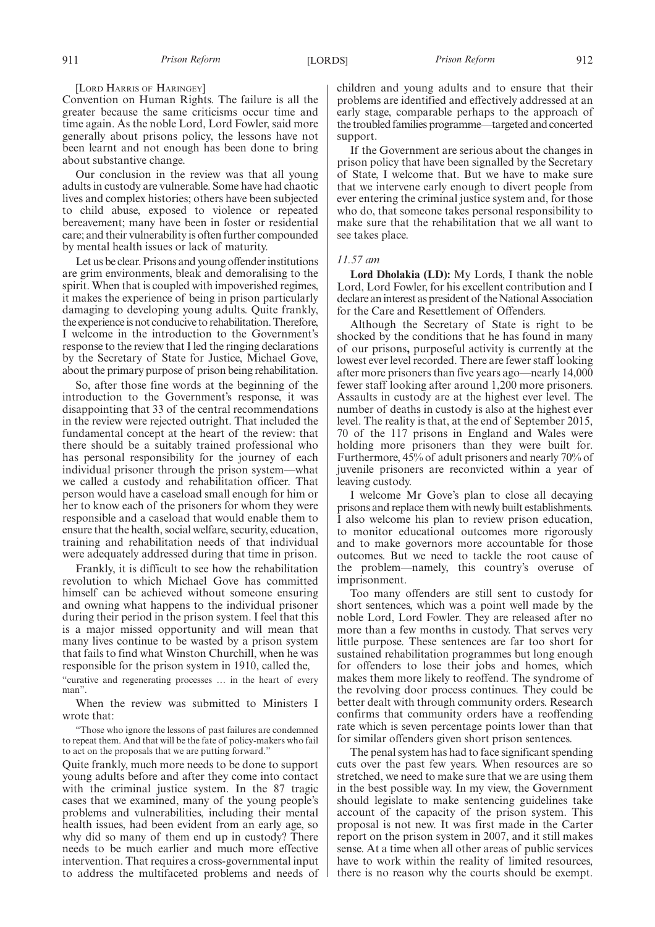### [LORD HARRIS OF HARINGEY]

Convention on Human Rights. The failure is all the greater because the same criticisms occur time and time again. As the noble Lord, Lord Fowler, said more generally about prisons policy, the lessons have not been learnt and not enough has been done to bring about substantive change.

Our conclusion in the review was that all young adults in custody are vulnerable. Some have had chaotic lives and complex histories; others have been subjected to child abuse, exposed to violence or repeated bereavement; many have been in foster or residential care; and their vulnerability is often further compounded by mental health issues or lack of maturity.

Let us be clear. Prisons and young offender institutions are grim environments, bleak and demoralising to the spirit. When that is coupled with impoverished regimes, it makes the experience of being in prison particularly damaging to developing young adults. Quite frankly, the experience is not conducive to rehabilitation. Therefore, I welcome in the introduction to the Government's response to the review that I led the ringing declarations by the Secretary of State for Justice, Michael Gove, about the primary purpose of prison being rehabilitation.

So, after those fine words at the beginning of the introduction to the Government's response, it was disappointing that 33 of the central recommendations in the review were rejected outright. That included the fundamental concept at the heart of the review: that there should be a suitably trained professional who has personal responsibility for the journey of each individual prisoner through the prison system—what we called a custody and rehabilitation officer. That person would have a caseload small enough for him or her to know each of the prisoners for whom they were responsible and a caseload that would enable them to ensure that the health, social welfare, security, education, training and rehabilitation needs of that individual were adequately addressed during that time in prison.

Frankly, it is difficult to see how the rehabilitation revolution to which Michael Gove has committed himself can be achieved without someone ensuring and owning what happens to the individual prisoner during their period in the prison system. I feel that this is a major missed opportunity and will mean that many lives continue to be wasted by a prison system that fails to find what Winston Churchill, when he was responsible for the prison system in 1910, called the,

"curative and regenerating processes … in the heart of every man".

When the review was submitted to Ministers I wrote that:

"Those who ignore the lessons of past failures are condemned to repeat them. And that will be the fate of policy-makers who fail to act on the proposals that we are putting forward."

Quite frankly, much more needs to be done to support young adults before and after they come into contact with the criminal justice system. In the 87 tragic cases that we examined, many of the young people's problems and vulnerabilities, including their mental health issues, had been evident from an early age, so why did so many of them end up in custody? There needs to be much earlier and much more effective intervention. That requires a cross-governmental input to address the multifaceted problems and needs of children and young adults and to ensure that their problems are identified and effectively addressed at an early stage, comparable perhaps to the approach of the troubled families programme—targeted and concerted support.

If the Government are serious about the changes in prison policy that have been signalled by the Secretary of State, I welcome that. But we have to make sure that we intervene early enough to divert people from ever entering the criminal justice system and, for those who do, that someone takes personal responsibility to make sure that the rehabilitation that we all want to see takes place.

### *11.57 am*

**Lord Dholakia (LD):** My Lords, I thank the noble Lord, Lord Fowler, for his excellent contribution and I declare an interest as president of the National Association for the Care and Resettlement of Offenders.

Although the Secretary of State is right to be shocked by the conditions that he has found in many of our prisons**,** purposeful activity is currently at the lowest ever level recorded. There are fewer staff looking after more prisoners than five years ago—nearly 14,000 fewer staff looking after around 1,200 more prisoners. Assaults in custody are at the highest ever level. The number of deaths in custody is also at the highest ever level. The reality is that, at the end of September 2015, 70 of the 117 prisons in England and Wales were holding more prisoners than they were built for. Furthermore, 45% of adult prisoners and nearly 70% of juvenile prisoners are reconvicted within a year of leaving custody.

I welcome Mr Gove's plan to close all decaying prisons and replace them with newly built establishments. I also welcome his plan to review prison education, to monitor educational outcomes more rigorously and to make governors more accountable for those outcomes. But we need to tackle the root cause of the problem—namely, this country's overuse of imprisonment.

Too many offenders are still sent to custody for short sentences, which was a point well made by the noble Lord, Lord Fowler. They are released after no more than a few months in custody. That serves very little purpose. These sentences are far too short for sustained rehabilitation programmes but long enough for offenders to lose their jobs and homes, which makes them more likely to reoffend. The syndrome of the revolving door process continues. They could be better dealt with through community orders. Research confirms that community orders have a reoffending rate which is seven percentage points lower than that for similar offenders given short prison sentences.

The penal system has had to face significant spending cuts over the past few years. When resources are so stretched, we need to make sure that we are using them in the best possible way. In my view, the Government should legislate to make sentencing guidelines take account of the capacity of the prison system. This proposal is not new. It was first made in the Carter report on the prison system in 2007, and it still makes sense. At a time when all other areas of public services have to work within the reality of limited resources, there is no reason why the courts should be exempt.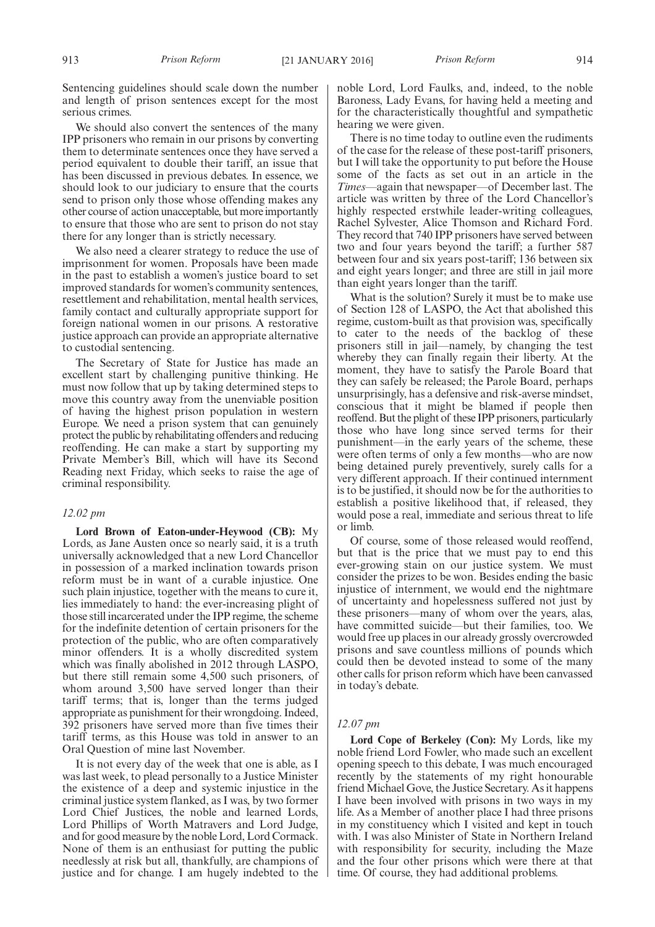Sentencing guidelines should scale down the number and length of prison sentences except for the most serious crimes.

We should also convert the sentences of the many IPP prisoners who remain in our prisons by converting them to determinate sentences once they have served a period equivalent to double their tariff, an issue that has been discussed in previous debates. In essence, we should look to our judiciary to ensure that the courts send to prison only those whose offending makes any other course of action unacceptable, but more importantly to ensure that those who are sent to prison do not stay there for any longer than is strictly necessary.

We also need a clearer strategy to reduce the use of imprisonment for women. Proposals have been made in the past to establish a women's justice board to set improved standards for women's community sentences, resettlement and rehabilitation, mental health services, family contact and culturally appropriate support for foreign national women in our prisons. A restorative justice approach can provide an appropriate alternative to custodial sentencing.

The Secretary of State for Justice has made an excellent start by challenging punitive thinking. He must now follow that up by taking determined steps to move this country away from the unenviable position of having the highest prison population in western Europe. We need a prison system that can genuinely protect the public by rehabilitating offenders and reducing reoffending. He can make a start by supporting my Private Member's Bill, which will have its Second Reading next Friday, which seeks to raise the age of criminal responsibility.

### *12.02 pm*

**Lord Brown of Eaton-under-Heywood (CB):** My Lords, as Jane Austen once so nearly said, it is a truth universally acknowledged that a new Lord Chancellor in possession of a marked inclination towards prison reform must be in want of a curable injustice. One such plain injustice, together with the means to cure it, lies immediately to hand: the ever-increasing plight of those still incarcerated under the IPP regime, the scheme for the indefinite detention of certain prisoners for the protection of the public, who are often comparatively minor offenders. It is a wholly discredited system which was finally abolished in 2012 through LASPO, but there still remain some 4,500 such prisoners, of whom around 3,500 have served longer than their tariff terms; that is, longer than the terms judged appropriate as punishment for their wrongdoing. Indeed, 392 prisoners have served more than five times their tariff terms, as this House was told in answer to an Oral Question of mine last November.

It is not every day of the week that one is able, as I was last week, to plead personally to a Justice Minister the existence of a deep and systemic injustice in the criminal justice system flanked, as I was, by two former Lord Chief Justices, the noble and learned Lords, Lord Phillips of Worth Matravers and Lord Judge, and for good measure by the noble Lord, Lord Cormack. None of them is an enthusiast for putting the public needlessly at risk but all, thankfully, are champions of justice and for change. I am hugely indebted to the noble Lord, Lord Faulks, and, indeed, to the noble Baroness, Lady Evans, for having held a meeting and for the characteristically thoughtful and sympathetic hearing we were given.

There is no time today to outline even the rudiments of the case for the release of these post-tariff prisoners, but I will take the opportunity to put before the House some of the facts as set out in an article in the *Times*—again that newspaper—of December last. The article was written by three of the Lord Chancellor's highly respected erstwhile leader-writing colleagues, Rachel Sylvester, Alice Thomson and Richard Ford. They record that 740 IPP prisoners have served between two and four years beyond the tariff; a further 587 between four and six years post-tariff; 136 between six and eight years longer; and three are still in jail more than eight years longer than the tariff.

What is the solution? Surely it must be to make use of Section 128 of LASPO, the Act that abolished this regime, custom-built as that provision was, specifically to cater to the needs of the backlog of these prisoners still in jail—namely, by changing the test whereby they can finally regain their liberty. At the moment, they have to satisfy the Parole Board that they can safely be released; the Parole Board, perhaps unsurprisingly, has a defensive and risk-averse mindset, conscious that it might be blamed if people then reoffend. But the plight of these IPP prisoners, particularly those who have long since served terms for their punishment—in the early years of the scheme, these were often terms of only a few months—who are now being detained purely preventively, surely calls for a very different approach. If their continued internment is to be justified, it should now be for the authorities to establish a positive likelihood that, if released, they would pose a real, immediate and serious threat to life or limb.

Of course, some of those released would reoffend, but that is the price that we must pay to end this ever-growing stain on our justice system. We must consider the prizes to be won. Besides ending the basic injustice of internment, we would end the nightmare of uncertainty and hopelessness suffered not just by these prisoners—many of whom over the years, alas, have committed suicide—but their families, too. We would free up places in our already grossly overcrowded prisons and save countless millions of pounds which could then be devoted instead to some of the many other calls for prison reform which have been canvassed in today's debate.

### *12.07 pm*

**Lord Cope of Berkeley (Con):** My Lords, like my noble friend Lord Fowler, who made such an excellent opening speech to this debate, I was much encouraged recently by the statements of my right honourable friend Michael Gove, the Justice Secretary. As it happens I have been involved with prisons in two ways in my life. As a Member of another place I had three prisons in my constituency which I visited and kept in touch with. I was also Minister of State in Northern Ireland with responsibility for security, including the Maze and the four other prisons which were there at that time. Of course, they had additional problems.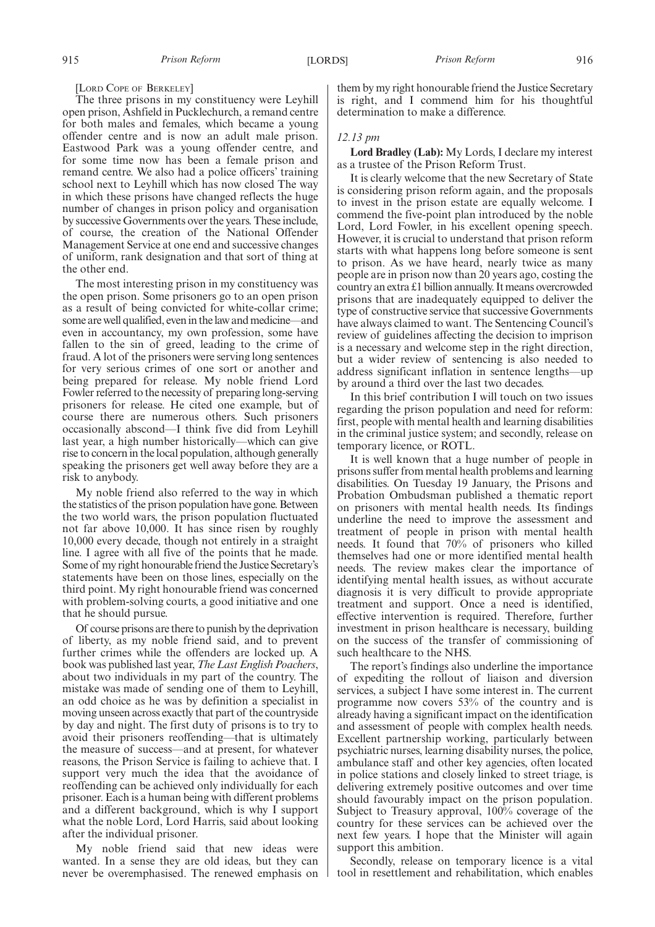[LORD COPE OF BERKELEY]

The three prisons in my constituency were Leyhill open prison, Ashfield in Pucklechurch, a remand centre for both males and females, which became a young offender centre and is now an adult male prison. Eastwood Park was a young offender centre, and for some time now has been a female prison and remand centre. We also had a police officers' training school next to Leyhill which has now closed The way in which these prisons have changed reflects the huge number of changes in prison policy and organisation by successive Governments over the years. These include, of course, the creation of the National Offender Management Service at one end and successive changes of uniform, rank designation and that sort of thing at the other end.

The most interesting prison in my constituency was the open prison. Some prisoners go to an open prison as a result of being convicted for white-collar crime; some are well qualified, even in the law and medicine—and even in accountancy, my own profession, some have fallen to the sin of greed, leading to the crime of fraud. A lot of the prisoners were serving long sentences for very serious crimes of one sort or another and being prepared for release. My noble friend Lord Fowler referred to the necessity of preparing long-serving prisoners for release. He cited one example, but of course there are numerous others. Such prisoners occasionally abscond—I think five did from Leyhill last year, a high number historically—which can give rise to concern in the local population, although generally speaking the prisoners get well away before they are a risk to anybody.

My noble friend also referred to the way in which the statistics of the prison population have gone. Between the two world wars, the prison population fluctuated not far above 10,000. It has since risen by roughly 10,000 every decade, though not entirely in a straight line. I agree with all five of the points that he made. Some of my right honourable friend the Justice Secretary's statements have been on those lines, especially on the third point. My right honourable friend was concerned with problem-solving courts, a good initiative and one that he should pursue.

Of course prisons are there to punish by the deprivation of liberty, as my noble friend said, and to prevent further crimes while the offenders are locked up. A book was published last year, *The Last English Poachers*, about two individuals in my part of the country. The mistake was made of sending one of them to Leyhill, an odd choice as he was by definition a specialist in moving unseen across exactly that part of the countryside by day and night. The first duty of prisons is to try to avoid their prisoners reoffending—that is ultimately the measure of success—and at present, for whatever reasons, the Prison Service is failing to achieve that. I support very much the idea that the avoidance of reoffending can be achieved only individually for each prisoner. Each is a human being with different problems and a different background, which is why I support what the noble Lord, Lord Harris, said about looking after the individual prisoner.

My noble friend said that new ideas were wanted. In a sense they are old ideas, but they can never be overemphasised. The renewed emphasis on them by my right honourable friend the Justice Secretary is right, and I commend him for his thoughtful determination to make a difference.

### *12.13 pm*

**Lord Bradley (Lab):** My Lords, I declare my interest as a trustee of the Prison Reform Trust.

It is clearly welcome that the new Secretary of State is considering prison reform again, and the proposals to invest in the prison estate are equally welcome. I commend the five-point plan introduced by the noble Lord, Lord Fowler, in his excellent opening speech. However, it is crucial to understand that prison reform starts with what happens long before someone is sent to prison. As we have heard, nearly twice as many people are in prison now than 20 years ago, costing the country an extra £1 billion annually. It means overcrowded prisons that are inadequately equipped to deliver the type of constructive service that successive Governments have always claimed to want. The Sentencing Council's review of guidelines affecting the decision to imprison is a necessary and welcome step in the right direction, but a wider review of sentencing is also needed to address significant inflation in sentence lengths—up by around a third over the last two decades.

In this brief contribution I will touch on two issues regarding the prison population and need for reform: first, people with mental health and learning disabilities in the criminal justice system; and secondly, release on temporary licence, or ROTL.

It is well known that a huge number of people in prisons suffer from mental health problems and learning disabilities. On Tuesday 19 January, the Prisons and Probation Ombudsman published a thematic report on prisoners with mental health needs. Its findings underline the need to improve the assessment and treatment of people in prison with mental health needs. It found that 70% of prisoners who killed themselves had one or more identified mental health needs. The review makes clear the importance of identifying mental health issues, as without accurate diagnosis it is very difficult to provide appropriate treatment and support. Once a need is identified, effective intervention is required. Therefore, further investment in prison healthcare is necessary, building on the success of the transfer of commissioning of such healthcare to the NHS.

The report's findings also underline the importance of expediting the rollout of liaison and diversion services, a subject I have some interest in. The current programme now covers 53% of the country and is already having a significant impact on the identification and assessment of people with complex health needs. Excellent partnership working, particularly between psychiatric nurses, learning disability nurses, the police, ambulance staff and other key agencies, often located in police stations and closely linked to street triage, is delivering extremely positive outcomes and over time should favourably impact on the prison population. Subject to Treasury approval, 100% coverage of the country for these services can be achieved over the next few years. I hope that the Minister will again support this ambition.

Secondly, release on temporary licence is a vital tool in resettlement and rehabilitation, which enables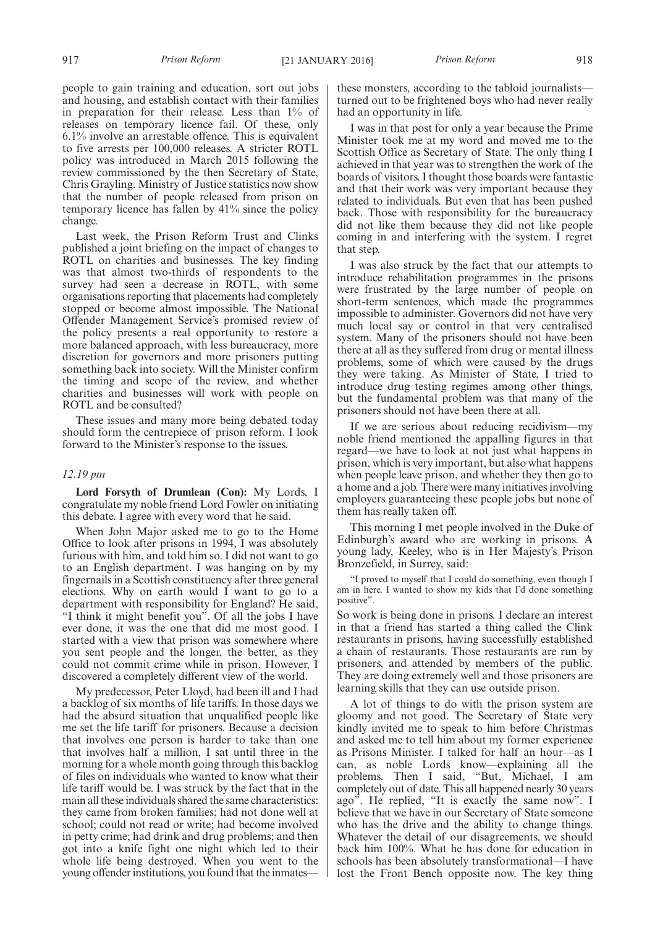people to gain training and education, sort out jobs and housing, and establish contact with their families in preparation for their release. Less than 1% of releases on temporary licence fail. Of these, only 6.1% involve an arrestable offence. This is equivalent to five arrests per 100,000 releases. A stricter ROTL policy was introduced in March 2015 following the review commissioned by the then Secretary of State, Chris Grayling. Ministry of Justice statistics now show that the number of people released from prison on temporary licence has fallen by 41% since the policy change.

Last week, the Prison Reform Trust and Clinks published a joint briefing on the impact of changes to ROTL on charities and businesses. The key finding was that almost two-thirds of respondents to the survey had seen a decrease in ROTL, with some organisations reporting that placements had completely stopped or become almost impossible. The National Offender Management Service's promised review of the policy presents a real opportunity to restore a more balanced approach, with less bureaucracy, more discretion for governors and more prisoners putting something back into society. Will the Minister confirm the timing and scope of the review, and whether charities and businesses will work with people on ROTL and be consulted?

These issues and many more being debated today should form the centrepiece of prison reform. I look forward to the Minister's response to the issues.

### *12.19 pm*

**Lord Forsyth of Drumlean (Con):** My Lords, I congratulate my noble friend Lord Fowler on initiating this debate. I agree with every word that he said.

When John Major asked me to go to the Home Office to look after prisons in 1994, I was absolutely furious with him, and told him so. I did not want to go to an English department. I was hanging on by my fingernails in a Scottish constituency after three general elections. Why on earth would I want to go to a department with responsibility for England? He said, "I think it might benefit you". Of all the jobs I have ever done, it was the one that did me most good. I started with a view that prison was somewhere where you sent people and the longer, the better, as they could not commit crime while in prison. However, I discovered a completely different view of the world.

My predecessor, Peter Lloyd, had been ill and I had a backlog of six months of life tariffs. In those days we had the absurd situation that unqualified people like me set the life tariff for prisoners. Because a decision that involves one person is harder to take than one that involves half a million, I sat until three in the morning for a whole month going through this backlog of files on individuals who wanted to know what their life tariff would be. I was struck by the fact that in the main all these individuals shared the same characteristics: they came from broken families; had not done well at school; could not read or write; had become involved in petty crime; had drink and drug problems; and then got into a knife fight one night which led to their whole life being destroyed. When you went to the young offender institutions, you found that the inmatesthese monsters, according to the tabloid journalists turned out to be frightened boys who had never really had an opportunity in life.

I was in that post for only a year because the Prime Minister took me at my word and moved me to the Scottish Office as Secretary of State. The only thing I achieved in that year was to strengthen the work of the boards of visitors. I thought those boards were fantastic and that their work was very important because they related to individuals. But even that has been pushed back. Those with responsibility for the bureaucracy did not like them because they did not like people coming in and interfering with the system. I regret that step.

I was also struck by the fact that our attempts to introduce rehabilitation programmes in the prisons were frustrated by the large number of people on short-term sentences, which made the programmes impossible to administer. Governors did not have very much local say or control in that very centralised system. Many of the prisoners should not have been there at all as they suffered from drug or mental illness problems, some of which were caused by the drugs they were taking. As Minister of State, I tried to introduce drug testing regimes among other things, but the fundamental problem was that many of the prisoners should not have been there at all.

If we are serious about reducing recidivism—my noble friend mentioned the appalling figures in that regard—we have to look at not just what happens in prison, which is very important, but also what happens when people leave prison, and whether they then go to a home and a job. There were many initiatives involving employers guaranteeing these people jobs but none of them has really taken off.

This morning I met people involved in the Duke of Edinburgh's award who are working in prisons. A young lady, Keeley, who is in Her Majesty's Prison Bronzefield, in Surrey, said:

"I proved to myself that I could do something, even though I am in here. I wanted to show my kids that I'd done something positive".

So work is being done in prisons. I declare an interest in that a friend has started a thing called the Clink restaurants in prisons, having successfully established a chain of restaurants. Those restaurants are run by prisoners, and attended by members of the public. They are doing extremely well and those prisoners are learning skills that they can use outside prison.

A lot of things to do with the prison system are gloomy and not good. The Secretary of State very kindly invited me to speak to him before Christmas and asked me to tell him about my former experience as Prisons Minister. I talked for half an hour—as I can, as noble Lords know—explaining all the problems. Then I said, "But, Michael, I am completely out of date. This all happened nearly 30 years ago". He replied, "It is exactly the same now". I believe that we have in our Secretary of State someone who has the drive and the ability to change things. Whatever the detail of our disagreements, we should back him 100%. What he has done for education in schools has been absolutely transformational—I have lost the Front Bench opposite now. The key thing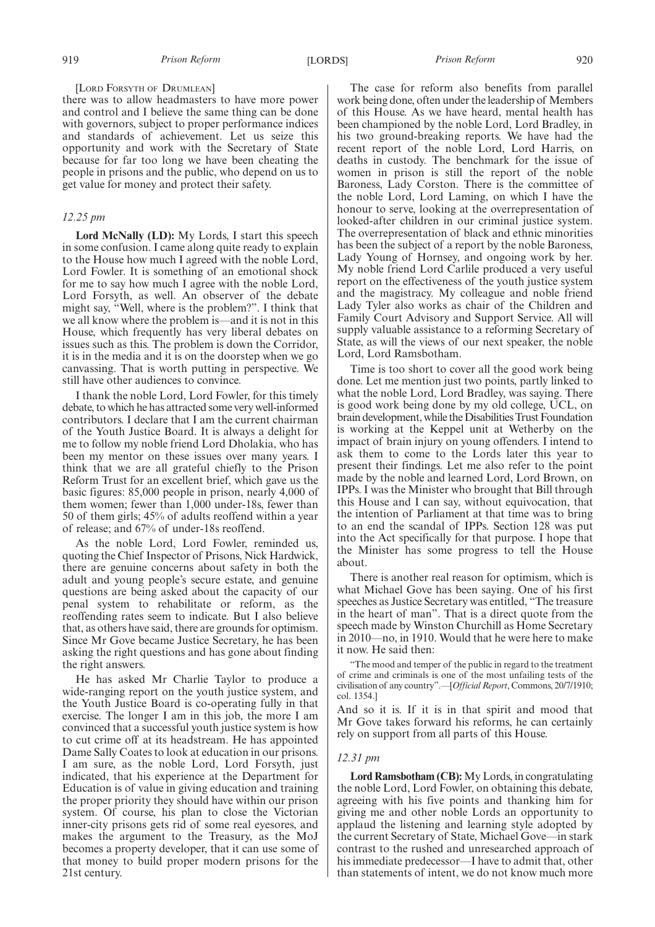### [LORD FORSYTH OF DRUMLEAN]

there was to allow headmasters to have more power and control and I believe the same thing can be done with governors, subject to proper performance indices and standards of achievement. Let us seize this opportunity and work with the Secretary of State because for far too long we have been cheating the people in prisons and the public, who depend on us to get value for money and protect their safety.

### *12.25 pm*

**Lord McNally (LD):** My Lords, I start this speech in some confusion. I came along quite ready to explain to the House how much I agreed with the noble Lord, Lord Fowler. It is something of an emotional shock for me to say how much I agree with the noble Lord, Lord Forsyth, as well. An observer of the debate might say, "Well, where is the problem?". I think that we all know where the problem is—and it is not in this House, which frequently has very liberal debates on issues such as this. The problem is down the Corridor, it is in the media and it is on the doorstep when we go canvassing. That is worth putting in perspective. We still have other audiences to convince.

I thank the noble Lord, Lord Fowler, for this timely debate, to which he has attracted some very well-informed contributors. I declare that I am the current chairman of the Youth Justice Board. It is always a delight for me to follow my noble friend Lord Dholakia, who has been my mentor on these issues over many years. I think that we are all grateful chiefly to the Prison Reform Trust for an excellent brief, which gave us the basic figures: 85,000 people in prison, nearly 4,000 of them women; fewer than 1,000 under-18s, fewer than 50 of them girls; 45% of adults reoffend within a year of release; and 67% of under-18s reoffend.

As the noble Lord, Lord Fowler, reminded us, quoting the Chief Inspector of Prisons, Nick Hardwick, there are genuine concerns about safety in both the adult and young people's secure estate, and genuine questions are being asked about the capacity of our penal system to rehabilitate or reform, as the reoffending rates seem to indicate. But I also believe that, as others have said, there are grounds for optimism. Since Mr Gove became Justice Secretary, he has been asking the right questions and has gone about finding the right answers.

He has asked Mr Charlie Taylor to produce a wide-ranging report on the youth justice system, and the Youth Justice Board is co-operating fully in that exercise. The longer I am in this job, the more I am convinced that a successful youth justice system is how to cut crime off at its headstream. He has appointed Dame Sally Coates to look at education in our prisons. I am sure, as the noble Lord, Lord Forsyth, just indicated, that his experience at the Department for Education is of value in giving education and training the proper priority they should have within our prison system. Of course, his plan to close the Victorian inner-city prisons gets rid of some real eyesores, and makes the argument to the Treasury, as the MoJ becomes a property developer, that it can use some of that money to build proper modern prisons for the 21st century.

The case for reform also benefits from parallel work being done, often under the leadership of Members of this House. As we have heard, mental health has been championed by the noble Lord, Lord Bradley, in his two ground-breaking reports. We have had the recent report of the noble Lord, Lord Harris, on deaths in custody. The benchmark for the issue of women in prison is still the report of the noble Baroness, Lady Corston. There is the committee of the noble Lord, Lord Laming, on which I have the honour to serve, looking at the overrepresentation of looked-after children in our criminal justice system. The overrepresentation of black and ethnic minorities has been the subject of a report by the noble Baroness, Lady Young of Hornsey, and ongoing work by her. My noble friend Lord Carlile produced a very useful report on the effectiveness of the youth justice system and the magistracy. My colleague and noble friend Lady Tyler also works as chair of the Children and Family Court Advisory and Support Service. All will supply valuable assistance to a reforming Secretary of State, as will the views of our next speaker, the noble Lord, Lord Ramsbotham.

Time is too short to cover all the good work being done. Let me mention just two points, partly linked to what the noble Lord, Lord Bradley, was saying. There is good work being done by my old college, UCL, on brain development, while the Disabilities Trust Foundation is working at the Keppel unit at Wetherby on the impact of brain injury on young offenders. I intend to ask them to come to the Lords later this year to present their findings. Let me also refer to the point made by the noble and learned Lord, Lord Brown, on IPPs. I was the Minister who brought that Bill through this House and I can say, without equivocation, that the intention of Parliament at that time was to bring to an end the scandal of IPPs. Section 128 was put into the Act specifically for that purpose. I hope that the Minister has some progress to tell the House about.

There is another real reason for optimism, which is what Michael Gove has been saying. One of his first speeches as Justice Secretary was entitled, "The treasure in the heart of man". That is a direct quote from the speech made by Winston Churchill as Home Secretary in 2010—no, in 1910. Would that he were here to make it now. He said then:

"The mood and temper of the public in regard to the treatment of crime and criminals is one of the most unfailing tests of the civilisation of any country".—[*Official Report*, Commons, 20/7/1910; col. 1354.]

And so it is. If it is in that spirit and mood that Mr Gove takes forward his reforms, he can certainly rely on support from all parts of this House.

### *12.31 pm*

**Lord Ramsbotham (CB):** My Lords, in congratulating the noble Lord, Lord Fowler, on obtaining this debate, agreeing with his five points and thanking him for giving me and other noble Lords an opportunity to applaud the listening and learning style adopted by the current Secretary of State, Michael Gove—in stark contrast to the rushed and unresearched approach of his immediate predecessor—I have to admit that, other than statements of intent, we do not know much more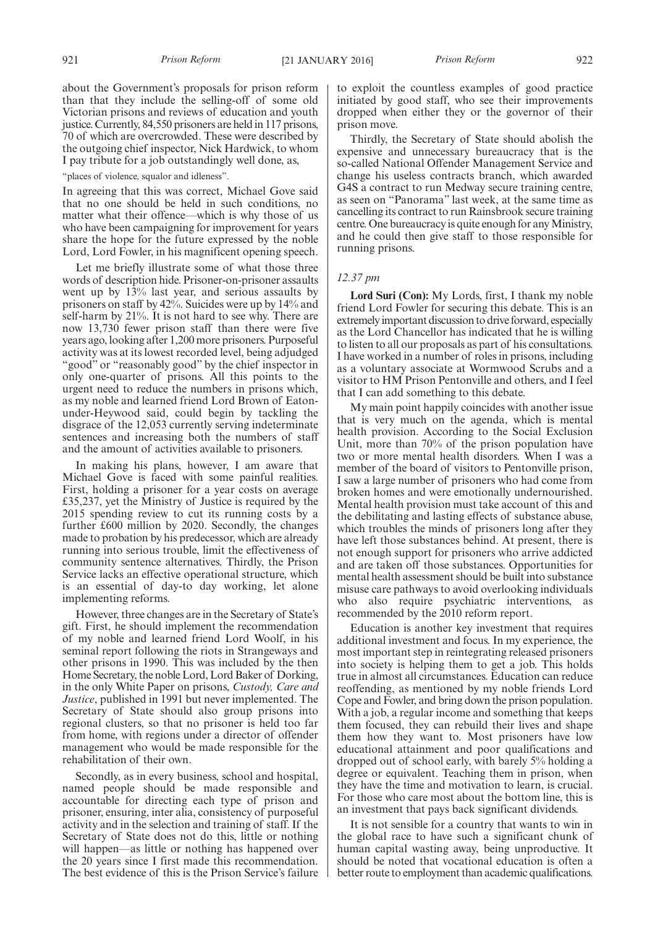about the Government's proposals for prison reform than that they include the selling-off of some old Victorian prisons and reviews of education and youth justice. Currently, 84,550 prisoners are held in 117 prisons, 70 of which are overcrowded. These were described by the outgoing chief inspector, Nick Hardwick, to whom I pay tribute for a job outstandingly well done, as,

"places of violence, squalor and idleness".

In agreeing that this was correct, Michael Gove said that no one should be held in such conditions, no matter what their offence—which is why those of us who have been campaigning for improvement for years share the hope for the future expressed by the noble Lord, Lord Fowler, in his magnificent opening speech.

Let me briefly illustrate some of what those three words of description hide. Prisoner-on-prisoner assaults went up by 13% last year, and serious assaults by prisoners on staff by 42%. Suicides were up by 14% and self-harm by 21%. It is not hard to see why. There are now 13,730 fewer prison staff than there were five years ago, looking after 1,200 more prisoners. Purposeful activity was at its lowest recorded level, being adjudged "good" or "reasonably good" by the chief inspector in only one-quarter of prisons. All this points to the urgent need to reduce the numbers in prisons which, as my noble and learned friend Lord Brown of Eatonunder-Heywood said, could begin by tackling the disgrace of the 12,053 currently serving indeterminate sentences and increasing both the numbers of staff and the amount of activities available to prisoners.

In making his plans, however, I am aware that Michael Gove is faced with some painful realities. First, holding a prisoner for a year costs on average £35,237, yet the Ministry of Justice is required by the 2015 spending review to cut its running costs by a further £600 million by 2020. Secondly, the changes made to probation by his predecessor, which are already running into serious trouble, limit the effectiveness of community sentence alternatives. Thirdly, the Prison Service lacks an effective operational structure, which is an essential of day-to day working, let alone implementing reforms.

However, three changes are in the Secretary of State's gift. First, he should implement the recommendation of my noble and learned friend Lord Woolf, in his seminal report following the riots in Strangeways and other prisons in 1990. This was included by the then Home Secretary, the noble Lord, Lord Baker of Dorking, in the only White Paper on prisons, *Custody, Care and Justice*, published in 1991 but never implemented. The Secretary of State should also group prisons into regional clusters, so that no prisoner is held too far from home, with regions under a director of offender management who would be made responsible for the rehabilitation of their own.

Secondly, as in every business, school and hospital, named people should be made responsible and accountable for directing each type of prison and prisoner, ensuring, inter alia, consistency of purposeful activity and in the selection and training of staff. If the Secretary of State does not do this, little or nothing will happen—as little or nothing has happened over the 20 years since I first made this recommendation. The best evidence of this is the Prison Service's failure to exploit the countless examples of good practice initiated by good staff, who see their improvements dropped when either they or the governor of their prison move.

Thirdly, the Secretary of State should abolish the expensive and unnecessary bureaucracy that is the so-called National Offender Management Service and change his useless contracts branch, which awarded G4S a contract to run Medway secure training centre, as seen on "Panorama" last week, at the same time as cancelling its contract to run Rainsbrook secure training centre. One bureaucracy is quite enough for any Ministry, and he could then give staff to those responsible for running prisons.

### *12.37 pm*

**Lord Suri (Con):** My Lords, first, I thank my noble friend Lord Fowler for securing this debate. This is an extremely important discussion to drive forward, especially as the Lord Chancellor has indicated that he is willing to listen to all our proposals as part of his consultations. I have worked in a number of roles in prisons, including as a voluntary associate at Wormwood Scrubs and a visitor to HM Prison Pentonville and others, and I feel that I can add something to this debate.

My main point happily coincides with another issue that is very much on the agenda, which is mental health provision. According to the Social Exclusion Unit, more than 70% of the prison population have two or more mental health disorders. When I was a member of the board of visitors to Pentonville prison, I saw a large number of prisoners who had come from broken homes and were emotionally undernourished. Mental health provision must take account of this and the debilitating and lasting effects of substance abuse, which troubles the minds of prisoners long after they have left those substances behind. At present, there is not enough support for prisoners who arrive addicted and are taken off those substances. Opportunities for mental health assessment should be built into substance misuse care pathways to avoid overlooking individuals who also require psychiatric interventions, as recommended by the 2010 reform report.

Education is another key investment that requires additional investment and focus. In my experience, the most important step in reintegrating released prisoners into society is helping them to get a job. This holds true in almost all circumstances. Education can reduce reoffending, as mentioned by my noble friends Lord Cope and Fowler, and bring down the prison population. With a job, a regular income and something that keeps them focused, they can rebuild their lives and shape them how they want to. Most prisoners have low educational attainment and poor qualifications and dropped out of school early, with barely 5% holding a degree or equivalent. Teaching them in prison, when they have the time and motivation to learn, is crucial. For those who care most about the bottom line, this is an investment that pays back significant dividends.

It is not sensible for a country that wants to win in the global race to have such a significant chunk of human capital wasting away, being unproductive. It should be noted that vocational education is often a better route to employment than academic qualifications.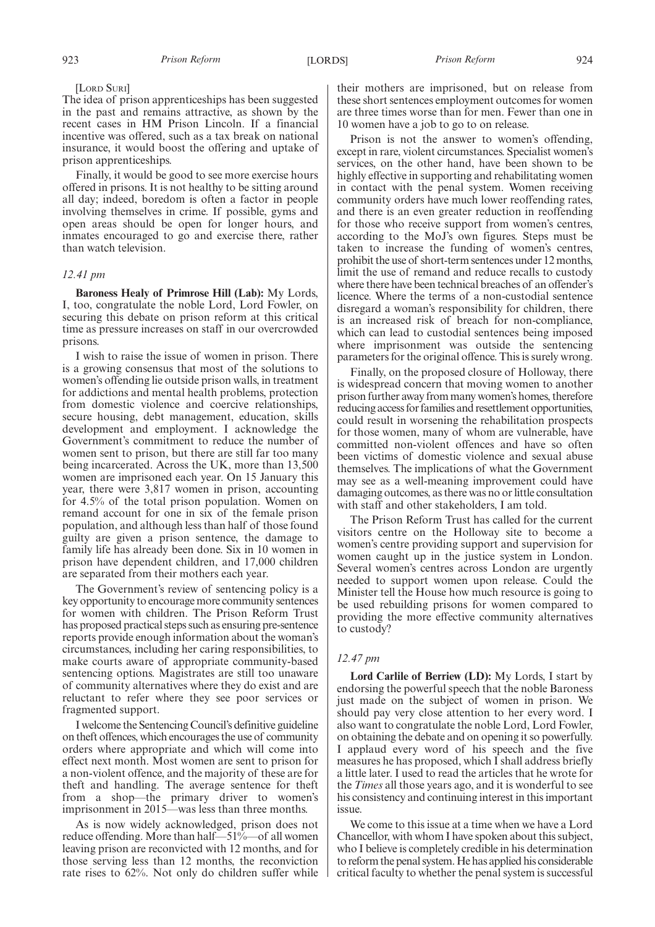### [LORD SURI]

The idea of prison apprenticeships has been suggested in the past and remains attractive, as shown by the recent cases in HM Prison Lincoln. If a financial incentive was offered, such as a tax break on national insurance, it would boost the offering and uptake of prison apprenticeships.

Finally, it would be good to see more exercise hours offered in prisons. It is not healthy to be sitting around all day; indeed, boredom is often a factor in people involving themselves in crime. If possible, gyms and open areas should be open for longer hours, and inmates encouraged to go and exercise there, rather than watch television.

### *12.41 pm*

**Baroness Healy of Primrose Hill (Lab):** My Lords, I, too, congratulate the noble Lord, Lord Fowler, on securing this debate on prison reform at this critical time as pressure increases on staff in our overcrowded prisons.

I wish to raise the issue of women in prison. There is a growing consensus that most of the solutions to women's offending lie outside prison walls, in treatment for addictions and mental health problems, protection from domestic violence and coercive relationships, secure housing, debt management, education, skills development and employment. I acknowledge the Government's commitment to reduce the number of women sent to prison, but there are still far too many being incarcerated. Across the UK, more than 13,500 women are imprisoned each year. On 15 January this year, there were 3,817 women in prison, accounting for 4.5% of the total prison population. Women on remand account for one in six of the female prison population, and although less than half of those found guilty are given a prison sentence, the damage to family life has already been done. Six in 10 women in prison have dependent children, and 17,000 children are separated from their mothers each year.

The Government's review of sentencing policy is a key opportunity to encourage more community sentences for women with children. The Prison Reform Trust has proposed practical steps such as ensuring pre-sentence reports provide enough information about the woman's circumstances, including her caring responsibilities, to make courts aware of appropriate community-based sentencing options. Magistrates are still too unaware of community alternatives where they do exist and are reluctant to refer where they see poor services or fragmented support.

I welcome the Sentencing Council's definitive guideline on theft offences, which encourages the use of community orders where appropriate and which will come into effect next month. Most women are sent to prison for a non-violent offence, and the majority of these are for theft and handling. The average sentence for theft from a shop—the primary driver to women's imprisonment in 2015—was less than three months.

As is now widely acknowledged, prison does not reduce offending. More than half—51%—of all women leaving prison are reconvicted with 12 months, and for those serving less than 12 months, the reconviction rate rises to 62%. Not only do children suffer while their mothers are imprisoned, but on release from these short sentences employment outcomes for women are three times worse than for men. Fewer than one in 10 women have a job to go to on release.

Prison is not the answer to women's offending, except in rare, violent circumstances. Specialist women's services, on the other hand, have been shown to be highly effective in supporting and rehabilitating women in contact with the penal system. Women receiving community orders have much lower reoffending rates, and there is an even greater reduction in reoffending for those who receive support from women's centres, according to the MoJ's own figures. Steps must be taken to increase the funding of women's centres, prohibit the use of short-term sentences under 12 months, limit the use of remand and reduce recalls to custody where there have been technical breaches of an offender's licence. Where the terms of a non-custodial sentence disregard a woman's responsibility for children, there is an increased risk of breach for non-compliance, which can lead to custodial sentences being imposed where imprisonment was outside the sentencing parameters for the original offence. This is surely wrong.

Finally, on the proposed closure of Holloway, there is widespread concern that moving women to another prison further away from many women's homes, therefore reducing access for families and resettlement opportunities, could result in worsening the rehabilitation prospects for those women, many of whom are vulnerable, have committed non-violent offences and have so often been victims of domestic violence and sexual abuse themselves. The implications of what the Government may see as a well-meaning improvement could have damaging outcomes, as there was no or little consultation with staff and other stakeholders, I am told.

The Prison Reform Trust has called for the current visitors centre on the Holloway site to become a women's centre providing support and supervision for women caught up in the justice system in London. Several women's centres across London are urgently needed to support women upon release. Could the Minister tell the House how much resource is going to be used rebuilding prisons for women compared to providing the more effective community alternatives to custody?

### *12.47 pm*

**Lord Carlile of Berriew (LD):** My Lords, I start by endorsing the powerful speech that the noble Baroness just made on the subject of women in prison. We should pay very close attention to her every word. I also want to congratulate the noble Lord, Lord Fowler, on obtaining the debate and on opening it so powerfully. I applaud every word of his speech and the five measures he has proposed, which I shall address briefly a little later. I used to read the articles that he wrote for the *Times* all those years ago, and it is wonderful to see his consistency and continuing interest in this important issue.

We come to this issue at a time when we have a Lord Chancellor, with whom I have spoken about this subject, who I believe is completely credible in his determination to reform the penal system.He has applied his considerable critical faculty to whether the penal system is successful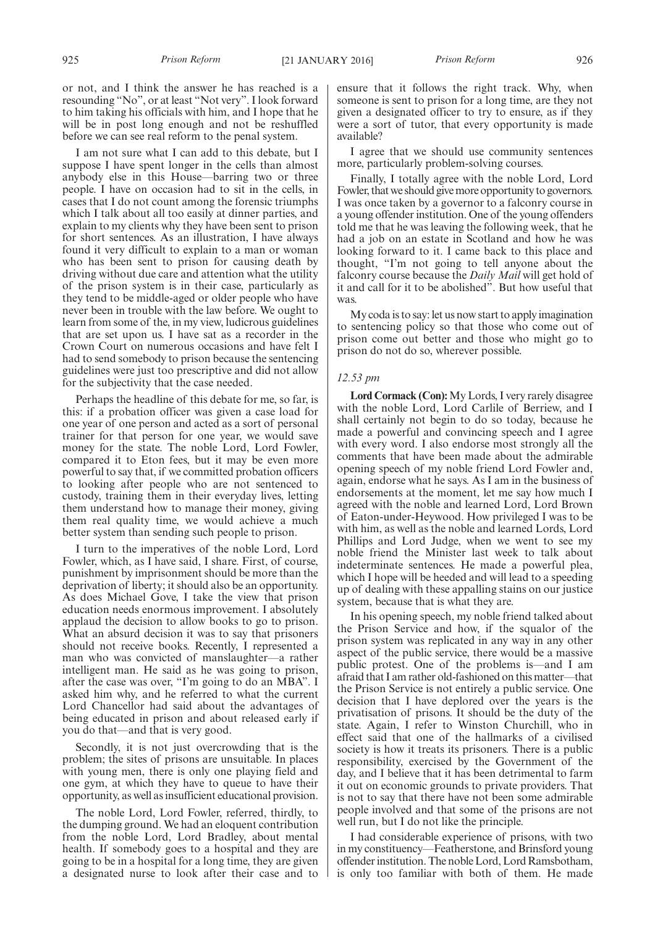or not, and I think the answer he has reached is a resounding "No", or at least "Not very". I look forward to him taking his officials with him, and I hope that he will be in post long enough and not be reshuffled before we can see real reform to the penal system.

I am not sure what I can add to this debate, but I suppose I have spent longer in the cells than almost anybody else in this House—barring two or three people. I have on occasion had to sit in the cells, in cases that I do not count among the forensic triumphs which I talk about all too easily at dinner parties, and explain to my clients why they have been sent to prison for short sentences. As an illustration, I have always found it very difficult to explain to a man or woman who has been sent to prison for causing death by driving without due care and attention what the utility of the prison system is in their case, particularly as they tend to be middle-aged or older people who have never been in trouble with the law before. We ought to learn from some of the, in my view, ludicrous guidelines that are set upon us. I have sat as a recorder in the Crown Court on numerous occasions and have felt I had to send somebody to prison because the sentencing guidelines were just too prescriptive and did not allow for the subjectivity that the case needed.

Perhaps the headline of this debate for me, so far, is this: if a probation officer was given a case load for one year of one person and acted as a sort of personal trainer for that person for one year, we would save money for the state. The noble Lord, Lord Fowler, compared it to Eton fees, but it may be even more powerful to say that, if we committed probation officers to looking after people who are not sentenced to custody, training them in their everyday lives, letting them understand how to manage their money, giving them real quality time, we would achieve a much better system than sending such people to prison.

I turn to the imperatives of the noble Lord, Lord Fowler, which, as I have said, I share. First, of course, punishment by imprisonment should be more than the deprivation of liberty; it should also be an opportunity. As does Michael Gove, I take the view that prison education needs enormous improvement. I absolutely applaud the decision to allow books to go to prison. What an absurd decision it was to say that prisoners should not receive books. Recently, I represented a man who was convicted of manslaughter—a rather intelligent man. He said as he was going to prison, after the case was over, "I'm going to do an MBA". I asked him why, and he referred to what the current Lord Chancellor had said about the advantages of being educated in prison and about released early if you do that—and that is very good.

Secondly, it is not just overcrowding that is the problem; the sites of prisons are unsuitable. In places with young men, there is only one playing field and one gym, at which they have to queue to have their opportunity, as well as insufficient educational provision.

The noble Lord, Lord Fowler, referred, thirdly, to the dumping ground. We had an eloquent contribution from the noble Lord, Lord Bradley, about mental health. If somebody goes to a hospital and they are going to be in a hospital for a long time, they are given a designated nurse to look after their case and to

ensure that it follows the right track. Why, when someone is sent to prison for a long time, are they not given a designated officer to try to ensure, as if they were a sort of tutor, that every opportunity is made available?

I agree that we should use community sentences more, particularly problem-solving courses.

Finally, I totally agree with the noble Lord, Lord Fowler, that we should givemore opportunity to governors. I was once taken by a governor to a falconry course in a young offender institution. One of the young offenders told me that he was leaving the following week, that he had a job on an estate in Scotland and how he was looking forward to it. I came back to this place and thought, "I'm not going to tell anyone about the falconry course because the *Daily Mail* will get hold of it and call for it to be abolished". But how useful that was.

My coda is to say: let us now start to apply imagination to sentencing policy so that those who come out of prison come out better and those who might go to prison do not do so, wherever possible.

### *12.53 pm*

**Lord Cormack (Con):**My Lords, I very rarely disagree with the noble Lord, Lord Carlile of Berriew, and I shall certainly not begin to do so today, because he made a powerful and convincing speech and I agree with every word. I also endorse most strongly all the comments that have been made about the admirable opening speech of my noble friend Lord Fowler and, again, endorse what he says. As I am in the business of endorsements at the moment, let me say how much I agreed with the noble and learned Lord, Lord Brown of Eaton-under-Heywood. How privileged I was to be with him, as well as the noble and learned Lords, Lord Phillips and Lord Judge, when we went to see my noble friend the Minister last week to talk about indeterminate sentences. He made a powerful plea, which I hope will be heeded and will lead to a speeding up of dealing with these appalling stains on our justice system, because that is what they are.

In his opening speech, my noble friend talked about the Prison Service and how, if the squalor of the prison system was replicated in any way in any other aspect of the public service, there would be a massive public protest. One of the problems is—and I am afraid that I am rather old-fashioned on this matter—that the Prison Service is not entirely a public service. One decision that I have deplored over the years is the privatisation of prisons. It should be the duty of the state. Again, I refer to Winston Churchill, who in effect said that one of the hallmarks of a civilised society is how it treats its prisoners. There is a public responsibility, exercised by the Government of the day, and I believe that it has been detrimental to farm it out on economic grounds to private providers. That is not to say that there have not been some admirable people involved and that some of the prisons are not well run, but I do not like the principle.

I had considerable experience of prisons, with two in my constituency—Featherstone, and Brinsford young offender institution. The noble Lord, Lord Ramsbotham, is only too familiar with both of them. He made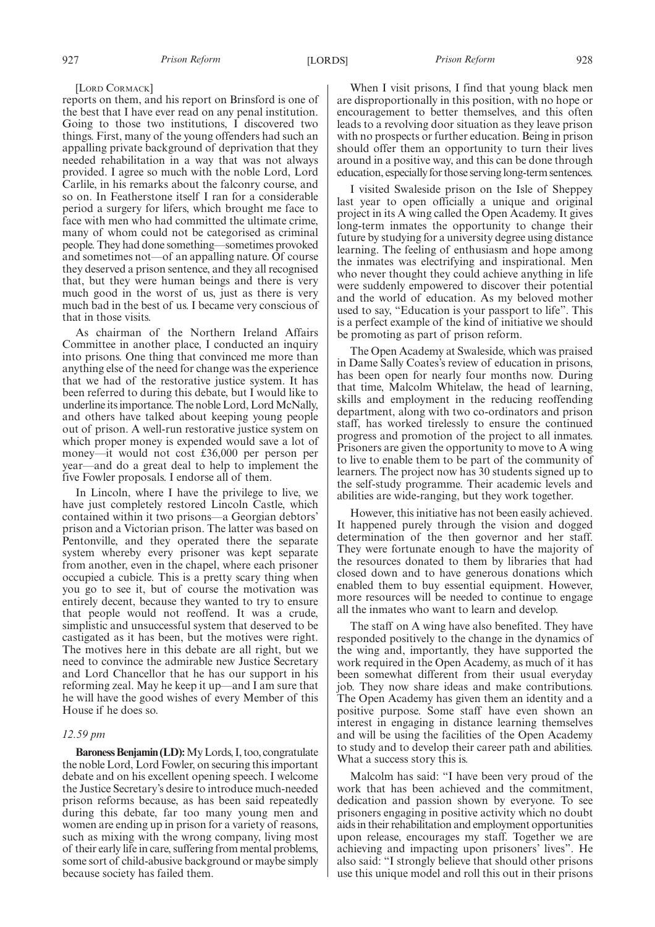[LORD CORMACK]

reports on them, and his report on Brinsford is one of the best that I have ever read on any penal institution. Going to those two institutions, I discovered two things. First, many of the young offenders had such an appalling private background of deprivation that they needed rehabilitation in a way that was not always provided. I agree so much with the noble Lord, Lord Carlile, in his remarks about the falconry course, and so on. In Featherstone itself I ran for a considerable period a surgery for lifers, which brought me face to face with men who had committed the ultimate crime, many of whom could not be categorised as criminal people. They had done something—sometimes provoked and sometimes not—of an appalling nature. Of course they deserved a prison sentence, and they all recognised that, but they were human beings and there is very much good in the worst of us, just as there is very much bad in the best of us. I became very conscious of that in those visits.

As chairman of the Northern Ireland Affairs Committee in another place, I conducted an inquiry into prisons. One thing that convinced me more than anything else of the need for change was the experience that we had of the restorative justice system. It has been referred to during this debate, but I would like to underline its importance. The noble Lord, Lord McNally, and others have talked about keeping young people out of prison. A well-run restorative justice system on which proper money is expended would save a lot of money—it would not cost £36,000 per person per year—and do a great deal to help to implement the five Fowler proposals. I endorse all of them.

In Lincoln, where I have the privilege to live, we have just completely restored Lincoln Castle, which contained within it two prisons—a Georgian debtors' prison and a Victorian prison. The latter was based on Pentonville, and they operated there the separate system whereby every prisoner was kept separate from another, even in the chapel, where each prisoner occupied a cubicle. This is a pretty scary thing when you go to see it, but of course the motivation was entirely decent, because they wanted to try to ensure that people would not reoffend. It was a crude, simplistic and unsuccessful system that deserved to be castigated as it has been, but the motives were right. The motives here in this debate are all right, but we need to convince the admirable new Justice Secretary and Lord Chancellor that he has our support in his reforming zeal. May he keep it up—and I am sure that he will have the good wishes of every Member of this House if he does so.

### *12.59 pm*

**Baroness Benjamin (LD):**My Lords, I, too, congratulate the noble Lord, Lord Fowler, on securing this important debate and on his excellent opening speech. I welcome the Justice Secretary's desire to introduce much-needed prison reforms because, as has been said repeatedly during this debate, far too many young men and women are ending up in prison for a variety of reasons, such as mixing with the wrong company, living most of their early life in care, suffering from mental problems, some sort of child-abusive background or maybe simply because society has failed them.

When I visit prisons, I find that young black men are disproportionally in this position, with no hope or encouragement to better themselves, and this often leads to a revolving door situation as they leave prison with no prospects or further education. Being in prison should offer them an opportunity to turn their lives around in a positive way, and this can be done through education, especially for those serving long-term sentences.

I visited Swaleside prison on the Isle of Sheppey last year to open officially a unique and original project in its A wing called the Open Academy. It gives long-term inmates the opportunity to change their future by studying for a university degree using distance learning. The feeling of enthusiasm and hope among the inmates was electrifying and inspirational. Men who never thought they could achieve anything in life were suddenly empowered to discover their potential and the world of education. As my beloved mother used to say, "Education is your passport to life". This is a perfect example of the kind of initiative we should be promoting as part of prison reform.

The Open Academy at Swaleside, which was praised in Dame Sally Coates's review of education in prisons, has been open for nearly four months now. During that time, Malcolm Whitelaw, the head of learning, skills and employment in the reducing reoffending department, along with two co-ordinators and prison staff, has worked tirelessly to ensure the continued progress and promotion of the project to all inmates. Prisoners are given the opportunity to move to A wing to live to enable them to be part of the community of learners. The project now has 30 students signed up to the self-study programme. Their academic levels and abilities are wide-ranging, but they work together.

However, this initiative has not been easily achieved. It happened purely through the vision and dogged determination of the then governor and her staff. They were fortunate enough to have the majority of the resources donated to them by libraries that had closed down and to have generous donations which enabled them to buy essential equipment. However, more resources will be needed to continue to engage all the inmates who want to learn and develop.

The staff on A wing have also benefited. They have responded positively to the change in the dynamics of the wing and, importantly, they have supported the work required in the Open Academy, as much of it has been somewhat different from their usual everyday job. They now share ideas and make contributions. The Open Academy has given them an identity and a positive purpose. Some staff have even shown an interest in engaging in distance learning themselves and will be using the facilities of the Open Academy to study and to develop their career path and abilities. What a success story this is.

Malcolm has said: "I have been very proud of the work that has been achieved and the commitment, dedication and passion shown by everyone. To see prisoners engaging in positive activity which no doubt aids in their rehabilitation and employment opportunities upon release, encourages my staff. Together we are achieving and impacting upon prisoners' lives". He also said: "I strongly believe that should other prisons use this unique model and roll this out in their prisons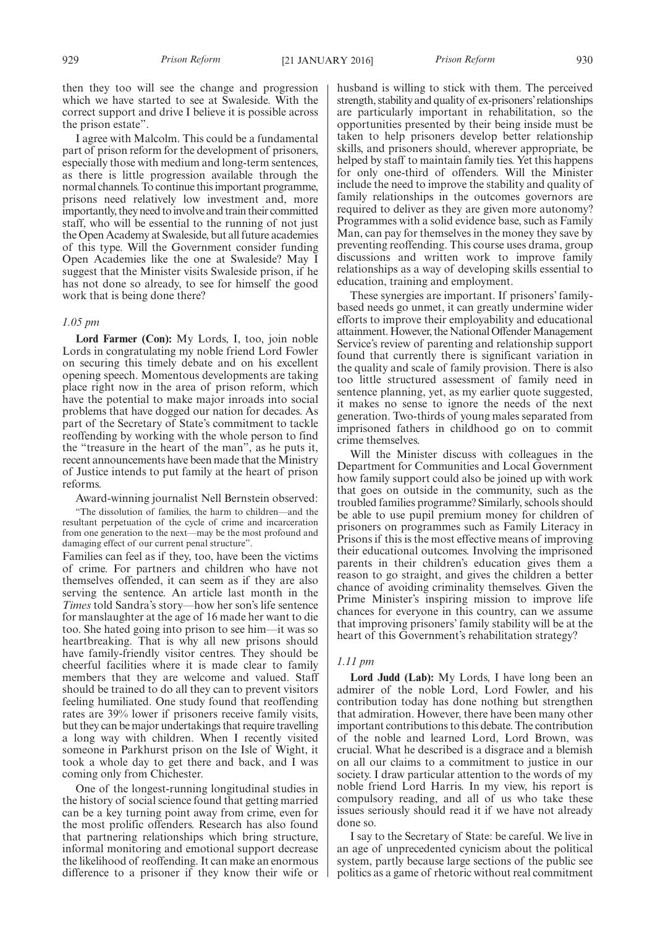then they too will see the change and progression which we have started to see at Swaleside. With the correct support and drive I believe it is possible across the prison estate".

I agree with Malcolm. This could be a fundamental part of prison reform for the development of prisoners, especially those with medium and long-term sentences, as there is little progression available through the normal channels. To continue this important programme, prisons need relatively low investment and, more importantly, they need to involve and train their committed staff, who will be essential to the running of not just the Open Academy at Swaleside, but all future academies of this type. Will the Government consider funding Open Academies like the one at Swaleside? May I suggest that the Minister visits Swaleside prison, if he has not done so already, to see for himself the good work that is being done there?

#### *1.05 pm*

**Lord Farmer (Con):** My Lords, I, too, join noble Lords in congratulating my noble friend Lord Fowler on securing this timely debate and on his excellent opening speech. Momentous developments are taking place right now in the area of prison reform, which have the potential to make major inroads into social problems that have dogged our nation for decades. As part of the Secretary of State's commitment to tackle reoffending by working with the whole person to find the "treasure in the heart of the man", as he puts it, recent announcements have been made that the Ministry of Justice intends to put family at the heart of prison reforms.

Award-winning journalist Nell Bernstein observed:

"The dissolution of families, the harm to children—and the resultant perpetuation of the cycle of crime and incarceration from one generation to the next—may be the most profound and damaging effect of our current penal structure".

Families can feel as if they, too, have been the victims of crime. For partners and children who have not themselves offended, it can seem as if they are also serving the sentence. An article last month in the *Times* told Sandra's story—how her son's life sentence for manslaughter at the age of 16 made her want to die too. She hated going into prison to see him—it was so heartbreaking. That is why all new prisons should have family-friendly visitor centres. They should be cheerful facilities where it is made clear to family members that they are welcome and valued. Staff should be trained to do all they can to prevent visitors feeling humiliated. One study found that reoffending rates are 39% lower if prisoners receive family visits, but they can be major undertakings that require travelling a long way with children. When I recently visited someone in Parkhurst prison on the Isle of Wight, it took a whole day to get there and back, and I was coming only from Chichester.

One of the longest-running longitudinal studies in the history of social science found that getting married can be a key turning point away from crime, even for the most prolific offenders. Research has also found that partnering relationships which bring structure, informal monitoring and emotional support decrease the likelihood of reoffending. It can make an enormous difference to a prisoner if they know their wife or husband is willing to stick with them. The perceived strength, stability and quality of ex-prisoners'relationships are particularly important in rehabilitation, so the opportunities presented by their being inside must be taken to help prisoners develop better relationship skills, and prisoners should, wherever appropriate, be helped by staff to maintain family ties. Yet this happens for only one-third of offenders. Will the Minister include the need to improve the stability and quality of family relationships in the outcomes governors are required to deliver as they are given more autonomy? Programmes with a solid evidence base, such as Family Man, can pay for themselves in the money they save by preventing reoffending. This course uses drama, group discussions and written work to improve family relationships as a way of developing skills essential to education, training and employment.

These synergies are important. If prisoners' familybased needs go unmet, it can greatly undermine wider efforts to improve their employability and educational attainment. However, the National Offender Management Service's review of parenting and relationship support found that currently there is significant variation in the quality and scale of family provision. There is also too little structured assessment of family need in sentence planning, yet, as my earlier quote suggested, it makes no sense to ignore the needs of the next generation. Two-thirds of young males separated from imprisoned fathers in childhood go on to commit crime themselves.

Will the Minister discuss with colleagues in the Department for Communities and Local Government how family support could also be joined up with work that goes on outside in the community, such as the troubled families programme? Similarly, schools should be able to use pupil premium money for children of prisoners on programmes such as Family Literacy in Prisons if this is the most effective means of improving their educational outcomes. Involving the imprisoned parents in their children's education gives them a reason to go straight, and gives the children a better chance of avoiding criminality themselves. Given the Prime Minister's inspiring mission to improve life chances for everyone in this country, can we assume that improving prisoners' family stability will be at the heart of this Government's rehabilitation strategy?

### *1.11 pm*

**Lord Judd (Lab):** My Lords, I have long been an admirer of the noble Lord, Lord Fowler, and his contribution today has done nothing but strengthen that admiration. However, there have been many other important contributions to this debate. The contribution of the noble and learned Lord, Lord Brown, was crucial. What he described is a disgrace and a blemish on all our claims to a commitment to justice in our society. I draw particular attention to the words of my noble friend Lord Harris. In my view, his report is compulsory reading, and all of us who take these issues seriously should read it if we have not already done so.

I say to the Secretary of State: be careful. We live in an age of unprecedented cynicism about the political system, partly because large sections of the public see politics as a game of rhetoric without real commitment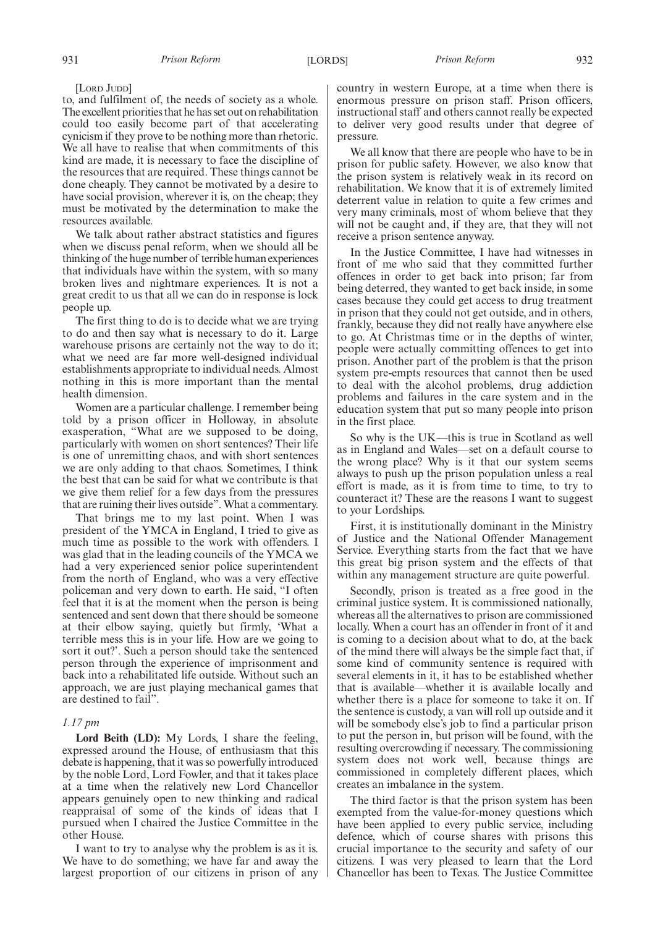[LORD JUDD]

to, and fulfilment of, the needs of society as a whole. The excellent priorities that he has set out on rehabilitation could too easily become part of that accelerating cynicism if they prove to be nothing more than rhetoric. We all have to realise that when commitments of this kind are made, it is necessary to face the discipline of the resources that are required. These things cannot be done cheaply. They cannot be motivated by a desire to have social provision, wherever it is, on the cheap; they must be motivated by the determination to make the resources available.

We talk about rather abstract statistics and figures when we discuss penal reform, when we should all be thinking of the huge number of terrible human experiences that individuals have within the system, with so many broken lives and nightmare experiences. It is not a great credit to us that all we can do in response is lock people up.

The first thing to do is to decide what we are trying to do and then say what is necessary to do it. Large warehouse prisons are certainly not the way to do it; what we need are far more well-designed individual establishments appropriate to individual needs. Almost nothing in this is more important than the mental health dimension.

Women are a particular challenge. I remember being told by a prison officer in Holloway, in absolute exasperation, "What are we supposed to be doing, particularly with women on short sentences? Their life is one of unremitting chaos, and with short sentences we are only adding to that chaos. Sometimes, I think the best that can be said for what we contribute is that we give them relief for a few days from the pressures that are ruining their lives outside". What a commentary.

That brings me to my last point. When I was president of the YMCA in England, I tried to give as much time as possible to the work with offenders. I was glad that in the leading councils of the YMCA we had a very experienced senior police superintendent from the north of England, who was a very effective policeman and very down to earth. He said, "I often feel that it is at the moment when the person is being sentenced and sent down that there should be someone at their elbow saying, quietly but firmly, 'What a terrible mess this is in your life. How are we going to sort it out?'. Such a person should take the sentenced person through the experience of imprisonment and back into a rehabilitated life outside. Without such an approach, we are just playing mechanical games that are destined to fail".

### *1.17 pm*

Lord Beith (LD): My Lords, I share the feeling, expressed around the House, of enthusiasm that this debate is happening, that it was so powerfully introduced by the noble Lord, Lord Fowler, and that it takes place at a time when the relatively new Lord Chancellor appears genuinely open to new thinking and radical reappraisal of some of the kinds of ideas that I pursued when I chaired the Justice Committee in the other House.

I want to try to analyse why the problem is as it is. We have to do something; we have far and away the largest proportion of our citizens in prison of any country in western Europe, at a time when there is enormous pressure on prison staff. Prison officers, instructional staff and others cannot really be expected to deliver very good results under that degree of pressure.

We all know that there are people who have to be in prison for public safety. However, we also know that the prison system is relatively weak in its record on rehabilitation. We know that it is of extremely limited deterrent value in relation to quite a few crimes and very many criminals, most of whom believe that they will not be caught and, if they are, that they will not receive a prison sentence anyway.

In the Justice Committee, I have had witnesses in front of me who said that they committed further offences in order to get back into prison; far from being deterred, they wanted to get back inside, in some cases because they could get access to drug treatment in prison that they could not get outside, and in others, frankly, because they did not really have anywhere else to go. At Christmas time or in the depths of winter, people were actually committing offences to get into prison. Another part of the problem is that the prison system pre-empts resources that cannot then be used to deal with the alcohol problems, drug addiction problems and failures in the care system and in the education system that put so many people into prison in the first place.

So why is the UK—this is true in Scotland as well as in England and Wales—set on a default course to the wrong place? Why is it that our system seems always to push up the prison population unless a real effort is made, as it is from time to time, to try to counteract it? These are the reasons I want to suggest to your Lordships.

First, it is institutionally dominant in the Ministry of Justice and the National Offender Management Service. Everything starts from the fact that we have this great big prison system and the effects of that within any management structure are quite powerful.

Secondly, prison is treated as a free good in the criminal justice system. It is commissioned nationally, whereas all the alternatives to prison are commissioned locally. When a court has an offender in front of it and is coming to a decision about what to do, at the back of the mind there will always be the simple fact that, if some kind of community sentence is required with several elements in it, it has to be established whether that is available—whether it is available locally and whether there is a place for someone to take it on. If the sentence is custody, a van will roll up outside and it will be somebody else's job to find a particular prison to put the person in, but prison will be found, with the resulting overcrowding if necessary. The commissioning system does not work well, because things are commissioned in completely different places, which creates an imbalance in the system.

The third factor is that the prison system has been exempted from the value-for-money questions which have been applied to every public service, including defence, which of course shares with prisons this crucial importance to the security and safety of our citizens. I was very pleased to learn that the Lord Chancellor has been to Texas. The Justice Committee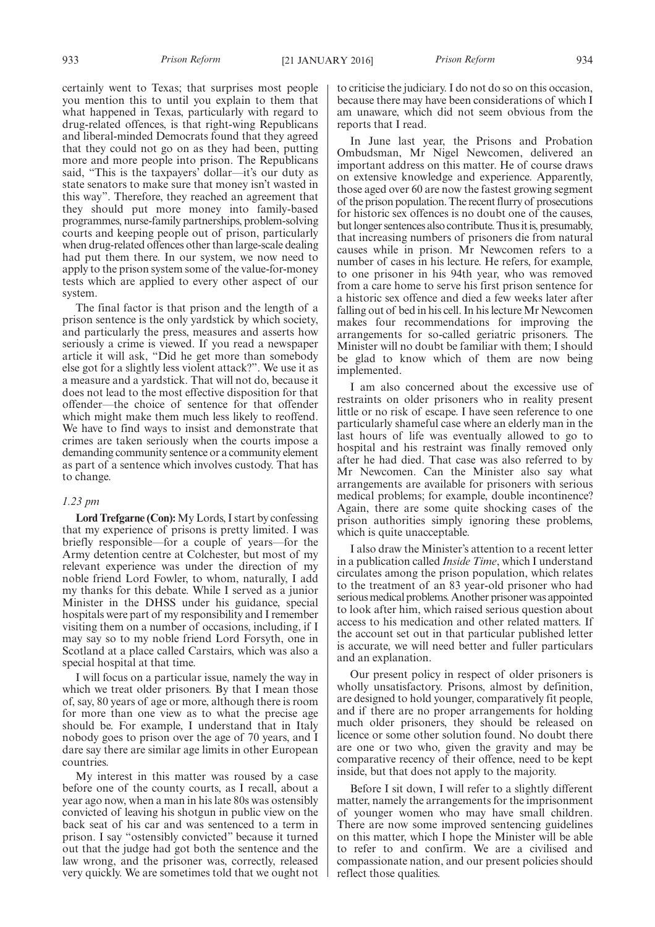certainly went to Texas; that surprises most people you mention this to until you explain to them that what happened in Texas, particularly with regard to drug-related offences, is that right-wing Republicans and liberal-minded Democrats found that they agreed that they could not go on as they had been, putting more and more people into prison. The Republicans said, "This is the taxpayers' dollar—it's our duty as state senators to make sure that money isn't wasted in this way". Therefore, they reached an agreement that they should put more money into family-based programmes, nurse-family partnerships, problem-solving courts and keeping people out of prison, particularly when drug-related offences other than large-scale dealing had put them there. In our system, we now need to apply to the prison system some of the value-for-money tests which are applied to every other aspect of our system.

The final factor is that prison and the length of a prison sentence is the only yardstick by which society, and particularly the press, measures and asserts how seriously a crime is viewed. If you read a newspaper article it will ask, "Did he get more than somebody else got for a slightly less violent attack?". We use it as a measure and a yardstick. That will not do, because it does not lead to the most effective disposition for that offender—the choice of sentence for that offender which might make them much less likely to reoffend. We have to find ways to insist and demonstrate that crimes are taken seriously when the courts impose a demanding community sentence or a community element as part of a sentence which involves custody. That has to change.

### *1.23 pm*

**Lord Trefgarne (Con):** My Lords, I start by confessing that my experience of prisons is pretty limited. I was briefly responsible—for a couple of years—for the Army detention centre at Colchester, but most of my relevant experience was under the direction of my noble friend Lord Fowler, to whom, naturally, I add my thanks for this debate. While I served as a junior Minister in the DHSS under his guidance, special hospitals were part of my responsibility and I remember visiting them on a number of occasions, including, if I may say so to my noble friend Lord Forsyth, one in Scotland at a place called Carstairs, which was also a special hospital at that time.

I will focus on a particular issue, namely the way in which we treat older prisoners. By that I mean those of, say, 80 years of age or more, although there is room for more than one view as to what the precise age should be. For example, I understand that in Italy nobody goes to prison over the age of 70 years, and I dare say there are similar age limits in other European countries.

My interest in this matter was roused by a case before one of the county courts, as I recall, about a year ago now, when a man in his late 80s was ostensibly convicted of leaving his shotgun in public view on the back seat of his car and was sentenced to a term in prison. I say "ostensibly convicted" because it turned out that the judge had got both the sentence and the law wrong, and the prisoner was, correctly, released very quickly. We are sometimes told that we ought not to criticise the judiciary. I do not do so on this occasion, because there may have been considerations of which I am unaware, which did not seem obvious from the reports that I read.

In June last year, the Prisons and Probation Ombudsman, Mr Nigel Newcomen, delivered an important address on this matter. He of course draws on extensive knowledge and experience. Apparently, those aged over 60 are now the fastest growing segment of the prison population. The recent flurry of prosecutions for historic sex offences is no doubt one of the causes, but longer sentences also contribute. Thus it is, presumably, that increasing numbers of prisoners die from natural causes while in prison. Mr Newcomen refers to a number of cases in his lecture. He refers, for example, to one prisoner in his 94th year, who was removed from a care home to serve his first prison sentence for a historic sex offence and died a few weeks later after falling out of bed in his cell. In his lecture Mr Newcomen makes four recommendations for improving the arrangements for so-called geriatric prisoners. The Minister will no doubt be familiar with them; I should be glad to know which of them are now being implemented.

I am also concerned about the excessive use of restraints on older prisoners who in reality present little or no risk of escape. I have seen reference to one particularly shameful case where an elderly man in the last hours of life was eventually allowed to go to hospital and his restraint was finally removed only after he had died. That case was also referred to by Mr Newcomen. Can the Minister also say what arrangements are available for prisoners with serious medical problems; for example, double incontinence? Again, there are some quite shocking cases of the prison authorities simply ignoring these problems, which is quite unacceptable.

I also draw the Minister's attention to a recent letter in a publication called *Inside Time*, which I understand circulates among the prison population, which relates to the treatment of an 83 year-old prisoner who had serious medical problems. Another prisoner was appointed to look after him, which raised serious question about access to his medication and other related matters. If the account set out in that particular published letter is accurate, we will need better and fuller particulars and an explanation.

Our present policy in respect of older prisoners is wholly unsatisfactory. Prisons, almost by definition, are designed to hold younger, comparatively fit people, and if there are no proper arrangements for holding much older prisoners, they should be released on licence or some other solution found. No doubt there are one or two who, given the gravity and may be comparative recency of their offence, need to be kept inside, but that does not apply to the majority.

Before I sit down, I will refer to a slightly different matter, namely the arrangements for the imprisonment of younger women who may have small children. There are now some improved sentencing guidelines on this matter, which I hope the Minister will be able to refer to and confirm. We are a civilised and compassionate nation, and our present policies should reflect those qualities.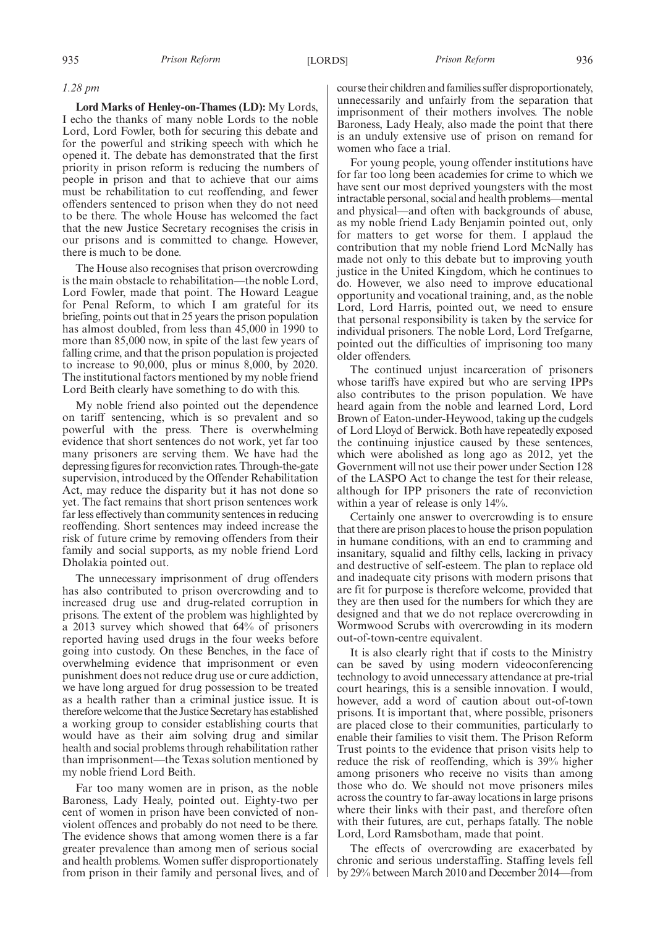### *1.28 pm*

**Lord Marks of Henley-on-Thames (LD):** My Lords, I echo the thanks of many noble Lords to the noble Lord, Lord Fowler, both for securing this debate and for the powerful and striking speech with which he opened it. The debate has demonstrated that the first priority in prison reform is reducing the numbers of people in prison and that to achieve that our aims must be rehabilitation to cut reoffending, and fewer offenders sentenced to prison when they do not need to be there. The whole House has welcomed the fact that the new Justice Secretary recognises the crisis in our prisons and is committed to change. However, there is much to be done.

The House also recognises that prison overcrowding is the main obstacle to rehabilitation—the noble Lord, Lord Fowler, made that point. The Howard League for Penal Reform, to which I am grateful for its briefing, points out that in 25 years the prison population has almost doubled, from less than 45,000 in 1990 to more than 85,000 now, in spite of the last few years of falling crime, and that the prison population is projected to increase to 90,000, plus or minus 8,000, by 2020. The institutional factors mentioned by my noble friend Lord Beith clearly have something to do with this.

My noble friend also pointed out the dependence on tariff sentencing, which is so prevalent and so powerful with the press. There is overwhelming evidence that short sentences do not work, yet far too many prisoners are serving them. We have had the depressing figures for reconviction rates. Through-the-gate supervision, introduced by the Offender Rehabilitation Act, may reduce the disparity but it has not done so yet. The fact remains that short prison sentences work far less effectively than community sentences in reducing reoffending. Short sentences may indeed increase the risk of future crime by removing offenders from their family and social supports, as my noble friend Lord Dholakia pointed out.

The unnecessary imprisonment of drug offenders has also contributed to prison overcrowding and to increased drug use and drug-related corruption in prisons. The extent of the problem was highlighted by a 2013 survey which showed that 64% of prisoners reported having used drugs in the four weeks before going into custody. On these Benches, in the face of overwhelming evidence that imprisonment or even punishment does not reduce drug use or cure addiction, we have long argued for drug possession to be treated as a health rather than a criminal justice issue. It is therefore welcome that the Justice Secretary has established a working group to consider establishing courts that would have as their aim solving drug and similar health and social problems through rehabilitation rather than imprisonment—the Texas solution mentioned by my noble friend Lord Beith.

Far too many women are in prison, as the noble Baroness, Lady Healy, pointed out. Eighty-two per cent of women in prison have been convicted of nonviolent offences and probably do not need to be there. The evidence shows that among women there is a far greater prevalence than among men of serious social and health problems. Women suffer disproportionately from prison in their family and personal lives, and of course their children and families suffer disproportionately, unnecessarily and unfairly from the separation that imprisonment of their mothers involves. The noble Baroness, Lady Healy, also made the point that there is an unduly extensive use of prison on remand for women who face a trial.

For young people, young offender institutions have for far too long been academies for crime to which we have sent our most deprived youngsters with the most intractable personal, social and health problems—mental and physical—and often with backgrounds of abuse, as my noble friend Lady Benjamin pointed out, only for matters to get worse for them. I applaud the contribution that my noble friend Lord McNally has made not only to this debate but to improving youth justice in the United Kingdom, which he continues to do. However, we also need to improve educational opportunity and vocational training, and, as the noble Lord, Lord Harris, pointed out, we need to ensure that personal responsibility is taken by the service for individual prisoners. The noble Lord, Lord Trefgarne, pointed out the difficulties of imprisoning too many older offenders.

The continued unjust incarceration of prisoners whose tariffs have expired but who are serving IPPs also contributes to the prison population. We have heard again from the noble and learned Lord, Lord Brown of Eaton-under-Heywood, taking up the cudgels of Lord Lloyd of Berwick. Both have repeatedly exposed the continuing injustice caused by these sentences, which were abolished as long ago as 2012, yet the Government will not use their power under Section 128 of the LASPO Act to change the test for their release, although for IPP prisoners the rate of reconviction within a year of release is only 14%.

Certainly one answer to overcrowding is to ensure that there are prison places to house the prison population in humane conditions, with an end to cramming and insanitary, squalid and filthy cells, lacking in privacy and destructive of self-esteem. The plan to replace old and inadequate city prisons with modern prisons that are fit for purpose is therefore welcome, provided that they are then used for the numbers for which they are designed and that we do not replace overcrowding in Wormwood Scrubs with overcrowding in its modern out-of-town-centre equivalent.

It is also clearly right that if costs to the Ministry can be saved by using modern videoconferencing technology to avoid unnecessary attendance at pre-trial court hearings, this is a sensible innovation. I would, however, add a word of caution about out-of-town prisons. It is important that, where possible, prisoners are placed close to their communities, particularly to enable their families to visit them. The Prison Reform Trust points to the evidence that prison visits help to reduce the risk of reoffending, which is 39% higher among prisoners who receive no visits than among those who do. We should not move prisoners miles across the country to far-away locations in large prisons where their links with their past, and therefore often with their futures, are cut, perhaps fatally. The noble Lord, Lord Ramsbotham, made that point.

The effects of overcrowding are exacerbated by chronic and serious understaffing. Staffing levels fell by 29% between March 2010 and December 2014—from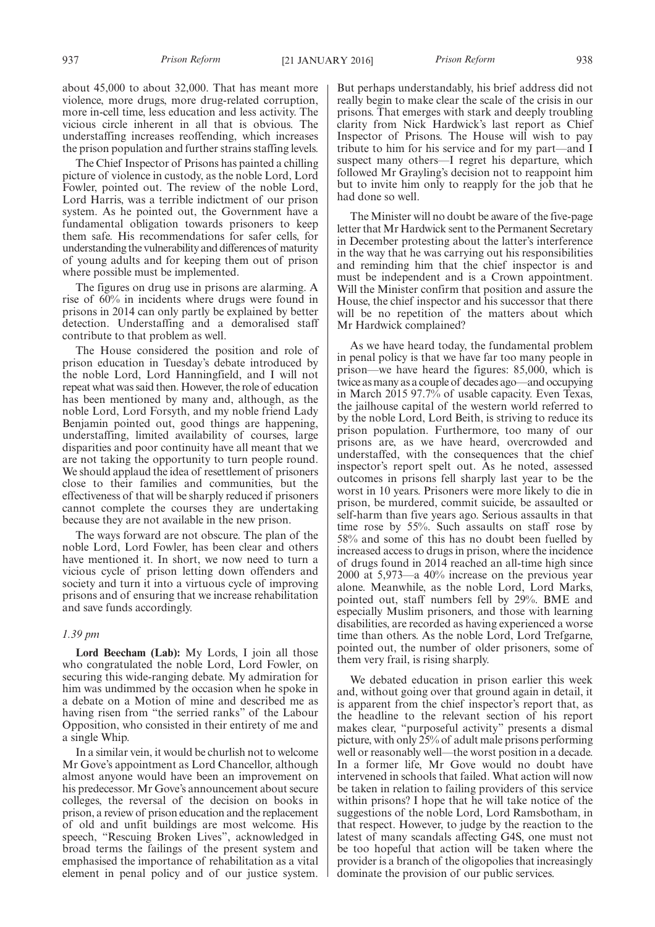about 45,000 to about 32,000. That has meant more violence, more drugs, more drug-related corruption, more in-cell time, less education and less activity. The vicious circle inherent in all that is obvious. The understaffing increases reoffending, which increases the prison population and further strains staffing levels.

The Chief Inspector of Prisons has painted a chilling picture of violence in custody, as the noble Lord, Lord Fowler, pointed out. The review of the noble Lord, Lord Harris, was a terrible indictment of our prison system. As he pointed out, the Government have a fundamental obligation towards prisoners to keep them safe. His recommendations for safer cells, for understanding the vulnerability and differences of maturity of young adults and for keeping them out of prison where possible must be implemented.

The figures on drug use in prisons are alarming. A rise of 60% in incidents where drugs were found in prisons in 2014 can only partly be explained by better detection. Understaffing and a demoralised staff contribute to that problem as well.

The House considered the position and role of prison education in Tuesday's debate introduced by the noble Lord, Lord Hanningfield, and I will not repeat what was said then. However, the role of education has been mentioned by many and, although, as the noble Lord, Lord Forsyth, and my noble friend Lady Benjamin pointed out, good things are happening, understaffing, limited availability of courses, large disparities and poor continuity have all meant that we are not taking the opportunity to turn people round. We should applaud the idea of resettlement of prisoners close to their families and communities, but the effectiveness of that will be sharply reduced if prisoners cannot complete the courses they are undertaking because they are not available in the new prison.

The ways forward are not obscure. The plan of the noble Lord, Lord Fowler, has been clear and others have mentioned it. In short, we now need to turn a vicious cycle of prison letting down offenders and society and turn it into a virtuous cycle of improving prisons and of ensuring that we increase rehabilitation and save funds accordingly.

### *1.39 pm*

**Lord Beecham (Lab):** My Lords, I join all those who congratulated the noble Lord, Lord Fowler, on securing this wide-ranging debate. My admiration for him was undimmed by the occasion when he spoke in a debate on a Motion of mine and described me as having risen from "the serried ranks" of the Labour Opposition, who consisted in their entirety of me and a single Whip.

In a similar vein, it would be churlish not to welcome Mr Gove's appointment as Lord Chancellor, although almost anyone would have been an improvement on his predecessor. Mr Gove's announcement about secure colleges, the reversal of the decision on books in prison, a review of prison education and the replacement of old and unfit buildings are most welcome. His speech, "Rescuing Broken Lives", acknowledged in broad terms the failings of the present system and emphasised the importance of rehabilitation as a vital element in penal policy and of our justice system.

But perhaps understandably, his brief address did not really begin to make clear the scale of the crisis in our prisons. That emerges with stark and deeply troubling clarity from Nick Hardwick's last report as Chief Inspector of Prisons. The House will wish to pay tribute to him for his service and for my part—and I suspect many others—I regret his departure, which followed Mr Grayling's decision not to reappoint him but to invite him only to reapply for the job that he had done so well.

The Minister will no doubt be aware of the five-page letter that Mr Hardwick sent to the Permanent Secretary in December protesting about the latter's interference in the way that he was carrying out his responsibilities and reminding him that the chief inspector is and must be independent and is a Crown appointment. Will the Minister confirm that position and assure the House, the chief inspector and his successor that there will be no repetition of the matters about which Mr Hardwick complained?

As we have heard today, the fundamental problem in penal policy is that we have far too many people in prison—we have heard the figures: 85,000, which is twice as many as a couple of decades ago—and occupying in March 2015 97.7% of usable capacity. Even Texas, the jailhouse capital of the western world referred to by the noble Lord, Lord Beith, is striving to reduce its prison population. Furthermore, too many of our prisons are, as we have heard, overcrowded and understaffed, with the consequences that the chief inspector's report spelt out. As he noted, assessed outcomes in prisons fell sharply last year to be the worst in 10 years. Prisoners were more likely to die in prison, be murdered, commit suicide, be assaulted or self-harm than five years ago. Serious assaults in that time rose by 55%. Such assaults on staff rose by 58% and some of this has no doubt been fuelled by increased access to drugs in prison, where the incidence of drugs found in 2014 reached an all-time high since 2000 at 5,973—a 40% increase on the previous year alone. Meanwhile, as the noble Lord, Lord Marks, pointed out, staff numbers fell by 29%. BME and especially Muslim prisoners, and those with learning disabilities, are recorded as having experienced a worse time than others. As the noble Lord, Lord Trefgarne, pointed out, the number of older prisoners, some of them very frail, is rising sharply.

We debated education in prison earlier this week and, without going over that ground again in detail, it is apparent from the chief inspector's report that, as the headline to the relevant section of his report makes clear, "purposeful activity" presents a dismal picture, with only 25% of adult male prisons performing well or reasonably well—the worst position in a decade. In a former life, Mr Gove would no doubt have intervened in schools that failed. What action will now be taken in relation to failing providers of this service within prisons? I hope that he will take notice of the suggestions of the noble Lord, Lord Ramsbotham, in that respect. However, to judge by the reaction to the latest of many scandals affecting G4S, one must not be too hopeful that action will be taken where the provider is a branch of the oligopolies that increasingly dominate the provision of our public services.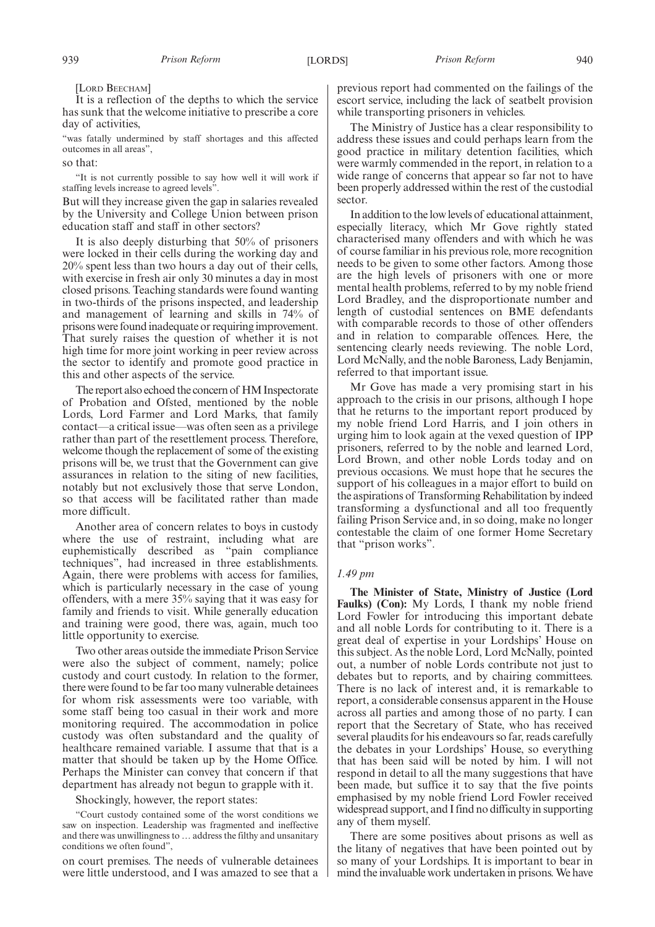### [LORD BEECHAM]

It is a reflection of the depths to which the service has sunk that the welcome initiative to prescribe a core day of activities,

"was fatally undermined by staff shortages and this affected outcomes in all areas",

### so that:

"It is not currently possible to say how well it will work if staffing levels increase to agreed levels".

But will they increase given the gap in salaries revealed by the University and College Union between prison education staff and staff in other sectors?

It is also deeply disturbing that 50% of prisoners were locked in their cells during the working day and 20% spent less than two hours a day out of their cells, with exercise in fresh air only 30 minutes a day in most closed prisons. Teaching standards were found wanting in two-thirds of the prisons inspected, and leadership and management of learning and skills in 74% of prisons were found inadequate or requiring improvement. That surely raises the question of whether it is not high time for more joint working in peer review across the sector to identify and promote good practice in this and other aspects of the service.

The report also echoed the concern of HM Inspectorate of Probation and Ofsted, mentioned by the noble Lords, Lord Farmer and Lord Marks, that family contact—a critical issue—was often seen as a privilege rather than part of the resettlement process. Therefore, welcome though the replacement of some of the existing prisons will be, we trust that the Government can give assurances in relation to the siting of new facilities, notably but not exclusively those that serve London, so that access will be facilitated rather than made more difficult.

Another area of concern relates to boys in custody where the use of restraint, including what are euphemistically described as "pain compliance techniques", had increased in three establishments. Again, there were problems with access for families, which is particularly necessary in the case of young offenders, with a mere 35% saying that it was easy for family and friends to visit. While generally education and training were good, there was, again, much too little opportunity to exercise.

Two other areas outside the immediate Prison Service were also the subject of comment, namely; police custody and court custody. In relation to the former, there were found to be far too many vulnerable detainees for whom risk assessments were too variable, with some staff being too casual in their work and more monitoring required. The accommodation in police custody was often substandard and the quality of healthcare remained variable. I assume that that is a matter that should be taken up by the Home Office. Perhaps the Minister can convey that concern if that department has already not begun to grapple with it.

Shockingly, however, the report states:

"Court custody contained some of the worst conditions we saw on inspection. Leadership was fragmented and ineffective and there was unwillingness to … address the filthy and unsanitary conditions we often found",

on court premises. The needs of vulnerable detainees were little understood, and I was amazed to see that a previous report had commented on the failings of the escort service, including the lack of seatbelt provision while transporting prisoners in vehicles.

The Ministry of Justice has a clear responsibility to address these issues and could perhaps learn from the good practice in military detention facilities, which were warmly commended in the report, in relation to a wide range of concerns that appear so far not to have been properly addressed within the rest of the custodial sector.

In addition to the low levels of educational attainment, especially literacy, which Mr Gove rightly stated characterised many offenders and with which he was of course familiar in his previous role, more recognition needs to be given to some other factors. Among those are the high levels of prisoners with one or more mental health problems, referred to by my noble friend Lord Bradley, and the disproportionate number and length of custodial sentences on BME defendants with comparable records to those of other offenders and in relation to comparable offences. Here, the sentencing clearly needs reviewing. The noble Lord, Lord McNally, and the noble Baroness, Lady Benjamin, referred to that important issue.

Mr Gove has made a very promising start in his approach to the crisis in our prisons, although I hope that he returns to the important report produced by my noble friend Lord Harris, and I join others in urging him to look again at the vexed question of IPP prisoners, referred to by the noble and learned Lord, Lord Brown, and other noble Lords today and on previous occasions. We must hope that he secures the support of his colleagues in a major effort to build on the aspirations of Transforming Rehabilitation by indeed transforming a dysfunctional and all too frequently failing Prison Service and, in so doing, make no longer contestable the claim of one former Home Secretary that "prison works".

### *1.49 pm*

**The Minister of State, Ministry of Justice (Lord Faulks) (Con):** My Lords, I thank my noble friend Lord Fowler for introducing this important debate and all noble Lords for contributing to it. There is a great deal of expertise in your Lordships' House on this subject. As the noble Lord, Lord McNally, pointed out, a number of noble Lords contribute not just to debates but to reports, and by chairing committees. There is no lack of interest and, it is remarkable to report, a considerable consensus apparent in the House across all parties and among those of no party. I can report that the Secretary of State, who has received several plaudits for his endeavours so far, reads carefully the debates in your Lordships' House, so everything that has been said will be noted by him. I will not respond in detail to all the many suggestions that have been made, but suffice it to say that the five points emphasised by my noble friend Lord Fowler received widespread support, and I find no difficulty in supporting any of them myself.

There are some positives about prisons as well as the litany of negatives that have been pointed out by so many of your Lordships. It is important to bear in mind the invaluable work undertaken in prisons.We have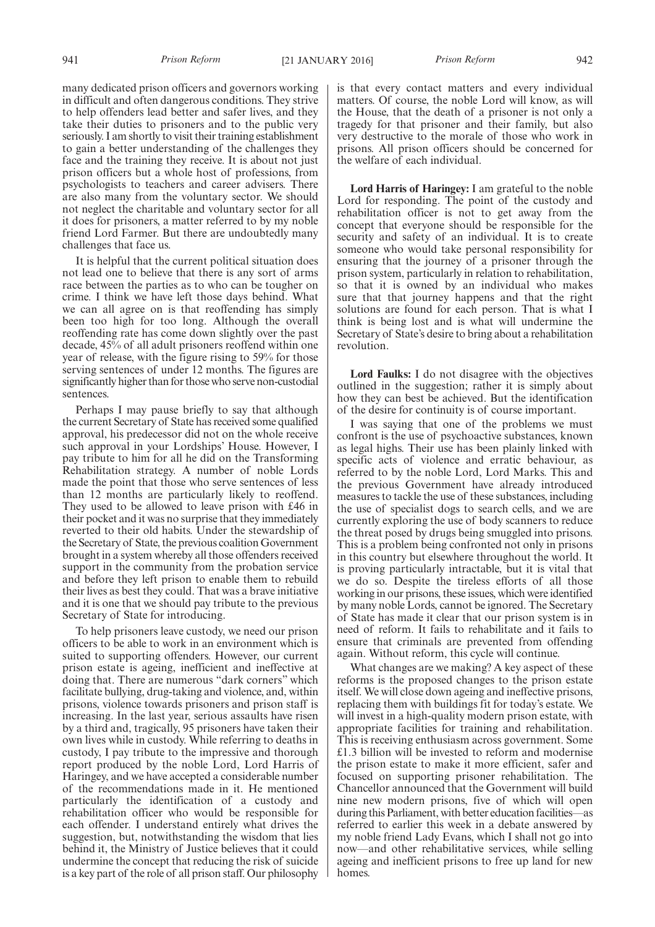many dedicated prison officers and governors working in difficult and often dangerous conditions. They strive to help offenders lead better and safer lives, and they take their duties to prisoners and to the public very seriously. I am shortly to visit their training establishment to gain a better understanding of the challenges they face and the training they receive. It is about not just prison officers but a whole host of professions, from psychologists to teachers and career advisers. There are also many from the voluntary sector. We should not neglect the charitable and voluntary sector for all it does for prisoners, a matter referred to by my noble friend Lord Farmer. But there are undoubtedly many challenges that face us.

It is helpful that the current political situation does not lead one to believe that there is any sort of arms race between the parties as to who can be tougher on crime. I think we have left those days behind. What we can all agree on is that reoffending has simply been too high for too long. Although the overall reoffending rate has come down slightly over the past decade, 45% of all adult prisoners reoffend within one year of release, with the figure rising to 59% for those serving sentences of under 12 months. The figures are significantly higher than for those who serve non-custodial sentences.

Perhaps I may pause briefly to say that although the current Secretary of State has received some qualified approval, his predecessor did not on the whole receive such approval in your Lordships' House. However, I pay tribute to him for all he did on the Transforming Rehabilitation strategy. A number of noble Lords made the point that those who serve sentences of less than 12 months are particularly likely to reoffend. They used to be allowed to leave prison with £46 in their pocket and it was no surprise that they immediately reverted to their old habits. Under the stewardship of the Secretary of State, the previous coalition Government brought in a system whereby all those offenders received support in the community from the probation service and before they left prison to enable them to rebuild their lives as best they could. That was a brave initiative and it is one that we should pay tribute to the previous Secretary of State for introducing.

To help prisoners leave custody, we need our prison officers to be able to work in an environment which is suited to supporting offenders. However, our current prison estate is ageing, inefficient and ineffective at doing that. There are numerous "dark corners" which facilitate bullying, drug-taking and violence, and, within prisons, violence towards prisoners and prison staff is increasing. In the last year, serious assaults have risen by a third and, tragically, 95 prisoners have taken their own lives while in custody. While referring to deaths in custody, I pay tribute to the impressive and thorough report produced by the noble Lord, Lord Harris of Haringey, and we have accepted a considerable number of the recommendations made in it. He mentioned particularly the identification of a custody and rehabilitation officer who would be responsible for each offender. I understand entirely what drives the suggestion, but, notwithstanding the wisdom that lies behind it, the Ministry of Justice believes that it could undermine the concept that reducing the risk of suicide is a key part of the role of all prison staff. Our philosophy is that every contact matters and every individual matters. Of course, the noble Lord will know, as will the House, that the death of a prisoner is not only a tragedy for that prisoner and their family, but also very destructive to the morale of those who work in prisons. All prison officers should be concerned for the welfare of each individual.

**Lord Harris of Haringey:** I am grateful to the noble Lord for responding. The point of the custody and rehabilitation officer is not to get away from the concept that everyone should be responsible for the security and safety of an individual. It is to create someone who would take personal responsibility for ensuring that the journey of a prisoner through the prison system, particularly in relation to rehabilitation, so that it is owned by an individual who makes sure that that journey happens and that the right solutions are found for each person. That is what I think is being lost and is what will undermine the Secretary of State's desire to bring about a rehabilitation revolution.

**Lord Faulks:** I do not disagree with the objectives outlined in the suggestion; rather it is simply about how they can best be achieved. But the identification of the desire for continuity is of course important.

I was saying that one of the problems we must confront is the use of psychoactive substances, known as legal highs. Their use has been plainly linked with specific acts of violence and erratic behaviour, as referred to by the noble Lord, Lord Marks. This and the previous Government have already introduced measures to tackle the use of these substances, including the use of specialist dogs to search cells, and we are currently exploring the use of body scanners to reduce the threat posed by drugs being smuggled into prisons. This is a problem being confronted not only in prisons in this country but elsewhere throughout the world. It is proving particularly intractable, but it is vital that we do so. Despite the tireless efforts of all those working in our prisons, these issues, which were identified by many noble Lords, cannot be ignored. The Secretary of State has made it clear that our prison system is in need of reform. It fails to rehabilitate and it fails to ensure that criminals are prevented from offending again. Without reform, this cycle will continue.

What changes are we making? A key aspect of these reforms is the proposed changes to the prison estate itself. We will close down ageing and ineffective prisons, replacing them with buildings fit for today's estate. We will invest in a high-quality modern prison estate, with appropriate facilities for training and rehabilitation. This is receiving enthusiasm across government. Some £1.3 billion will be invested to reform and modernise the prison estate to make it more efficient, safer and focused on supporting prisoner rehabilitation. The Chancellor announced that the Government will build nine new modern prisons, five of which will open during this Parliament, with better education facilities—as referred to earlier this week in a debate answered by my noble friend Lady Evans, which I shall not go into now—and other rehabilitative services, while selling ageing and inefficient prisons to free up land for new homes.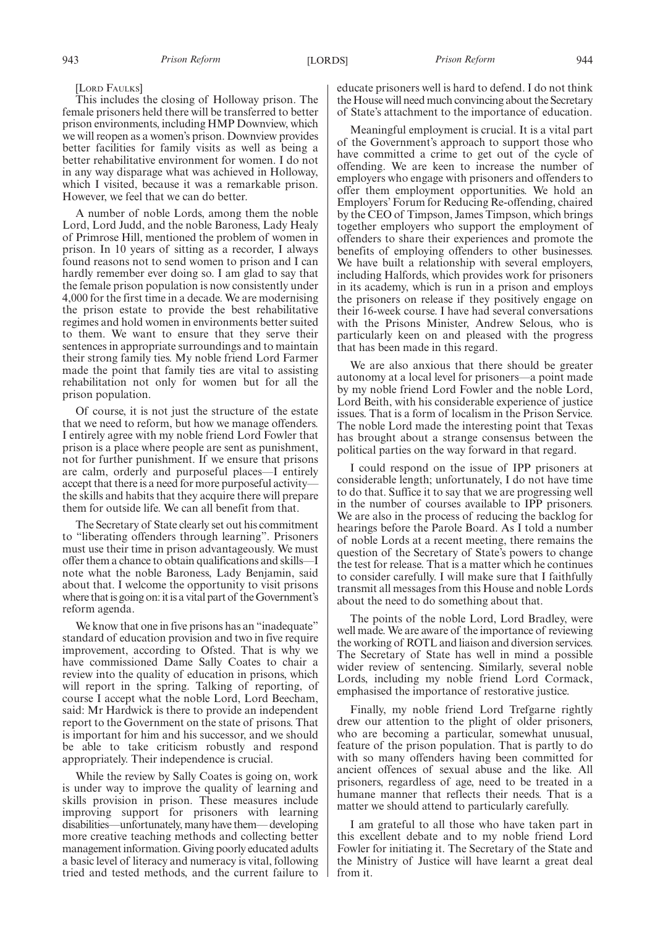### [LORD FAULKS]

This includes the closing of Holloway prison. The female prisoners held there will be transferred to better prison environments, including HMP Downview, which we will reopen as a women's prison. Downview provides better facilities for family visits as well as being a better rehabilitative environment for women. I do not in any way disparage what was achieved in Holloway, which I visited, because it was a remarkable prison. However, we feel that we can do better.

A number of noble Lords, among them the noble Lord, Lord Judd, and the noble Baroness, Lady Healy of Primrose Hill, mentioned the problem of women in prison. In 10 years of sitting as a recorder, I always found reasons not to send women to prison and I can hardly remember ever doing so. I am glad to say that the female prison population is now consistently under 4,000 for the first time in a decade. We are modernising the prison estate to provide the best rehabilitative regimes and hold women in environments better suited to them. We want to ensure that they serve their sentences in appropriate surroundings and to maintain their strong family ties. My noble friend Lord Farmer made the point that family ties are vital to assisting rehabilitation not only for women but for all the prison population.

Of course, it is not just the structure of the estate that we need to reform, but how we manage offenders. I entirely agree with my noble friend Lord Fowler that prison is a place where people are sent as punishment, not for further punishment. If we ensure that prisons are calm, orderly and purposeful places—I entirely accept that there is a need for more purposeful activity the skills and habits that they acquire there will prepare them for outside life. We can all benefit from that.

The Secretary of State clearly set out his commitment to "liberating offenders through learning". Prisoners must use their time in prison advantageously. We must offer them a chance to obtain qualifications and skills—I note what the noble Baroness, Lady Benjamin, said about that. I welcome the opportunity to visit prisons where that is going on: it is a vital part of the Government's reform agenda.

We know that one in five prisons has an "inadequate" standard of education provision and two in five require improvement, according to Ofsted. That is why we have commissioned Dame Sally Coates to chair a review into the quality of education in prisons, which will report in the spring. Talking of reporting, of course I accept what the noble Lord, Lord Beecham, said: Mr Hardwick is there to provide an independent report to the Government on the state of prisons. That is important for him and his successor, and we should be able to take criticism robustly and respond appropriately. Their independence is crucial.

While the review by Sally Coates is going on, work is under way to improve the quality of learning and skills provision in prison. These measures include improving support for prisoners with learning disabilities—unfortunately, many have them— developing more creative teaching methods and collecting better management information. Giving poorly educated adults a basic level of literacy and numeracy is vital, following tried and tested methods, and the current failure to educate prisoners well is hard to defend. I do not think the House will need much convincing about the Secretary of State's attachment to the importance of education.

Meaningful employment is crucial. It is a vital part of the Government's approach to support those who have committed a crime to get out of the cycle of offending. We are keen to increase the number of employers who engage with prisoners and offenders to offer them employment opportunities. We hold an Employers' Forum for Reducing Re-offending, chaired by the CEO of Timpson, James Timpson, which brings together employers who support the employment of offenders to share their experiences and promote the benefits of employing offenders to other businesses. We have built a relationship with several employers, including Halfords, which provides work for prisoners in its academy, which is run in a prison and employs the prisoners on release if they positively engage on their 16-week course. I have had several conversations with the Prisons Minister, Andrew Selous, who is particularly keen on and pleased with the progress that has been made in this regard.

We are also anxious that there should be greater autonomy at a local level for prisoners—a point made by my noble friend Lord Fowler and the noble Lord, Lord Beith, with his considerable experience of justice issues. That is a form of localism in the Prison Service. The noble Lord made the interesting point that Texas has brought about a strange consensus between the political parties on the way forward in that regard.

I could respond on the issue of IPP prisoners at considerable length; unfortunately, I do not have time to do that. Suffice it to say that we are progressing well in the number of courses available to IPP prisoners. We are also in the process of reducing the backlog for hearings before the Parole Board. As I told a number of noble Lords at a recent meeting, there remains the question of the Secretary of State's powers to change the test for release. That is a matter which he continues to consider carefully. I will make sure that I faithfully transmit all messages from this House and noble Lords about the need to do something about that.

The points of the noble Lord, Lord Bradley, were well made. We are aware of the importance of reviewing the working of ROTL and liaison and diversion services. The Secretary of State has well in mind a possible wider review of sentencing. Similarly, several noble Lords, including my noble friend Lord Cormack, emphasised the importance of restorative justice.

Finally, my noble friend Lord Trefgarne rightly drew our attention to the plight of older prisoners, who are becoming a particular, somewhat unusual, feature of the prison population. That is partly to do with so many offenders having been committed for ancient offences of sexual abuse and the like. All prisoners, regardless of age, need to be treated in a humane manner that reflects their needs. That is a matter we should attend to particularly carefully.

I am grateful to all those who have taken part in this excellent debate and to my noble friend Lord Fowler for initiating it. The Secretary of the State and the Ministry of Justice will have learnt a great deal from it.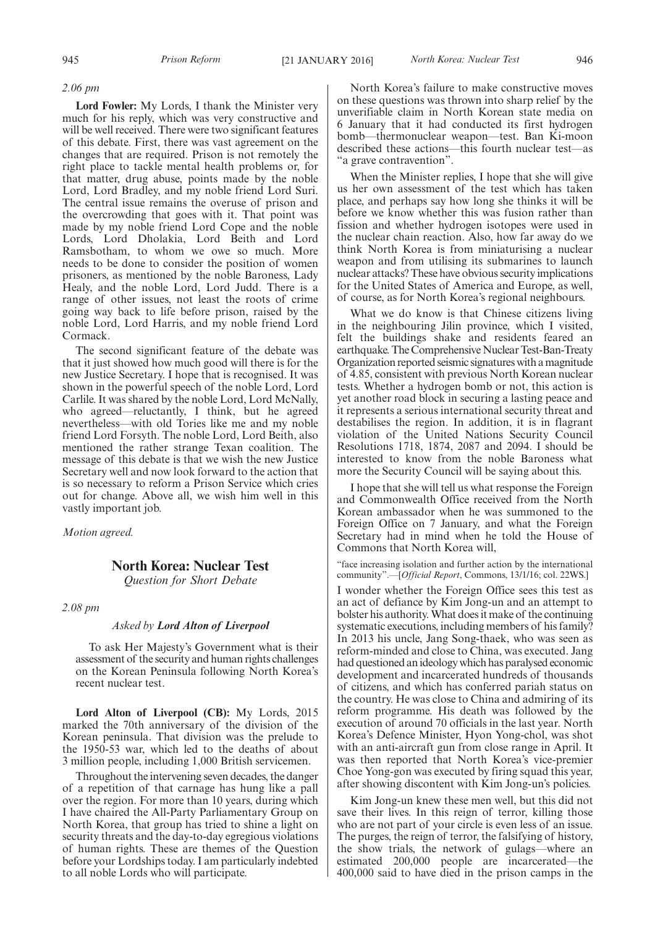### *2.06 pm*

**Lord Fowler:** My Lords, I thank the Minister very much for his reply, which was very constructive and will be well received. There were two significant features of this debate. First, there was vast agreement on the changes that are required. Prison is not remotely the right place to tackle mental health problems or, for that matter, drug abuse, points made by the noble Lord, Lord Bradley, and my noble friend Lord Suri. The central issue remains the overuse of prison and the overcrowding that goes with it. That point was made by my noble friend Lord Cope and the noble Lords, Lord Dholakia, Lord Beith and Lord Ramsbotham, to whom we owe so much. More needs to be done to consider the position of women prisoners, as mentioned by the noble Baroness, Lady Healy, and the noble Lord, Lord Judd. There is a range of other issues, not least the roots of crime going way back to life before prison, raised by the noble Lord, Lord Harris, and my noble friend Lord Cormack.

The second significant feature of the debate was that it just showed how much good will there is for the new Justice Secretary. I hope that is recognised. It was shown in the powerful speech of the noble Lord, Lord Carlile. It was shared by the noble Lord, Lord McNally, who agreed—reluctantly, I think, but he agreed nevertheless—with old Tories like me and my noble friend Lord Forsyth. The noble Lord, Lord Beith, also mentioned the rather strange Texan coalition. The message of this debate is that we wish the new Justice Secretary well and now look forward to the action that is so necessary to reform a Prison Service which cries out for change. Above all, we wish him well in this vastly important job.

*Motion agreed.*

# **North Korea: Nuclear Test**

*Question for Short Debate*

*2.08 pm*

### *Asked by Lord Alton of Liverpool*

To ask Her Majesty's Government what is their assessment of the security and human rights challenges on the Korean Peninsula following North Korea's recent nuclear test.

**Lord Alton of Liverpool (CB):** My Lords, 2015 marked the 70th anniversary of the division of the Korean peninsula. That division was the prelude to the 1950-53 war, which led to the deaths of about 3 million people, including 1,000 British servicemen.

Throughout the intervening seven decades, the danger of a repetition of that carnage has hung like a pall over the region. For more than 10 years, during which I have chaired the All-Party Parliamentary Group on North Korea, that group has tried to shine a light on security threats and the day-to-day egregious violations of human rights. These are themes of the Question before your Lordships today. I am particularly indebted to all noble Lords who will participate.

North Korea's failure to make constructive moves on these questions was thrown into sharp relief by the unverifiable claim in North Korean state media on 6 January that it had conducted its first hydrogen bomb—thermonuclear weapon—test. Ban Ki-moon described these actions—this fourth nuclear test—as "a grave contravention".

When the Minister replies, I hope that she will give us her own assessment of the test which has taken place, and perhaps say how long she thinks it will be before we know whether this was fusion rather than fission and whether hydrogen isotopes were used in the nuclear chain reaction. Also, how far away do we think North Korea is from miniaturising a nuclear weapon and from utilising its submarines to launch nuclear attacks? These have obvious security implications for the United States of America and Europe, as well, of course, as for North Korea's regional neighbours.

What we do know is that Chinese citizens living in the neighbouring Jilin province, which I visited, felt the buildings shake and residents feared an earthquake. The Comprehensive Nuclear Test-Ban-Treaty Organization reported seismic signatures with amagnitude of 4.85, consistent with previous North Korean nuclear tests. Whether a hydrogen bomb or not, this action is yet another road block in securing a lasting peace and it represents a serious international security threat and destabilises the region. In addition, it is in flagrant violation of the United Nations Security Council Resolutions 1718, 1874, 2087 and 2094. I should be interested to know from the noble Baroness what more the Security Council will be saying about this.

I hope that she will tell us what response the Foreign and Commonwealth Office received from the North Korean ambassador when he was summoned to the Foreign Office on 7 January, and what the Foreign Secretary had in mind when he told the House of Commons that North Korea will,

"face increasing isolation and further action by the international community".—[*Official Report*, Commons, 13/1/16; col. 22WS.]

I wonder whether the Foreign Office sees this test as an act of defiance by Kim Jong-un and an attempt to bolster his authority.What does it make of the continuing systematic executions, including members of his family? In 2013 his uncle, Jang Song-thaek, who was seen as reform-minded and close to China, was executed. Jang had questioned an ideology which has paralysed economic development and incarcerated hundreds of thousands of citizens, and which has conferred pariah status on the country. He was close to China and admiring of its reform programme. His death was followed by the execution of around 70 officials in the last year. North Korea's Defence Minister, Hyon Yong-chol, was shot with an anti-aircraft gun from close range in April. It was then reported that North Korea's vice-premier Choe Yong-gon was executed by firing squad this year, after showing discontent with Kim Jong-un's policies.

Kim Jong-un knew these men well, but this did not save their lives. In this reign of terror, killing those who are not part of your circle is even less of an issue. The purges, the reign of terror, the falsifying of history, the show trials, the network of gulags—where an estimated 200,000 people are incarcerated—the 400,000 said to have died in the prison camps in the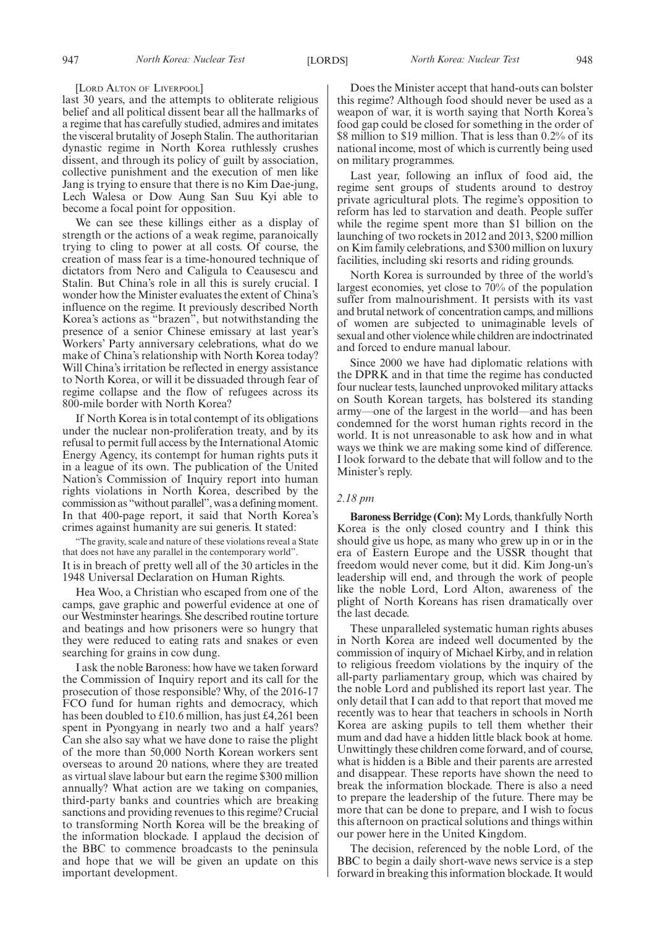[LORD ALTON OF LIVERPOOL]

last 30 years, and the attempts to obliterate religious belief and all political dissent bear all the hallmarks of a regime that has carefully studied, admires and imitates the visceral brutality of Joseph Stalin. The authoritarian dynastic regime in North Korea ruthlessly crushes dissent, and through its policy of guilt by association, collective punishment and the execution of men like Jang is trying to ensure that there is no Kim Dae-jung, Lech Walesa or Dow Aung San Suu Kyi able to become a focal point for opposition.

We can see these killings either as a display of strength or the actions of a weak regime, paranoically trying to cling to power at all costs. Of course, the creation of mass fear is a time-honoured technique of dictators from Nero and Caligula to Ceausescu and Stalin. But China's role in all this is surely crucial. I wonder how the Minister evaluates the extent of China's influence on the regime. It previously described North Korea's actions as "brazen", but notwithstanding the presence of a senior Chinese emissary at last year's Workers' Party anniversary celebrations, what do we make of China's relationship with North Korea today? Will China's irritation be reflected in energy assistance to North Korea, or will it be dissuaded through fear of regime collapse and the flow of refugees across its 800-mile border with North Korea?

If North Korea is in total contempt of its obligations under the nuclear non-proliferation treaty, and by its refusal to permit full access by the International Atomic Energy Agency, its contempt for human rights puts it in a league of its own. The publication of the United Nation's Commission of Inquiry report into human rights violations in North Korea, described by the commission as "without parallel", was a defining moment. In that 400-page report, it said that North Korea's crimes against humanity are sui generis. It stated:

"The gravity, scale and nature of these violations reveal a State that does not have any parallel in the contemporary world". It is in breach of pretty well all of the 30 articles in the 1948 Universal Declaration on Human Rights.

Hea Woo, a Christian who escaped from one of the camps, gave graphic and powerful evidence at one of our Westminster hearings. She described routine torture and beatings and how prisoners were so hungry that they were reduced to eating rats and snakes or even searching for grains in cow dung.

I ask the noble Baroness: how have we taken forward the Commission of Inquiry report and its call for the prosecution of those responsible? Why, of the 2016-17 FCO fund for human rights and democracy, which has been doubled to £10.6 million, has just £4,261 been spent in Pyongyang in nearly two and a half years? Can she also say what we have done to raise the plight of the more than 50,000 North Korean workers sent overseas to around 20 nations, where they are treated as virtual slave labour but earn the regime \$300 million annually? What action are we taking on companies, third-party banks and countries which are breaking sanctions and providing revenues to this regime? Crucial to transforming North Korea will be the breaking of the information blockade. I applaud the decision of the BBC to commence broadcasts to the peninsula and hope that we will be given an update on this important development.

Does the Minister accept that hand-outs can bolster this regime? Although food should never be used as a weapon of war, it is worth saying that North Korea's food gap could be closed for something in the order of \$8 million to \$19 million. That is less than 0.2% of its national income, most of which is currently being used on military programmes.

Last year, following an influx of food aid, the regime sent groups of students around to destroy private agricultural plots. The regime's opposition to reform has led to starvation and death. People suffer while the regime spent more than \$1 billion on the launching of two rockets in 2012 and 2013, \$200 million on Kim family celebrations, and \$300 million on luxury facilities, including ski resorts and riding grounds.

North Korea is surrounded by three of the world's largest economies, yet close to 70% of the population suffer from malnourishment. It persists with its vast and brutal network of concentration camps, and millions of women are subjected to unimaginable levels of sexual and other violence while children are indoctrinated and forced to endure manual labour.

Since 2000 we have had diplomatic relations with the DPRK and in that time the regime has conducted four nuclear tests, launched unprovoked military attacks on South Korean targets, has bolstered its standing army—one of the largest in the world—and has been condemned for the worst human rights record in the world. It is not unreasonable to ask how and in what ways we think we are making some kind of difference. I look forward to the debate that will follow and to the Minister's reply.

### *2.18 pm*

**Baroness Berridge (Con):**My Lords, thankfully North Korea is the only closed country and I think this should give us hope, as many who grew up in or in the era of Eastern Europe and the USSR thought that freedom would never come, but it did. Kim Jong-un's leadership will end, and through the work of people like the noble Lord, Lord Alton, awareness of the plight of North Koreans has risen dramatically over the last decade.

These unparalleled systematic human rights abuses in North Korea are indeed well documented by the commission of inquiry of Michael Kirby, and in relation to religious freedom violations by the inquiry of the all-party parliamentary group, which was chaired by the noble Lord and published its report last year. The only detail that I can add to that report that moved me recently was to hear that teachers in schools in North Korea are asking pupils to tell them whether their mum and dad have a hidden little black book at home. Unwittingly these children come forward, and of course, what is hidden is a Bible and their parents are arrested and disappear. These reports have shown the need to break the information blockade. There is also a need to prepare the leadership of the future. There may be more that can be done to prepare, and I wish to focus this afternoon on practical solutions and things within our power here in the United Kingdom.

The decision, referenced by the noble Lord, of the BBC to begin a daily short-wave news service is a step forward in breaking this information blockade. It would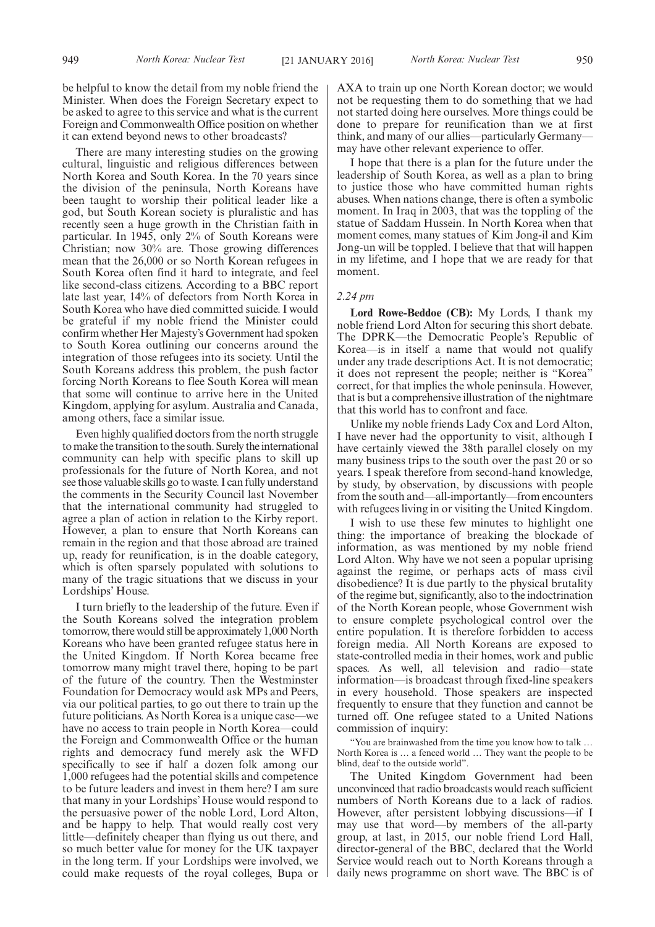be helpful to know the detail from my noble friend the Minister. When does the Foreign Secretary expect to be asked to agree to this service and what is the current Foreign and Commonwealth Office position on whether it can extend beyond news to other broadcasts?

There are many interesting studies on the growing cultural, linguistic and religious differences between North Korea and South Korea. In the 70 years since the division of the peninsula, North Koreans have been taught to worship their political leader like a god, but South Korean society is pluralistic and has recently seen a huge growth in the Christian faith in particular. In 1945, only 2% of South Koreans were Christian; now 30% are. Those growing differences mean that the 26,000 or so North Korean refugees in South Korea often find it hard to integrate, and feel like second-class citizens. According to a BBC report late last year, 14% of defectors from North Korea in South Korea who have died committed suicide. I would be grateful if my noble friend the Minister could confirm whether Her Majesty's Government had spoken to South Korea outlining our concerns around the integration of those refugees into its society. Until the South Koreans address this problem, the push factor forcing North Koreans to flee South Korea will mean that some will continue to arrive here in the United Kingdom, applying for asylum. Australia and Canada, among others, face a similar issue.

Even highly qualified doctors from the north struggle to make the transition to the south. Surely the international community can help with specific plans to skill up professionals for the future of North Korea, and not see those valuable skills go to waste. I can fully understand the comments in the Security Council last November that the international community had struggled to agree a plan of action in relation to the Kirby report. However, a plan to ensure that North Koreans can remain in the region and that those abroad are trained up, ready for reunification, is in the doable category, which is often sparsely populated with solutions to many of the tragic situations that we discuss in your Lordships' House.

I turn briefly to the leadership of the future. Even if the South Koreans solved the integration problem tomorrow, there would still be approximately 1,000 North Koreans who have been granted refugee status here in the United Kingdom. If North Korea became free tomorrow many might travel there, hoping to be part of the future of the country. Then the Westminster Foundation for Democracy would ask MPs and Peers, via our political parties, to go out there to train up the future politicians. As North Korea is a unique case—we have no access to train people in North Korea—could the Foreign and Commonwealth Office or the human rights and democracy fund merely ask the WFD specifically to see if half a dozen folk among our 1,000 refugees had the potential skills and competence to be future leaders and invest in them here? I am sure that many in your Lordships' House would respond to the persuasive power of the noble Lord, Lord Alton, and be happy to help. That would really cost very little—definitely cheaper than flying us out there, and so much better value for money for the UK taxpayer in the long term. If your Lordships were involved, we could make requests of the royal colleges, Bupa or

AXA to train up one North Korean doctor; we would not be requesting them to do something that we had not started doing here ourselves. More things could be done to prepare for reunification than we at first think, and many of our allies—particularly Germany may have other relevant experience to offer.

I hope that there is a plan for the future under the leadership of South Korea, as well as a plan to bring to justice those who have committed human rights abuses. When nations change, there is often a symbolic moment. In Iraq in 2003, that was the toppling of the statue of Saddam Hussein. In North Korea when that moment comes, many statues of Kim Jong-il and Kim Jong-un will be toppled. I believe that that will happen in my lifetime, and I hope that we are ready for that moment.

### *2.24 pm*

**Lord Rowe-Beddoe (CB):** My Lords, I thank my noble friend Lord Alton for securing this short debate. The DPRK—the Democratic People's Republic of Korea—is in itself a name that would not qualify under any trade descriptions Act. It is not democratic; it does not represent the people; neither is "Korea" correct, for that implies the whole peninsula. However, that is but a comprehensive illustration of the nightmare that this world has to confront and face.

Unlike my noble friends Lady Cox and Lord Alton, I have never had the opportunity to visit, although I have certainly viewed the 38th parallel closely on my many business trips to the south over the past 20 or so years. I speak therefore from second-hand knowledge, by study, by observation, by discussions with people from the south and—all-importantly—from encounters with refugees living in or visiting the United Kingdom.

I wish to use these few minutes to highlight one thing: the importance of breaking the blockade of information, as was mentioned by my noble friend Lord Alton. Why have we not seen a popular uprising against the regime, or perhaps acts of mass civil disobedience? It is due partly to the physical brutality of the regime but, significantly, also to the indoctrination of the North Korean people, whose Government wish to ensure complete psychological control over the entire population. It is therefore forbidden to access foreign media. All North Koreans are exposed to state-controlled media in their homes, work and public spaces. As well, all television and radio—state information—is broadcast through fixed-line speakers in every household. Those speakers are inspected frequently to ensure that they function and cannot be turned off. One refugee stated to a United Nations commission of inquiry:

"You are brainwashed from the time you know how to talk … North Korea is … a fenced world … They want the people to be blind, deaf to the outside world".

The United Kingdom Government had been unconvinced that radio broadcasts would reach sufficient numbers of North Koreans due to a lack of radios. However, after persistent lobbying discussions—if I may use that word—by members of the all-party group, at last, in 2015, our noble friend Lord Hall, director-general of the BBC, declared that the World Service would reach out to North Koreans through a daily news programme on short wave. The BBC is of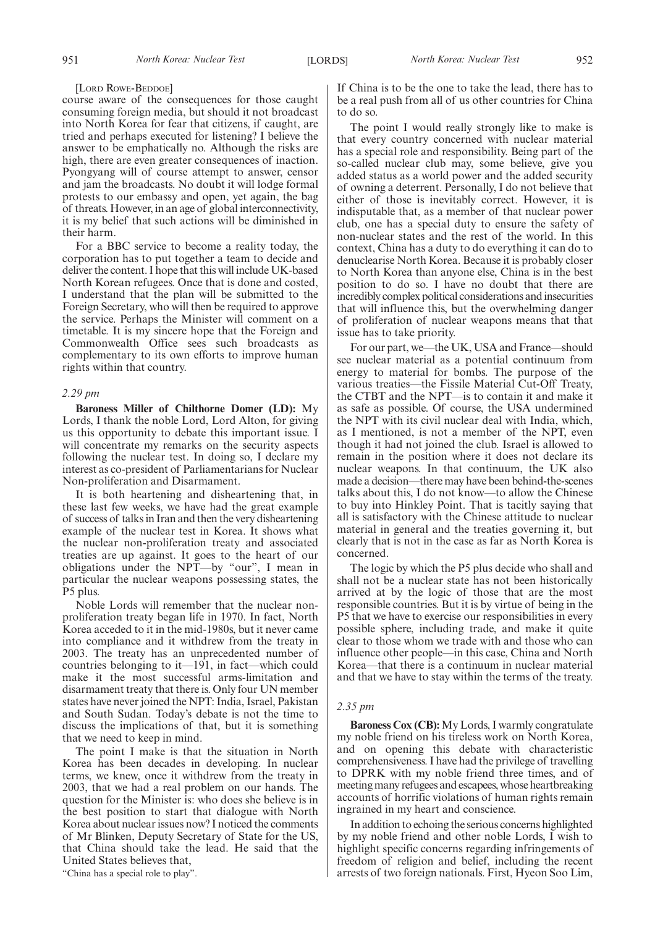#### [LORD ROWE-BEDDOE]

course aware of the consequences for those caught consuming foreign media, but should it not broadcast into North Korea for fear that citizens, if caught, are tried and perhaps executed for listening? I believe the answer to be emphatically no. Although the risks are high, there are even greater consequences of inaction. Pyongyang will of course attempt to answer, censor and jam the broadcasts. No doubt it will lodge formal protests to our embassy and open, yet again, the bag of threats. However, in an age of global interconnectivity, it is my belief that such actions will be diminished in their harm.

For a BBC service to become a reality today, the corporation has to put together a team to decide and deliver the content. I hope that this will include UK-based North Korean refugees. Once that is done and costed, I understand that the plan will be submitted to the Foreign Secretary, who will then be required to approve the service. Perhaps the Minister will comment on a timetable. It is my sincere hope that the Foreign and Commonwealth Office sees such broadcasts as complementary to its own efforts to improve human rights within that country.

### *2.29 pm*

**Baroness Miller of Chilthorne Domer (LD):** My Lords, I thank the noble Lord, Lord Alton, for giving us this opportunity to debate this important issue. I will concentrate my remarks on the security aspects following the nuclear test. In doing so, I declare my interest as co-president of Parliamentarians for Nuclear Non-proliferation and Disarmament.

It is both heartening and disheartening that, in these last few weeks, we have had the great example of success of talks in Iran and then the very disheartening example of the nuclear test in Korea. It shows what the nuclear non-proliferation treaty and associated treaties are up against. It goes to the heart of our obligations under the NPT—by "our", I mean in particular the nuclear weapons possessing states, the P5 plus.

Noble Lords will remember that the nuclear nonproliferation treaty began life in 1970. In fact, North Korea acceded to it in the mid-1980s, but it never came into compliance and it withdrew from the treaty in 2003. The treaty has an unprecedented number of countries belonging to it—191, in fact—which could make it the most successful arms-limitation and disarmament treaty that there is. Only four UN member states have never joined the NPT: India, Israel, Pakistan and South Sudan. Today's debate is not the time to discuss the implications of that, but it is something that we need to keep in mind.

The point I make is that the situation in North Korea has been decades in developing. In nuclear terms, we knew, once it withdrew from the treaty in 2003, that we had a real problem on our hands. The question for the Minister is: who does she believe is in the best position to start that dialogue with North Korea about nuclear issues now? I noticed the comments of Mr Blinken, Deputy Secretary of State for the US, that China should take the lead. He said that the United States believes that,

"China has a special role to play".

If China is to be the one to take the lead, there has to be a real push from all of us other countries for China to do so.

The point I would really strongly like to make is that every country concerned with nuclear material has a special role and responsibility. Being part of the so-called nuclear club may, some believe, give you added status as a world power and the added security of owning a deterrent. Personally, I do not believe that either of those is inevitably correct. However, it is indisputable that, as a member of that nuclear power club, one has a special duty to ensure the safety of non-nuclear states and the rest of the world. In this context, China has a duty to do everything it can do to denuclearise North Korea. Because it is probably closer to North Korea than anyone else, China is in the best position to do so. I have no doubt that there are incredibly complex political considerations and insecurities that will influence this, but the overwhelming danger of proliferation of nuclear weapons means that that issue has to take priority.

For our part, we—the UK, USA and France—should see nuclear material as a potential continuum from energy to material for bombs. The purpose of the various treaties—the Fissile Material Cut-Off Treaty, the CTBT and the NPT—is to contain it and make it as safe as possible. Of course, the USA undermined the NPT with its civil nuclear deal with India, which, as I mentioned, is not a member of the NPT, even though it had not joined the club. Israel is allowed to remain in the position where it does not declare its nuclear weapons. In that continuum, the UK also made a decision—there may have been behind-the-scenes talks about this, I do not know—to allow the Chinese to buy into Hinkley Point. That is tacitly saying that all is satisfactory with the Chinese attitude to nuclear material in general and the treaties governing it, but clearly that is not in the case as far as North Korea is concerned.

The logic by which the P5 plus decide who shall and shall not be a nuclear state has not been historically arrived at by the logic of those that are the most responsible countries. But it is by virtue of being in the P5 that we have to exercise our responsibilities in every possible sphere, including trade, and make it quite clear to those whom we trade with and those who can influence other people—in this case, China and North Korea—that there is a continuum in nuclear material and that we have to stay within the terms of the treaty.

### *2.35 pm*

**Baroness Cox (CB):** My Lords, I warmly congratulate my noble friend on his tireless work on North Korea, and on opening this debate with characteristic comprehensiveness. I have had the privilege of travelling to DPRK with my noble friend three times, and of meeting many refugees and escapees, whose heartbreaking accounts of horrific violations of human rights remain ingrained in my heart and conscience.

In addition to echoing the serious concerns highlighted by my noble friend and other noble Lords, I wish to highlight specific concerns regarding infringements of freedom of religion and belief, including the recent arrests of two foreign nationals. First, Hyeon Soo Lim,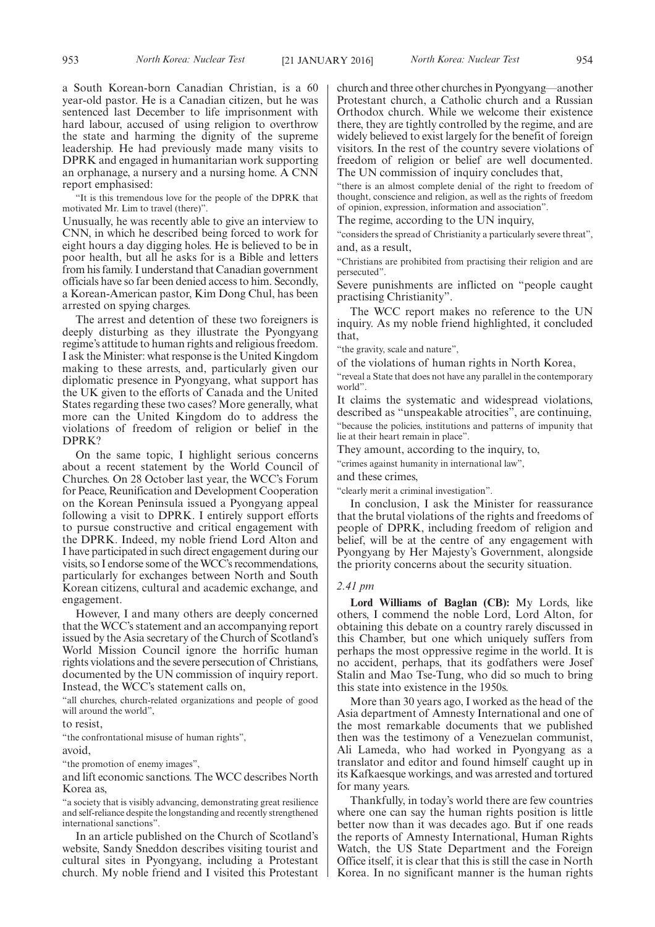a South Korean-born Canadian Christian, is a 60 year-old pastor. He is a Canadian citizen, but he was sentenced last December to life imprisonment with hard labour, accused of using religion to overthrow the state and harming the dignity of the supreme leadership. He had previously made many visits to DPRK and engaged in humanitarian work supporting an orphanage, a nursery and a nursing home. A CNN report emphasised:

"It is this tremendous love for the people of the DPRK that motivated Mr. Lim to travel (there)".

Unusually, he was recently able to give an interview to CNN, in which he described being forced to work for eight hours a day digging holes. He is believed to be in poor health, but all he asks for is a Bible and letters from his family. I understand that Canadian government officials have so far been denied access to him. Secondly, a Korean-American pastor, Kim Dong Chul, has been arrested on spying charges.

The arrest and detention of these two foreigners is deeply disturbing as they illustrate the Pyongyang regime's attitude to human rights and religious freedom. I ask the Minister: what response is the United Kingdom making to these arrests, and, particularly given our diplomatic presence in Pyongyang, what support has the UK given to the efforts of Canada and the United States regarding these two cases? More generally, what more can the United Kingdom do to address the violations of freedom of religion or belief in the DPRK?

On the same topic, I highlight serious concerns about a recent statement by the World Council of Churches. On 28 October last year, the WCC's Forum for Peace, Reunification and Development Cooperation on the Korean Peninsula issued a Pyongyang appeal following a visit to DPRK. I entirely support efforts to pursue constructive and critical engagement with the DPRK. Indeed, my noble friend Lord Alton and I have participated in such direct engagement during our visits, so I endorse some of theWCC's recommendations, particularly for exchanges between North and South Korean citizens, cultural and academic exchange, and engagement.

However, I and many others are deeply concerned that the WCC's statement and an accompanying report issued by the Asia secretary of the Church of Scotland's World Mission Council ignore the horrific human rights violations and the severe persecution of Christians, documented by the UN commission of inquiry report. Instead, the WCC's statement calls on,

"all churches, church-related organizations and people of good will around the world",

to resist,

"the confrontational misuse of human rights",

avoid,

"the promotion of enemy images",

and lift economic sanctions. The WCC describes North Korea as,

"a society that is visibly advancing, demonstrating great resilience and self-reliance despite the longstanding and recently strengthened international sanctions".

In an article published on the Church of Scotland's website, Sandy Sneddon describes visiting tourist and cultural sites in Pyongyang, including a Protestant church. My noble friend and I visited this Protestant church and three other churches in Pyongyang—another Protestant church, a Catholic church and a Russian Orthodox church. While we welcome their existence there, they are tightly controlled by the regime, and are widely believed to exist largely for the benefit of foreign visitors. In the rest of the country severe violations of freedom of religion or belief are well documented. The UN commission of inquiry concludes that,

"there is an almost complete denial of the right to freedom of thought, conscience and religion, as well as the rights of freedom of opinion, expression, information and association".

The regime, according to the UN inquiry,

'considers the spread of Christianity a particularly severe threat", and, as a result,

"Christians are prohibited from practising their religion and are persecuted".

Severe punishments are inflicted on "people caught practising Christianity".

The WCC report makes no reference to the UN inquiry. As my noble friend highlighted, it concluded that,

"the gravity, scale and nature",

of the violations of human rights in North Korea,

"reveal a State that does not have any parallel in the contemporary world".

It claims the systematic and widespread violations, described as "unspeakable atrocities", are continuing, "because the policies, institutions and patterns of impunity that lie at their heart remain in place".

They amount, according to the inquiry, to,

"crimes against humanity in international law",

and these crimes,

"clearly merit a criminal investigation".

In conclusion, I ask the Minister for reassurance that the brutal violations of the rights and freedoms of people of DPRK, including freedom of religion and belief, will be at the centre of any engagement with Pyongyang by Her Majesty's Government, alongside the priority concerns about the security situation.

### *2.41 pm*

**Lord Williams of Baglan (CB):** My Lords, like others, I commend the noble Lord, Lord Alton, for obtaining this debate on a country rarely discussed in this Chamber, but one which uniquely suffers from perhaps the most oppressive regime in the world. It is no accident, perhaps, that its godfathers were Josef Stalin and Mao Tse-Tung, who did so much to bring this state into existence in the 1950s.

More than 30 years ago, I worked as the head of the Asia department of Amnesty International and one of the most remarkable documents that we published then was the testimony of a Venezuelan communist, Ali Lameda, who had worked in Pyongyang as a translator and editor and found himself caught up in its Kafkaesque workings, and was arrested and tortured for many years.

Thankfully, in today's world there are few countries where one can say the human rights position is little better now than it was decades ago. But if one reads the reports of Amnesty International, Human Rights Watch, the US State Department and the Foreign Office itself, it is clear that this is still the case in North Korea. In no significant manner is the human rights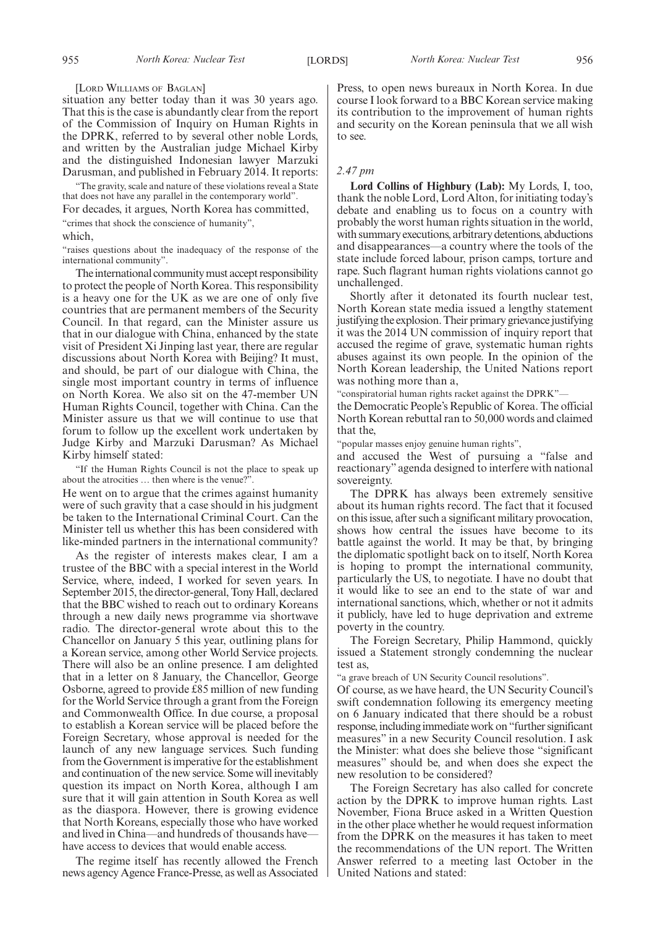[LORD WILLIAMS OF BAGLAN]

situation any better today than it was 30 years ago. That this is the case is abundantly clear from the report of the Commission of Inquiry on Human Rights in the DPRK, referred to by several other noble Lords, and written by the Australian judge Michael Kirby and the distinguished Indonesian lawyer Marzuki Darusman, and published in February 2014. It reports:

"The gravity, scale and nature of these violations reveal a State that does not have any parallel in the contemporary world".

For decades, it argues, North Korea has committed,

"crimes that shock the conscience of humanity",

which,

"raises questions about the inadequacy of the response of the international community".

The international community must accept responsibility to protect the people of North Korea. This responsibility is a heavy one for the UK as we are one of only five countries that are permanent members of the Security Council. In that regard, can the Minister assure us that in our dialogue with China, enhanced by the state visit of President Xi Jinping last year, there are regular discussions about North Korea with Beijing? It must, and should, be part of our dialogue with China, the single most important country in terms of influence on North Korea. We also sit on the 47-member UN Human Rights Council, together with China. Can the Minister assure us that we will continue to use that forum to follow up the excellent work undertaken by Judge Kirby and Marzuki Darusman? As Michael Kirby himself stated:

"If the Human Rights Council is not the place to speak up about the atrocities … then where is the venue?".

He went on to argue that the crimes against humanity were of such gravity that a case should in his judgment be taken to the International Criminal Court. Can the Minister tell us whether this has been considered with like-minded partners in the international community?

As the register of interests makes clear, I am a trustee of the BBC with a special interest in the World Service, where, indeed, I worked for seven years. In September 2015, the director-general, Tony Hall, declared that the BBC wished to reach out to ordinary Koreans through a new daily news programme via shortwave radio. The director-general wrote about this to the Chancellor on January 5 this year, outlining plans for a Korean service, among other World Service projects. There will also be an online presence. I am delighted that in a letter on 8 January, the Chancellor, George Osborne, agreed to provide £85 million of new funding for the World Service through a grant from the Foreign and Commonwealth Office. In due course, a proposal to establish a Korean service will be placed before the Foreign Secretary, whose approval is needed for the launch of any new language services. Such funding from the Government is imperative for the establishment and continuation of the new service. Some will inevitably question its impact on North Korea, although I am sure that it will gain attention in South Korea as well as the diaspora. However, there is growing evidence that North Koreans, especially those who have worked and lived in China—and hundreds of thousands have have access to devices that would enable access.

The regime itself has recently allowed the French news agency Agence France-Presse, as well as Associated Press, to open news bureaux in North Korea. In due course I look forward to a BBC Korean service making its contribution to the improvement of human rights and security on the Korean peninsula that we all wish to see.

### *2.47 pm*

**Lord Collins of Highbury (Lab):** My Lords, I, too, thank the noble Lord, Lord Alton, for initiating today's debate and enabling us to focus on a country with probably the worst human rights situation in the world, with summary executions, arbitrary detentions, abductions and disappearances—a country where the tools of the state include forced labour, prison camps, torture and rape. Such flagrant human rights violations cannot go unchallenged.

Shortly after it detonated its fourth nuclear test, North Korean state media issued a lengthy statement justifying the explosion. Their primary grievance justifying it was the 2014 UN commission of inquiry report that accused the regime of grave, systematic human rights abuses against its own people. In the opinion of the North Korean leadership, the United Nations report was nothing more than a,

"conspiratorial human rights racket against the DPRK"—

the Democratic People's Republic of Korea. The official North Korean rebuttal ran to 50,000 words and claimed that the,

"popular masses enjoy genuine human rights",

and accused the West of pursuing a "false and reactionary" agenda designed to interfere with national sovereignty.

The DPRK has always been extremely sensitive about its human rights record. The fact that it focused on this issue, after such a significant military provocation, shows how central the issues have become to its battle against the world. It may be that, by bringing the diplomatic spotlight back on to itself, North Korea is hoping to prompt the international community, particularly the US, to negotiate. I have no doubt that it would like to see an end to the state of war and international sanctions, which, whether or not it admits it publicly, have led to huge deprivation and extreme poverty in the country.

The Foreign Secretary, Philip Hammond, quickly issued a Statement strongly condemning the nuclear test as,

"a grave breach of UN Security Council resolutions".

Of course, as we have heard, the UN Security Council's swift condemnation following its emergency meeting on 6 January indicated that there should be a robust response, including immediate work on "further significant measures" in a new Security Council resolution. I ask the Minister: what does she believe those "significant measures" should be, and when does she expect the new resolution to be considered?

The Foreign Secretary has also called for concrete action by the DPRK to improve human rights. Last November, Fiona Bruce asked in a Written Question in the other place whether he would request information from the DPRK on the measures it has taken to meet the recommendations of the UN report. The Written Answer referred to a meeting last October in the United Nations and stated: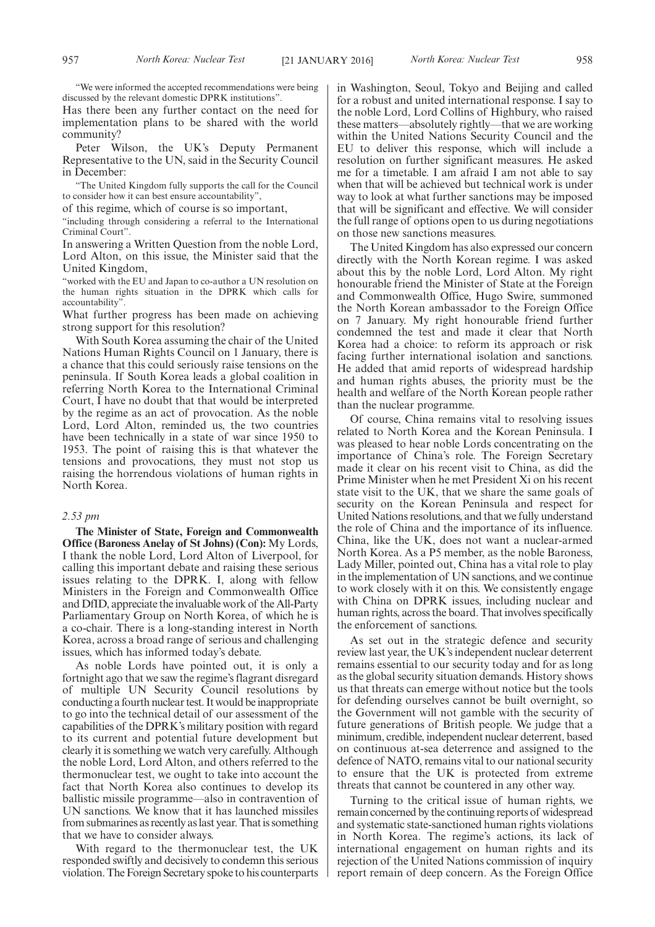"We were informed the accepted recommendations were being discussed by the relevant domestic DPRK institutions".

Has there been any further contact on the need for implementation plans to be shared with the world community?

Peter Wilson, the UK's Deputy Permanent Representative to the UN, said in the Security Council in December:

"The United Kingdom fully supports the call for the Council to consider how it can best ensure accountability",

of this regime, which of course is so important,

"including through considering a referral to the International Criminal Court".

In answering a Written Question from the noble Lord, Lord Alton, on this issue, the Minister said that the United Kingdom,

"worked with the EU and Japan to co-author a UN resolution on the human rights situation in the DPRK which calls for accountability".

What further progress has been made on achieving strong support for this resolution?

With South Korea assuming the chair of the United Nations Human Rights Council on 1 January, there is a chance that this could seriously raise tensions on the peninsula. If South Korea leads a global coalition in referring North Korea to the International Criminal Court, I have no doubt that that would be interpreted by the regime as an act of provocation. As the noble Lord, Lord Alton, reminded us, the two countries have been technically in a state of war since 1950 to 1953. The point of raising this is that whatever the tensions and provocations, they must not stop us raising the horrendous violations of human rights in North Korea.

### *2.53 pm*

**The Minister of State, Foreign and Commonwealth Office (Baroness Anelay of St Johns) (Con):** My Lords, I thank the noble Lord, Lord Alton of Liverpool, for calling this important debate and raising these serious issues relating to the DPRK. I, along with fellow Ministers in the Foreign and Commonwealth Office and DfID, appreciate the invaluable work of the All-Party Parliamentary Group on North Korea, of which he is a co-chair. There is a long-standing interest in North Korea, across a broad range of serious and challenging issues, which has informed today's debate.

As noble Lords have pointed out, it is only a fortnight ago that we saw the regime's flagrant disregard of multiple UN Security Council resolutions by conducting a fourth nuclear test. It would be inappropriate to go into the technical detail of our assessment of the capabilities of the DPRK's military position with regard to its current and potential future development but clearly it is something we watch very carefully. Although the noble Lord, Lord Alton, and others referred to the thermonuclear test, we ought to take into account the fact that North Korea also continues to develop its ballistic missile programme—also in contravention of UN sanctions. We know that it has launched missiles from submarines as recently as last year. That is something that we have to consider always.

With regard to the thermonuclear test, the UK responded swiftly and decisively to condemn this serious violation. The Foreign Secretary spoke to his counterparts in Washington, Seoul, Tokyo and Beijing and called for a robust and united international response. I say to the noble Lord, Lord Collins of Highbury, who raised these matters—absolutely rightly—that we are working within the United Nations Security Council and the EU to deliver this response, which will include a resolution on further significant measures. He asked me for a timetable. I am afraid I am not able to say when that will be achieved but technical work is under way to look at what further sanctions may be imposed that will be significant and effective. We will consider the full range of options open to us during negotiations on those new sanctions measures.

The United Kingdom has also expressed our concern directly with the North Korean regime. I was asked about this by the noble Lord, Lord Alton. My right honourable friend the Minister of State at the Foreign and Commonwealth Office, Hugo Swire, summoned the North Korean ambassador to the Foreign Office on 7 January. My right honourable friend further condemned the test and made it clear that North Korea had a choice: to reform its approach or risk facing further international isolation and sanctions. He added that amid reports of widespread hardship and human rights abuses, the priority must be the health and welfare of the North Korean people rather than the nuclear programme.

Of course, China remains vital to resolving issues related to North Korea and the Korean Peninsula. I was pleased to hear noble Lords concentrating on the importance of China's role. The Foreign Secretary made it clear on his recent visit to China, as did the Prime Minister when he met President Xi on his recent state visit to the UK, that we share the same goals of security on the Korean Peninsula and respect for United Nations resolutions, and that we fully understand the role of China and the importance of its influence. China, like the UK, does not want a nuclear-armed North Korea. As a P5 member, as the noble Baroness, Lady Miller, pointed out, China has a vital role to play in the implementation of UN sanctions, and we continue to work closely with it on this. We consistently engage with China on DPRK issues, including nuclear and human rights, across the board. That involves specifically the enforcement of sanctions.

As set out in the strategic defence and security review last year, the UK's independent nuclear deterrent remains essential to our security today and for as long as the global security situation demands. History shows us that threats can emerge without notice but the tools for defending ourselves cannot be built overnight, so the Government will not gamble with the security of future generations of British people. We judge that a minimum, credible, independent nuclear deterrent, based on continuous at-sea deterrence and assigned to the defence of NATO, remains vital to our national security to ensure that the UK is protected from extreme threats that cannot be countered in any other way.

Turning to the critical issue of human rights, we remain concerned by the continuing reports of widespread and systematic state-sanctioned human rights violations in North Korea. The regime's actions, its lack of international engagement on human rights and its rejection of the United Nations commission of inquiry report remain of deep concern. As the Foreign Office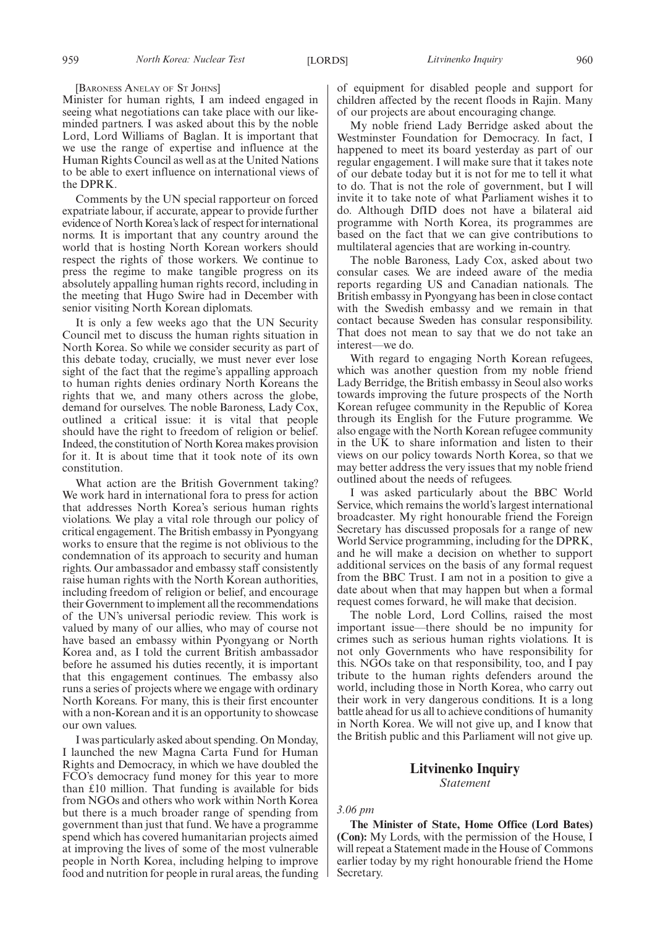#### [BARONESS ANELAY OF ST JOHNS]

Minister for human rights, I am indeed engaged in seeing what negotiations can take place with our likeminded partners. I was asked about this by the noble Lord, Lord Williams of Baglan. It is important that we use the range of expertise and influence at the Human Rights Council as well as at the United Nations to be able to exert influence on international views of the DPRK.

Comments by the UN special rapporteur on forced expatriate labour, if accurate, appear to provide further evidence of North Korea's lack of respect for international norms. It is important that any country around the world that is hosting North Korean workers should respect the rights of those workers. We continue to press the regime to make tangible progress on its absolutely appalling human rights record, including in the meeting that Hugo Swire had in December with senior visiting North Korean diplomats.

It is only a few weeks ago that the UN Security Council met to discuss the human rights situation in North Korea. So while we consider security as part of this debate today, crucially, we must never ever lose sight of the fact that the regime's appalling approach to human rights denies ordinary North Koreans the rights that we, and many others across the globe, demand for ourselves. The noble Baroness, Lady Cox, outlined a critical issue: it is vital that people should have the right to freedom of religion or belief. Indeed, the constitution of North Korea makes provision for it. It is about time that it took note of its own constitution.

What action are the British Government taking? We work hard in international fora to press for action that addresses North Korea's serious human rights violations. We play a vital role through our policy of critical engagement. The British embassy in Pyongyang works to ensure that the regime is not oblivious to the condemnation of its approach to security and human rights. Our ambassador and embassy staff consistently raise human rights with the North Korean authorities, including freedom of religion or belief, and encourage their Government to implement all the recommendations of the UN's universal periodic review. This work is valued by many of our allies, who may of course not have based an embassy within Pyongyang or North Korea and, as I told the current British ambassador before he assumed his duties recently, it is important that this engagement continues. The embassy also runs a series of projects where we engage with ordinary North Koreans. For many, this is their first encounter with a non-Korean and it is an opportunity to showcase our own values.

I was particularly asked about spending. On Monday, I launched the new Magna Carta Fund for Human Rights and Democracy, in which we have doubled the FCO's democracy fund money for this year to more than £10 million. That funding is available for bids from NGOs and others who work within North Korea but there is a much broader range of spending from government than just that fund. We have a programme spend which has covered humanitarian projects aimed at improving the lives of some of the most vulnerable people in North Korea, including helping to improve food and nutrition for people in rural areas, the funding of equipment for disabled people and support for children affected by the recent floods in Rajin. Many of our projects are about encouraging change.

My noble friend Lady Berridge asked about the Westminster Foundation for Democracy. In fact, I happened to meet its board yesterday as part of our regular engagement. I will make sure that it takes note of our debate today but it is not for me to tell it what to do. That is not the role of government, but I will invite it to take note of what Parliament wishes it to do. Although DfID does not have a bilateral aid programme with North Korea, its programmes are based on the fact that we can give contributions to multilateral agencies that are working in-country.

The noble Baroness, Lady Cox, asked about two consular cases. We are indeed aware of the media reports regarding US and Canadian nationals. The British embassy in Pyongyang has been in close contact with the Swedish embassy and we remain in that contact because Sweden has consular responsibility. That does not mean to say that we do not take an interest—we do.

With regard to engaging North Korean refugees, which was another question from my noble friend Lady Berridge, the British embassy in Seoul also works towards improving the future prospects of the North Korean refugee community in the Republic of Korea through its English for the Future programme. We also engage with the North Korean refugee community in the UK to share information and listen to their views on our policy towards North Korea, so that we may better address the very issues that my noble friend outlined about the needs of refugees.

I was asked particularly about the BBC World Service, which remains the world's largest international broadcaster. My right honourable friend the Foreign Secretary has discussed proposals for a range of new World Service programming, including for the DPRK, and he will make a decision on whether to support additional services on the basis of any formal request from the BBC Trust. I am not in a position to give a date about when that may happen but when a formal request comes forward, he will make that decision.

The noble Lord, Lord Collins, raised the most important issue—there should be no impunity for crimes such as serious human rights violations. It is not only Governments who have responsibility for this. NGOs take on that responsibility, too, and I pay tribute to the human rights defenders around the world, including those in North Korea, who carry out their work in very dangerous conditions. It is a long battle ahead for us all to achieve conditions of humanity in North Korea. We will not give up, and I know that the British public and this Parliament will not give up.

### **Litvinenko Inquiry** *Statement*

### *3.06 pm*

**The Minister of State, Home Office (Lord Bates) (Con):** My Lords, with the permission of the House, I will repeat a Statement made in the House of Commons earlier today by my right honourable friend the Home Secretary.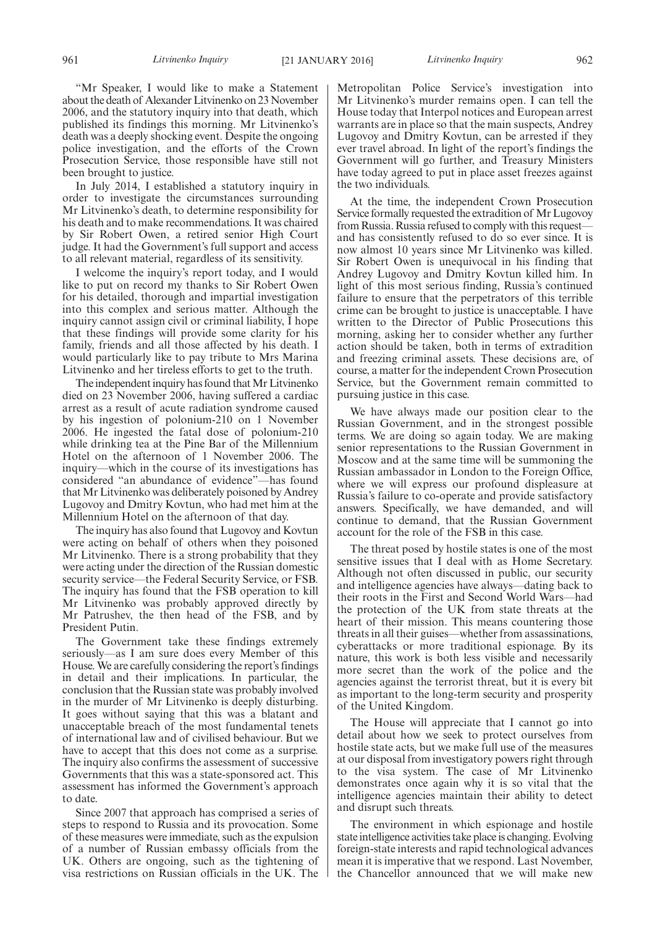"Mr Speaker, I would like to make a Statement about the death of Alexander Litvinenko on 23 November 2006, and the statutory inquiry into that death, which published its findings this morning. Mr Litvinenko's death was a deeply shocking event. Despite the ongoing police investigation, and the efforts of the Crown Prosecution Service, those responsible have still not been brought to justice.

In July 2014, I established a statutory inquiry in order to investigate the circumstances surrounding Mr Litvinenko's death, to determine responsibility for his death and to make recommendations. It was chaired by Sir Robert Owen, a retired senior High Court judge. It had the Government's full support and access to all relevant material, regardless of its sensitivity.

I welcome the inquiry's report today, and I would like to put on record my thanks to Sir Robert Owen for his detailed, thorough and impartial investigation into this complex and serious matter. Although the inquiry cannot assign civil or criminal liability, I hope that these findings will provide some clarity for his family, friends and all those affected by his death. I would particularly like to pay tribute to Mrs Marina Litvinenko and her tireless efforts to get to the truth.

The independent inquiry has found that Mr Litvinenko died on 23 November 2006, having suffered a cardiac arrest as a result of acute radiation syndrome caused by his ingestion of polonium-210 on 1 November 2006. He ingested the fatal dose of polonium-210 while drinking tea at the Pine Bar of the Millennium Hotel on the afternoon of 1 November 2006. The inquiry—which in the course of its investigations has considered "an abundance of evidence"—has found that Mr Litvinenko was deliberately poisoned by Andrey Lugovoy and Dmitry Kovtun, who had met him at the Millennium Hotel on the afternoon of that day.

The inquiry has also found that Lugovoy and Kovtun were acting on behalf of others when they poisoned Mr Litvinenko. There is a strong probability that they were acting under the direction of the Russian domestic security service—the Federal Security Service, or FSB. The inquiry has found that the FSB operation to kill Mr Litvinenko was probably approved directly by Mr Patrushev, the then head of the FSB, and by President Putin.

The Government take these findings extremely seriously—as I am sure does every Member of this House. We are carefully considering the report's findings in detail and their implications. In particular, the conclusion that the Russian state was probably involved in the murder of Mr Litvinenko is deeply disturbing. It goes without saying that this was a blatant and unacceptable breach of the most fundamental tenets of international law and of civilised behaviour. But we have to accept that this does not come as a surprise. The inquiry also confirms the assessment of successive Governments that this was a state-sponsored act. This assessment has informed the Government's approach to date.

Since 2007 that approach has comprised a series of steps to respond to Russia and its provocation. Some of these measures were immediate, such as the expulsion of a number of Russian embassy officials from the UK. Others are ongoing, such as the tightening of visa restrictions on Russian officials in the UK. The

Metropolitan Police Service's investigation into Mr Litvinenko's murder remains open. I can tell the House today that Interpol notices and European arrest warrants are in place so that the main suspects, Andrey Lugovoy and Dmitry Kovtun, can be arrested if they ever travel abroad. In light of the report's findings the Government will go further, and Treasury Ministers have today agreed to put in place asset freezes against the two individuals.

At the time, the independent Crown Prosecution Service formally requested the extradition of Mr Lugovoy from Russia. Russia refused to comply with this request and has consistently refused to do so ever since. It is now almost 10 years since Mr Litvinenko was killed. Sir Robert Owen is unequivocal in his finding that Andrey Lugovoy and Dmitry Kovtun killed him. In light of this most serious finding, Russia's continued failure to ensure that the perpetrators of this terrible crime can be brought to justice is unacceptable. I have written to the Director of Public Prosecutions this morning, asking her to consider whether any further action should be taken, both in terms of extradition and freezing criminal assets. These decisions are, of course, a matter for the independent Crown Prosecution Service, but the Government remain committed to pursuing justice in this case.

We have always made our position clear to the Russian Government, and in the strongest possible terms. We are doing so again today. We are making senior representations to the Russian Government in Moscow and at the same time will be summoning the Russian ambassador in London to the Foreign Office, where we will express our profound displeasure at Russia's failure to co-operate and provide satisfactory answers. Specifically, we have demanded, and will continue to demand, that the Russian Government account for the role of the FSB in this case.

The threat posed by hostile states is one of the most sensitive issues that I deal with as Home Secretary. Although not often discussed in public, our security and intelligence agencies have always—dating back to their roots in the First and Second World Wars—had the protection of the UK from state threats at the heart of their mission. This means countering those threats in all their guises—whether from assassinations, cyberattacks or more traditional espionage. By its nature, this work is both less visible and necessarily more secret than the work of the police and the agencies against the terrorist threat, but it is every bit as important to the long-term security and prosperity of the United Kingdom.

The House will appreciate that I cannot go into detail about how we seek to protect ourselves from hostile state acts, but we make full use of the measures at our disposal from investigatory powers right through to the visa system. The case of Mr Litvinenko demonstrates once again why it is so vital that the intelligence agencies maintain their ability to detect and disrupt such threats.

The environment in which espionage and hostile state intelligence activities take place is changing. Evolving foreign-state interests and rapid technological advances mean it is imperative that we respond. Last November, the Chancellor announced that we will make new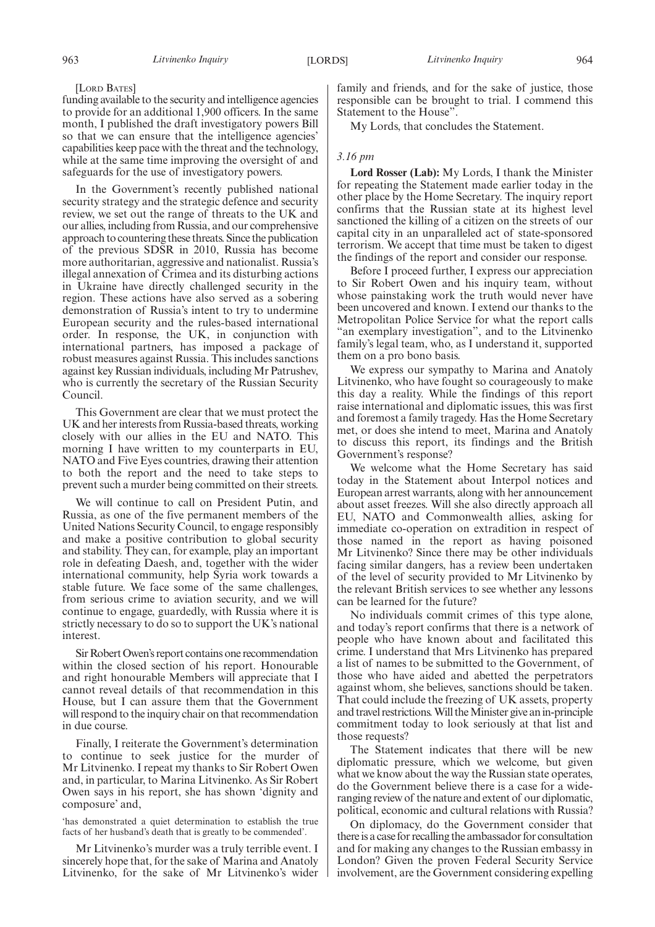### [LORD BATES]

funding available to the security and intelligence agencies to provide for an additional 1,900 officers. In the same month, I published the draft investigatory powers Bill so that we can ensure that the intelligence agencies' capabilities keep pace with the threat and the technology, while at the same time improving the oversight of and safeguards for the use of investigatory powers.

In the Government's recently published national security strategy and the strategic defence and security review, we set out the range of threats to the UK and our allies, including from Russia, and our comprehensive approach to countering these threats. Since the publication of the previous SDSR in 2010, Russia has become more authoritarian, aggressive and nationalist. Russia's illegal annexation of Crimea and its disturbing actions in Ukraine have directly challenged security in the region. These actions have also served as a sobering demonstration of Russia's intent to try to undermine European security and the rules-based international order. In response, the UK, in conjunction with international partners, has imposed a package of robust measures against Russia. This includes sanctions against key Russian individuals, including Mr Patrushev, who is currently the secretary of the Russian Security Council.

This Government are clear that we must protect the UK and her interests from Russia-based threats, working closely with our allies in the EU and NATO. This morning I have written to my counterparts in EU, NATO and Five Eyes countries, drawing their attention to both the report and the need to take steps to prevent such a murder being committed on their streets.

We will continue to call on President Putin, and Russia, as one of the five permanent members of the United Nations Security Council, to engage responsibly and make a positive contribution to global security and stability. They can, for example, play an important role in defeating Daesh, and, together with the wider international community, help Syria work towards a stable future. We face some of the same challenges, from serious crime to aviation security, and we will continue to engage, guardedly, with Russia where it is strictly necessary to do so to support the UK's national interest.

Sir Robert Owen's report contains one recommendation within the closed section of his report. Honourable and right honourable Members will appreciate that I cannot reveal details of that recommendation in this House, but I can assure them that the Government will respond to the inquiry chair on that recommendation in due course.

Finally, I reiterate the Government's determination to continue to seek justice for the murder of Mr Litvinenko. I repeat my thanks to Sir Robert Owen and, in particular, to Marina Litvinenko. As Sir Robert Owen says in his report, she has shown 'dignity and composure' and,

'has demonstrated a quiet determination to establish the true facts of her husband's death that is greatly to be commended'.

Mr Litvinenko's murder was a truly terrible event. I sincerely hope that, for the sake of Marina and Anatoly Litvinenko, for the sake of Mr Litvinenko's wider family and friends, and for the sake of justice, those responsible can be brought to trial. I commend this Statement to the House".

My Lords, that concludes the Statement.

### *3.16 pm*

**Lord Rosser (Lab):** My Lords, I thank the Minister for repeating the Statement made earlier today in the other place by the Home Secretary. The inquiry report confirms that the Russian state at its highest level sanctioned the killing of a citizen on the streets of our capital city in an unparalleled act of state-sponsored terrorism. We accept that time must be taken to digest the findings of the report and consider our response.

Before I proceed further, I express our appreciation to Sir Robert Owen and his inquiry team, without whose painstaking work the truth would never have been uncovered and known. I extend our thanks to the Metropolitan Police Service for what the report calls "an exemplary investigation", and to the Litvinenko family's legal team, who, as I understand it, supported them on a pro bono basis.

We express our sympathy to Marina and Anatoly Litvinenko, who have fought so courageously to make this day a reality. While the findings of this report raise international and diplomatic issues, this was first and foremost a family tragedy. Has the Home Secretary met, or does she intend to meet, Marina and Anatoly to discuss this report, its findings and the British Government's response?

We welcome what the Home Secretary has said today in the Statement about Interpol notices and European arrest warrants, along with her announcement about asset freezes. Will she also directly approach all EU, NATO and Commonwealth allies, asking for immediate co-operation on extradition in respect of those named in the report as having poisoned Mr Litvinenko? Since there may be other individuals facing similar dangers, has a review been undertaken of the level of security provided to Mr Litvinenko by the relevant British services to see whether any lessons can be learned for the future?

No individuals commit crimes of this type alone, and today's report confirms that there is a network of people who have known about and facilitated this crime. I understand that Mrs Litvinenko has prepared a list of names to be submitted to the Government, of those who have aided and abetted the perpetrators against whom, she believes, sanctions should be taken. That could include the freezing of UK assets, property and travel restrictions. Will the Minister give an in-principle commitment today to look seriously at that list and those requests?

The Statement indicates that there will be new diplomatic pressure, which we welcome, but given what we know about the way the Russian state operates, do the Government believe there is a case for a wideranging review of the nature and extent of our diplomatic, political, economic and cultural relations with Russia?

On diplomacy, do the Government consider that there is a case for recalling the ambassador for consultation and for making any changes to the Russian embassy in London? Given the proven Federal Security Service involvement, are the Government considering expelling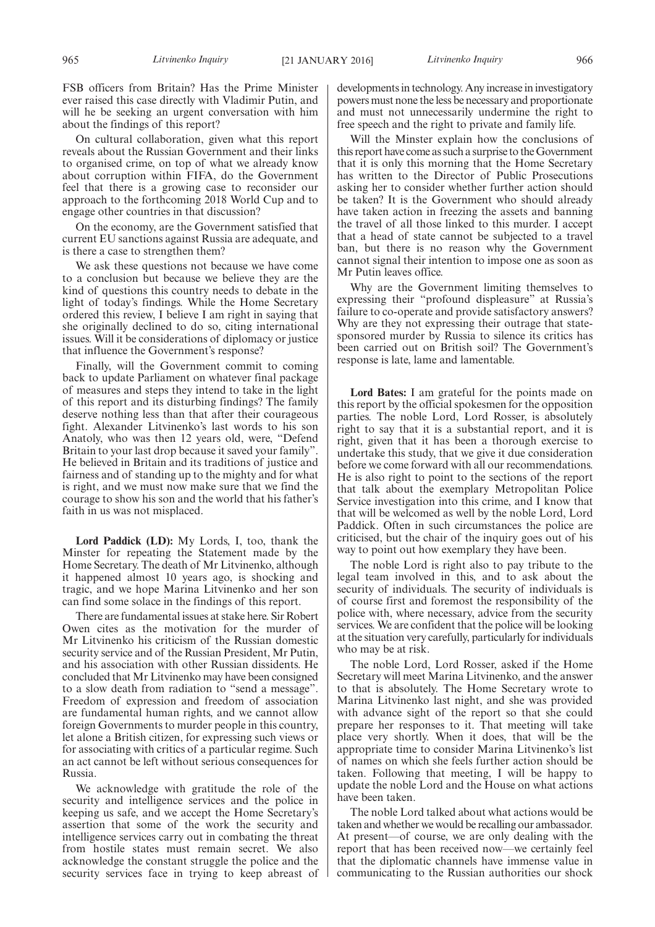FSB officers from Britain? Has the Prime Minister ever raised this case directly with Vladimir Putin, and will he be seeking an urgent conversation with him about the findings of this report?

On cultural collaboration, given what this report reveals about the Russian Government and their links to organised crime, on top of what we already know about corruption within FIFA, do the Government feel that there is a growing case to reconsider our approach to the forthcoming 2018 World Cup and to engage other countries in that discussion?

On the economy, are the Government satisfied that current EU sanctions against Russia are adequate, and is there a case to strengthen them?

We ask these questions not because we have come to a conclusion but because we believe they are the kind of questions this country needs to debate in the light of today's findings. While the Home Secretary ordered this review, I believe I am right in saying that she originally declined to do so, citing international issues. Will it be considerations of diplomacy or justice that influence the Government's response?

Finally, will the Government commit to coming back to update Parliament on whatever final package of measures and steps they intend to take in the light of this report and its disturbing findings? The family deserve nothing less than that after their courageous fight. Alexander Litvinenko's last words to his son Anatoly, who was then 12 years old, were, "Defend Britain to your last drop because it saved your family". He believed in Britain and its traditions of justice and fairness and of standing up to the mighty and for what is right, and we must now make sure that we find the courage to show his son and the world that his father's faith in us was not misplaced.

**Lord Paddick (LD):** My Lords, I, too, thank the Minster for repeating the Statement made by the Home Secretary. The death of Mr Litvinenko, although it happened almost 10 years ago, is shocking and tragic, and we hope Marina Litvinenko and her son can find some solace in the findings of this report.

There are fundamental issues at stake here. Sir Robert Owen cites as the motivation for the murder of Mr Litvinenko his criticism of the Russian domestic security service and of the Russian President, Mr Putin, and his association with other Russian dissidents. He concluded that Mr Litvinenko may have been consigned to a slow death from radiation to "send a message". Freedom of expression and freedom of association are fundamental human rights, and we cannot allow foreign Governments to murder people in this country, let alone a British citizen, for expressing such views or for associating with critics of a particular regime. Such an act cannot be left without serious consequences for Russia.

We acknowledge with gratitude the role of the security and intelligence services and the police in keeping us safe, and we accept the Home Secretary's assertion that some of the work the security and intelligence services carry out in combating the threat from hostile states must remain secret. We also acknowledge the constant struggle the police and the security services face in trying to keep abreast of developments in technology. Any increase in investigatory powers must none the less be necessary and proportionate and must not unnecessarily undermine the right to free speech and the right to private and family life.

Will the Minster explain how the conclusions of this report have come as such a surprise to theGovernment that it is only this morning that the Home Secretary has written to the Director of Public Prosecutions asking her to consider whether further action should be taken? It is the Government who should already have taken action in freezing the assets and banning the travel of all those linked to this murder. I accept that a head of state cannot be subjected to a travel ban, but there is no reason why the Government cannot signal their intention to impose one as soon as Mr Putin leaves office.

Why are the Government limiting themselves to expressing their "profound displeasure" at Russia's failure to co-operate and provide satisfactory answers? Why are they not expressing their outrage that statesponsored murder by Russia to silence its critics has been carried out on British soil? The Government's response is late, lame and lamentable.

**Lord Bates:** I am grateful for the points made on this report by the official spokesmen for the opposition parties. The noble Lord, Lord Rosser, is absolutely right to say that it is a substantial report, and it is right, given that it has been a thorough exercise to undertake this study, that we give it due consideration before we come forward with all our recommendations. He is also right to point to the sections of the report that talk about the exemplary Metropolitan Police Service investigation into this crime, and I know that that will be welcomed as well by the noble Lord, Lord Paddick. Often in such circumstances the police are criticised, but the chair of the inquiry goes out of his way to point out how exemplary they have been.

The noble Lord is right also to pay tribute to the legal team involved in this, and to ask about the security of individuals. The security of individuals is of course first and foremost the responsibility of the police with, where necessary, advice from the security services. We are confident that the police will be looking at the situation very carefully, particularly for individuals who may be at risk.

The noble Lord, Lord Rosser, asked if the Home Secretary will meet Marina Litvinenko, and the answer to that is absolutely. The Home Secretary wrote to Marina Litvinenko last night, and she was provided with advance sight of the report so that she could prepare her responses to it. That meeting will take place very shortly. When it does, that will be the appropriate time to consider Marina Litvinenko's list of names on which she feels further action should be taken. Following that meeting, I will be happy to update the noble Lord and the House on what actions have been taken.

The noble Lord talked about what actions would be taken and whether we would be recalling our ambassador. At present—of course, we are only dealing with the report that has been received now—we certainly feel that the diplomatic channels have immense value in communicating to the Russian authorities our shock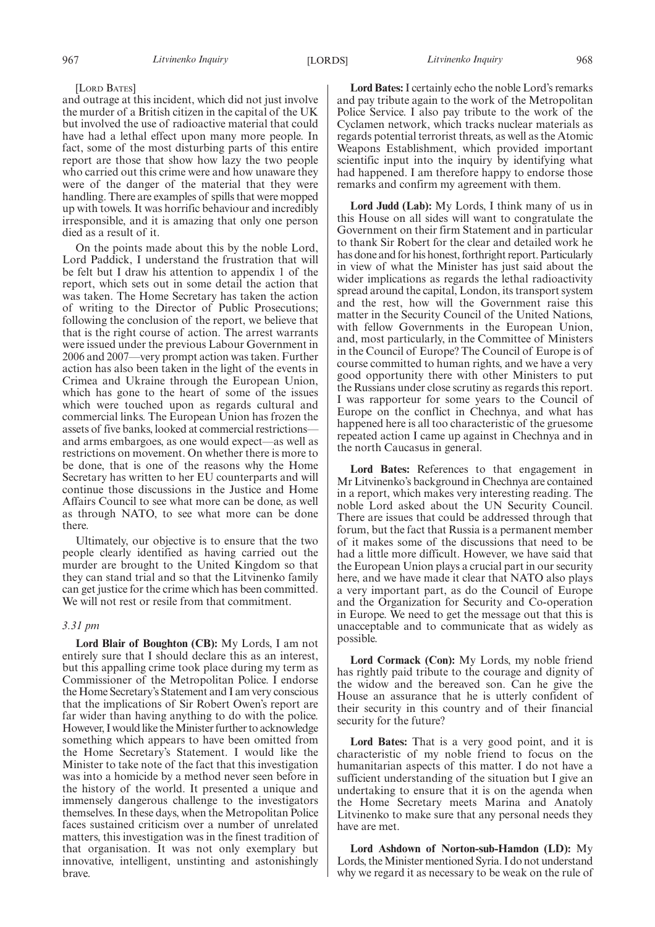### [LORD BATES]

and outrage at this incident, which did not just involve the murder of a British citizen in the capital of the UK but involved the use of radioactive material that could have had a lethal effect upon many more people. In fact, some of the most disturbing parts of this entire report are those that show how lazy the two people who carried out this crime were and how unaware they were of the danger of the material that they were handling. There are examples of spills that were mopped up with towels. It was horrific behaviour and incredibly irresponsible, and it is amazing that only one person died as a result of it.

On the points made about this by the noble Lord, Lord Paddick, I understand the frustration that will be felt but I draw his attention to appendix 1 of the report, which sets out in some detail the action that was taken. The Home Secretary has taken the action of writing to the Director of Public Prosecutions; following the conclusion of the report, we believe that that is the right course of action. The arrest warrants were issued under the previous Labour Government in 2006 and 2007—very prompt action was taken. Further action has also been taken in the light of the events in Crimea and Ukraine through the European Union, which has gone to the heart of some of the issues which were touched upon as regards cultural and commercial links. The European Union has frozen the assets of five banks, looked at commercial restrictions and arms embargoes, as one would expect—as well as restrictions on movement. On whether there is more to be done, that is one of the reasons why the Home Secretary has written to her EU counterparts and will continue those discussions in the Justice and Home Affairs Council to see what more can be done, as well as through NATO, to see what more can be done there.

Ultimately, our objective is to ensure that the two people clearly identified as having carried out the murder are brought to the United Kingdom so that they can stand trial and so that the Litvinenko family can get justice for the crime which has been committed. We will not rest or resile from that commitment.

### *3.31 pm*

**Lord Blair of Boughton (CB):** My Lords, I am not entirely sure that I should declare this as an interest, but this appalling crime took place during my term as Commissioner of the Metropolitan Police. I endorse the Home Secretary's Statement and I am very conscious that the implications of Sir Robert Owen's report are far wider than having anything to do with the police. However, I would like the Minister further to acknowledge something which appears to have been omitted from the Home Secretary's Statement. I would like the Minister to take note of the fact that this investigation was into a homicide by a method never seen before in the history of the world. It presented a unique and immensely dangerous challenge to the investigators themselves. In these days, when the Metropolitan Police faces sustained criticism over a number of unrelated matters, this investigation was in the finest tradition of that organisation. It was not only exemplary but innovative, intelligent, unstinting and astonishingly brave.

**Lord Bates:**I certainly echo the noble Lord's remarks and pay tribute again to the work of the Metropolitan Police Service. I also pay tribute to the work of the Cyclamen network, which tracks nuclear materials as regards potential terrorist threats, as well as the Atomic Weapons Establishment, which provided important scientific input into the inquiry by identifying what had happened. I am therefore happy to endorse those remarks and confirm my agreement with them.

**Lord Judd (Lab):** My Lords, I think many of us in this House on all sides will want to congratulate the Government on their firm Statement and in particular to thank Sir Robert for the clear and detailed work he has done and for his honest, forthright report. Particularly in view of what the Minister has just said about the wider implications as regards the lethal radioactivity spread around the capital, London, its transport system and the rest, how will the Government raise this matter in the Security Council of the United Nations, with fellow Governments in the European Union, and, most particularly, in the Committee of Ministers in the Council of Europe? The Council of Europe is of course committed to human rights, and we have a very good opportunity there with other Ministers to put the Russians under close scrutiny as regards this report. I was rapporteur for some years to the Council of Europe on the conflict in Chechnya, and what has happened here is all too characteristic of the gruesome repeated action I came up against in Chechnya and in the north Caucasus in general.

**Lord Bates:** References to that engagement in Mr Litvinenko's background in Chechnya are contained in a report, which makes very interesting reading. The noble Lord asked about the UN Security Council. There are issues that could be addressed through that forum, but the fact that Russia is a permanent member of it makes some of the discussions that need to be had a little more difficult. However, we have said that the European Union plays a crucial part in our security here, and we have made it clear that NATO also plays a very important part, as do the Council of Europe and the Organization for Security and Co-operation in Europe. We need to get the message out that this is unacceptable and to communicate that as widely as possible.

**Lord Cormack (Con):** My Lords, my noble friend has rightly paid tribute to the courage and dignity of the widow and the bereaved son. Can he give the House an assurance that he is utterly confident of their security in this country and of their financial security for the future?

**Lord Bates:** That is a very good point, and it is characteristic of my noble friend to focus on the humanitarian aspects of this matter. I do not have a sufficient understanding of the situation but I give an undertaking to ensure that it is on the agenda when the Home Secretary meets Marina and Anatoly Litvinenko to make sure that any personal needs they have are met.

**Lord Ashdown of Norton-sub-Hamdon (LD):** My Lords, the Minister mentioned Syria. I do not understand why we regard it as necessary to be weak on the rule of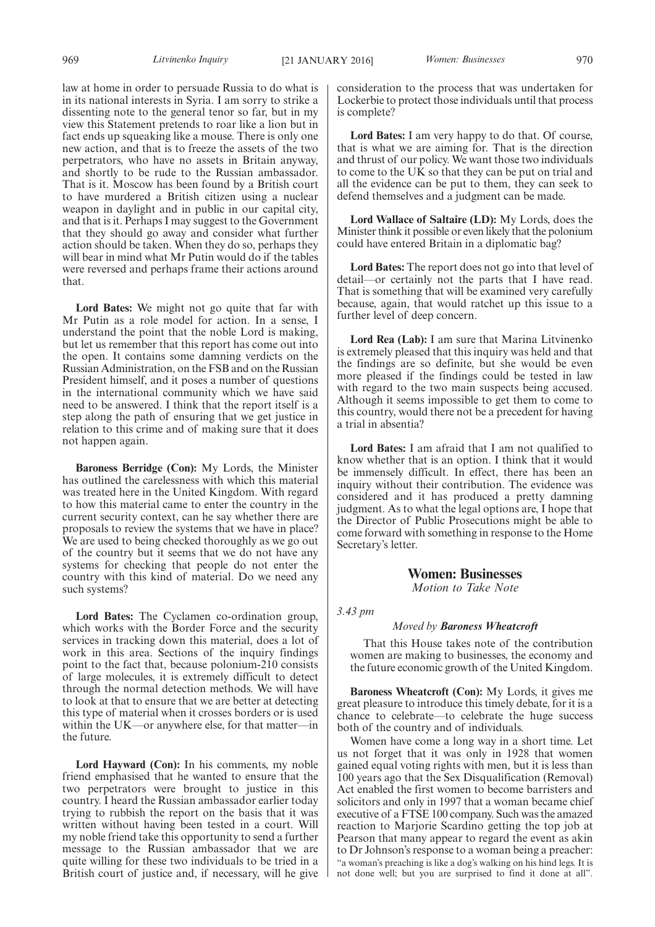law at home in order to persuade Russia to do what is in its national interests in Syria. I am sorry to strike a dissenting note to the general tenor so far, but in my view this Statement pretends to roar like a lion but in fact ends up squeaking like a mouse. There is only one new action, and that is to freeze the assets of the two perpetrators, who have no assets in Britain anyway, and shortly to be rude to the Russian ambassador. That is it. Moscow has been found by a British court to have murdered a British citizen using a nuclear weapon in daylight and in public in our capital city, and that is it. Perhaps I may suggest to the Government that they should go away and consider what further action should be taken. When they do so, perhaps they will bear in mind what Mr Putin would do if the tables were reversed and perhaps frame their actions around that.

**Lord Bates:** We might not go quite that far with Mr Putin as a role model for action. In a sense, I understand the point that the noble Lord is making, but let us remember that this report has come out into the open. It contains some damning verdicts on the Russian Administration, on the FSB and on the Russian President himself, and it poses a number of questions in the international community which we have said need to be answered. I think that the report itself is a step along the path of ensuring that we get justice in relation to this crime and of making sure that it does not happen again.

**Baroness Berridge (Con):** My Lords, the Minister has outlined the carelessness with which this material was treated here in the United Kingdom. With regard to how this material came to enter the country in the current security context, can he say whether there are proposals to review the systems that we have in place? We are used to being checked thoroughly as we go out of the country but it seems that we do not have any systems for checking that people do not enter the country with this kind of material. Do we need any such systems?

**Lord Bates:** The Cyclamen co-ordination group, which works with the Border Force and the security services in tracking down this material, does a lot of work in this area. Sections of the inquiry findings point to the fact that, because polonium-210 consists of large molecules, it is extremely difficult to detect through the normal detection methods. We will have to look at that to ensure that we are better at detecting this type of material when it crosses borders or is used within the UK—or anywhere else, for that matter—in the future.

**Lord Hayward (Con):** In his comments, my noble friend emphasised that he wanted to ensure that the two perpetrators were brought to justice in this country. I heard the Russian ambassador earlier today trying to rubbish the report on the basis that it was written without having been tested in a court. Will my noble friend take this opportunity to send a further message to the Russian ambassador that we are quite willing for these two individuals to be tried in a British court of justice and, if necessary, will he give consideration to the process that was undertaken for Lockerbie to protect those individuals until that process is complete?

**Lord Bates:** I am very happy to do that. Of course, that is what we are aiming for. That is the direction and thrust of our policy. We want those two individuals to come to the UK so that they can be put on trial and all the evidence can be put to them, they can seek to defend themselves and a judgment can be made.

**Lord Wallace of Saltaire (LD):** My Lords, does the Minister think it possible or even likely that the polonium could have entered Britain in a diplomatic bag?

**Lord Bates:** The report does not go into that level of detail—or certainly not the parts that I have read. That is something that will be examined very carefully because, again, that would ratchet up this issue to a further level of deep concern.

**Lord Rea (Lab):** I am sure that Marina Litvinenko is extremely pleased that this inquiry was held and that the findings are so definite, but she would be even more pleased if the findings could be tested in law with regard to the two main suspects being accused. Although it seems impossible to get them to come to this country, would there not be a precedent for having a trial in absentia?

**Lord Bates:** I am afraid that I am not qualified to know whether that is an option. I think that it would be immensely difficult. In effect, there has been an inquiry without their contribution. The evidence was considered and it has produced a pretty damning judgment. As to what the legal options are, I hope that the Director of Public Prosecutions might be able to come forward with something in response to the Home Secretary's letter.

### **Women: Businesses**

*Motion to Take Note*

*3.43 pm*

### *Moved by Baroness Wheatcroft*

That this House takes note of the contribution women are making to businesses, the economy and the future economic growth of the United Kingdom.

**Baroness Wheatcroft (Con):** My Lords, it gives me great pleasure to introduce this timely debate, for it is a chance to celebrate—to celebrate the huge success both of the country and of individuals.

Women have come a long way in a short time. Let us not forget that it was only in 1928 that women gained equal voting rights with men, but it is less than 100 years ago that the Sex Disqualification (Removal) Act enabled the first women to become barristers and solicitors and only in 1997 that a woman became chief executive of a FTSE 100 company. Such was the amazed reaction to Marjorie Scardino getting the top job at Pearson that many appear to regard the event as akin to Dr Johnson's response to a woman being a preacher: "a woman's preaching is like a dog's walking on his hind legs. It is not done well; but you are surprised to find it done at all".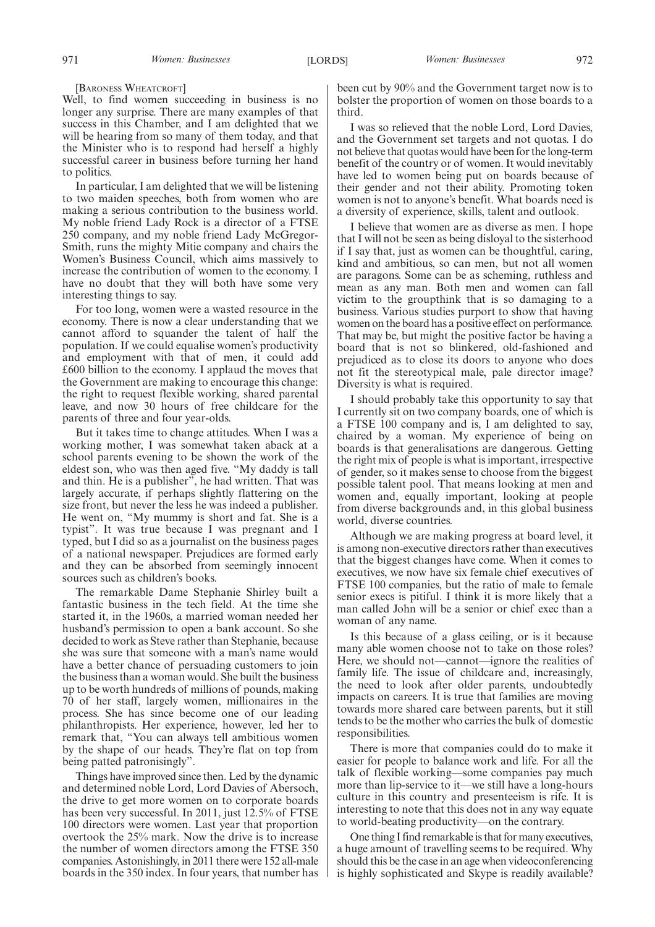#### [BARONESS WHEATCROFT]

Well, to find women succeeding in business is no longer any surprise. There are many examples of that success in this Chamber, and I am delighted that we will be hearing from so many of them today, and that the Minister who is to respond had herself a highly successful career in business before turning her hand to politics.

In particular, I am delighted that we will be listening to two maiden speeches, both from women who are making a serious contribution to the business world. My noble friend Lady Rock is a director of a FTSE 250 company, and my noble friend Lady McGregor-Smith, runs the mighty Mitie company and chairs the Women's Business Council, which aims massively to increase the contribution of women to the economy. I have no doubt that they will both have some very interesting things to say.

For too long, women were a wasted resource in the economy. There is now a clear understanding that we cannot afford to squander the talent of half the population. If we could equalise women's productivity and employment with that of men, it could add £600 billion to the economy. I applaud the moves that the Government are making to encourage this change: the right to request flexible working, shared parental leave, and now 30 hours of free childcare for the parents of three and four year-olds.

But it takes time to change attitudes. When I was a working mother, I was somewhat taken aback at a school parents evening to be shown the work of the eldest son, who was then aged five. "My daddy is tall and thin. He is a publisher", he had written. That was largely accurate, if perhaps slightly flattering on the size front, but never the less he was indeed a publisher. He went on, "My mummy is short and fat. She is a typist". It was true because I was pregnant and I typed, but I did so as a journalist on the business pages of a national newspaper. Prejudices are formed early and they can be absorbed from seemingly innocent sources such as children's books.

The remarkable Dame Stephanie Shirley built a fantastic business in the tech field. At the time she started it, in the 1960s, a married woman needed her husband's permission to open a bank account. So she decided to work as Steve rather than Stephanie, because she was sure that someone with a man's name would have a better chance of persuading customers to join the business than a woman would. She built the business up to be worth hundreds of millions of pounds, making 70 of her staff, largely women, millionaires in the process. She has since become one of our leading philanthropists. Her experience, however, led her to remark that, "You can always tell ambitious women by the shape of our heads. They're flat on top from being patted patronisingly".

Things have improved since then. Led by the dynamic and determined noble Lord, Lord Davies of Abersoch, the drive to get more women on to corporate boards has been very successful. In 2011, just 12.5% of FTSE 100 directors were women. Last year that proportion overtook the 25% mark. Now the drive is to increase the number of women directors among the FTSE 350 companies. Astonishingly, in 2011 there were 152 all-male boards in the 350 index. In four years, that number has

been cut by 90% and the Government target now is to bolster the proportion of women on those boards to a third.

I was so relieved that the noble Lord, Lord Davies, and the Government set targets and not quotas. I do not believe that quotas would have been for the long-term benefit of the country or of women. It would inevitably have led to women being put on boards because of their gender and not their ability. Promoting token women is not to anyone's benefit. What boards need is a diversity of experience, skills, talent and outlook.

I believe that women are as diverse as men. I hope that I will not be seen as being disloyal to the sisterhood if I say that, just as women can be thoughtful, caring, kind and ambitious, so can men, but not all women are paragons. Some can be as scheming, ruthless and mean as any man. Both men and women can fall victim to the groupthink that is so damaging to a business. Various studies purport to show that having women on the board has a positive effect on performance. That may be, but might the positive factor be having a board that is not so blinkered, old-fashioned and prejudiced as to close its doors to anyone who does not fit the stereotypical male, pale director image? Diversity is what is required.

I should probably take this opportunity to say that I currently sit on two company boards, one of which is a FTSE 100 company and is, I am delighted to say, chaired by a woman. My experience of being on boards is that generalisations are dangerous. Getting the right mix of people is what is important, irrespective of gender, so it makes sense to choose from the biggest possible talent pool. That means looking at men and women and, equally important, looking at people from diverse backgrounds and, in this global business world, diverse countries.

Although we are making progress at board level, it is among non-executive directors rather than executives that the biggest changes have come. When it comes to executives, we now have six female chief executives of FTSE 100 companies, but the ratio of male to female senior execs is pitiful. I think it is more likely that a man called John will be a senior or chief exec than a woman of any name.

Is this because of a glass ceiling, or is it because many able women choose not to take on those roles? Here, we should not—cannot—ignore the realities of family life. The issue of childcare and, increasingly, the need to look after older parents, undoubtedly impacts on careers. It is true that families are moving towards more shared care between parents, but it still tends to be the mother who carries the bulk of domestic responsibilities.

There is more that companies could do to make it easier for people to balance work and life. For all the talk of flexible working—some companies pay much more than lip-service to it—we still have a long-hours culture in this country and presenteeism is rife. It is interesting to note that this does not in any way equate to world-beating productivity—on the contrary.

One thing I find remarkable is that for many executives, a huge amount of travelling seems to be required. Why should this be the case in an age when videoconferencing is highly sophisticated and Skype is readily available?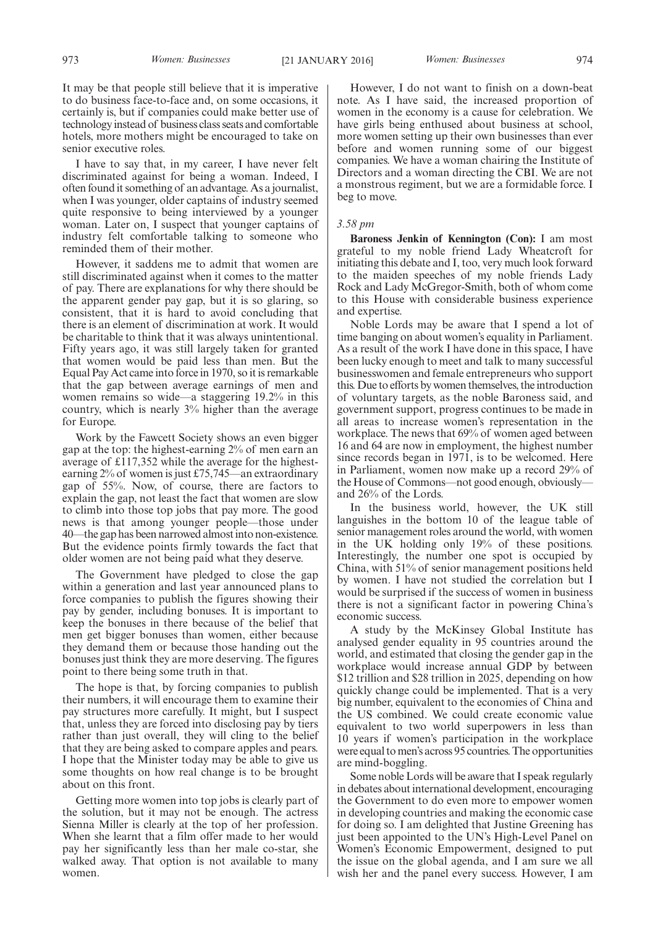It may be that people still believe that it is imperative to do business face-to-face and, on some occasions, it certainly is, but if companies could make better use of technology instead of business class seats and comfortable hotels, more mothers might be encouraged to take on senior executive roles.

I have to say that, in my career, I have never felt discriminated against for being a woman. Indeed, I often found it something of an advantage. As a journalist, when I was younger, older captains of industry seemed quite responsive to being interviewed by a younger woman. Later on, I suspect that younger captains of industry felt comfortable talking to someone who reminded them of their mother.

However, it saddens me to admit that women are still discriminated against when it comes to the matter of pay. There are explanations for why there should be the apparent gender pay gap, but it is so glaring, so consistent, that it is hard to avoid concluding that there is an element of discrimination at work. It would be charitable to think that it was always unintentional. Fifty years ago, it was still largely taken for granted that women would be paid less than men. But the Equal Pay Act came into force in 1970, so it is remarkable that the gap between average earnings of men and women remains so wide—a staggering 19.2% in this country, which is nearly 3% higher than the average for Europe.

Work by the Fawcett Society shows an even bigger gap at the top: the highest-earning 2% of men earn an average of £117,352 while the average for the highestearning 2% of women is just £75,745—an extraordinary gap of 55%. Now, of course, there are factors to explain the gap, not least the fact that women are slow to climb into those top jobs that pay more. The good news is that among younger people—those under 40—the gap has been narrowed almost into non-existence. But the evidence points firmly towards the fact that older women are not being paid what they deserve.

The Government have pledged to close the gap within a generation and last year announced plans to force companies to publish the figures showing their pay by gender, including bonuses. It is important to keep the bonuses in there because of the belief that men get bigger bonuses than women, either because they demand them or because those handing out the bonuses just think they are more deserving. The figures point to there being some truth in that.

The hope is that, by forcing companies to publish their numbers, it will encourage them to examine their pay structures more carefully. It might, but I suspect that, unless they are forced into disclosing pay by tiers rather than just overall, they will cling to the belief that they are being asked to compare apples and pears. I hope that the Minister today may be able to give us some thoughts on how real change is to be brought about on this front.

Getting more women into top jobs is clearly part of the solution, but it may not be enough. The actress Sienna Miller is clearly at the top of her profession. When she learnt that a film offer made to her would pay her significantly less than her male co-star, she walked away. That option is not available to many women.

However, I do not want to finish on a down-beat note. As I have said, the increased proportion of women in the economy is a cause for celebration. We have girls being enthused about business at school, more women setting up their own businesses than ever before and women running some of our biggest companies. We have a woman chairing the Institute of Directors and a woman directing the CBI. We are not a monstrous regiment, but we are a formidable force. I beg to move.

### *3.58 pm*

**Baroness Jenkin of Kennington (Con):** I am most grateful to my noble friend Lady Wheatcroft for initiating this debate and I, too, very much look forward to the maiden speeches of my noble friends Lady Rock and Lady McGregor-Smith, both of whom come to this House with considerable business experience and expertise.

Noble Lords may be aware that I spend a lot of time banging on about women's equality in Parliament. As a result of the work I have done in this space, I have been lucky enough to meet and talk to many successful businesswomen and female entrepreneurs who support this. Due to efforts by women themselves, the introduction of voluntary targets, as the noble Baroness said, and government support, progress continues to be made in all areas to increase women's representation in the workplace. The news that 69% of women aged between 16 and 64 are now in employment, the highest number since records began in 1971, is to be welcomed. Here in Parliament, women now make up a record 29% of the House of Commons—not good enough, obviously and 26% of the Lords.

In the business world, however, the UK still languishes in the bottom 10 of the league table of senior management roles around the world, with women in the UK holding only 19% of these positions. Interestingly, the number one spot is occupied by China, with 51% of senior management positions held by women. I have not studied the correlation but I would be surprised if the success of women in business there is not a significant factor in powering China's economic success.

A study by the McKinsey Global Institute has analysed gender equality in 95 countries around the world, and estimated that closing the gender gap in the workplace would increase annual GDP by between \$12 trillion and \$28 trillion in 2025, depending on how quickly change could be implemented. That is a very big number, equivalent to the economies of China and the US combined. We could create economic value equivalent to two world superpowers in less than 10 years if women's participation in the workplace were equal to men's across 95 countries. The opportunities are mind-boggling.

Some noble Lords will be aware that I speak regularly in debates about international development, encouraging the Government to do even more to empower women in developing countries and making the economic case for doing so. I am delighted that Justine Greening has just been appointed to the UN's High-Level Panel on Women's Economic Empowerment, designed to put the issue on the global agenda, and I am sure we all wish her and the panel every success. However, I am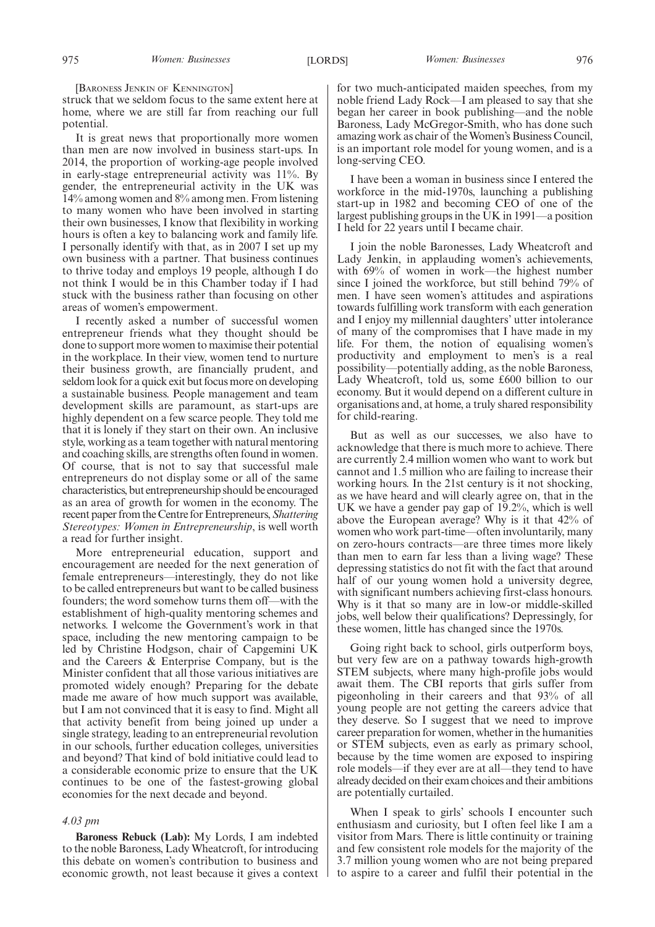[BARONESS JENKIN OF KENNINGTON]

struck that we seldom focus to the same extent here at home, where we are still far from reaching our full potential.

It is great news that proportionally more women than men are now involved in business start-ups. In 2014, the proportion of working-age people involved in early-stage entrepreneurial activity was 11%. By gender, the entrepreneurial activity in the UK was 14% among women and 8% among men. From listening to many women who have been involved in starting their own businesses, I know that flexibility in working hours is often a key to balancing work and family life. I personally identify with that, as in 2007 I set up my own business with a partner. That business continues to thrive today and employs 19 people, although I do not think I would be in this Chamber today if I had stuck with the business rather than focusing on other areas of women's empowerment.

I recently asked a number of successful women entrepreneur friends what they thought should be done to support more women to maximise their potential in the workplace. In their view, women tend to nurture their business growth, are financially prudent, and seldom look for a quick exit but focus more on developing a sustainable business. People management and team development skills are paramount, as start-ups are highly dependent on a few scarce people. They told me that it is lonely if they start on their own. An inclusive style, working as a team together with natural mentoring and coaching skills, are strengths often found in women. Of course, that is not to say that successful male entrepreneurs do not display some or all of the same characteristics, but entrepreneurship should be encouraged as an area of growth for women in the economy. The recent paper from the Centre for Entrepreneurs,*Shattering Stereotypes: Women in Entrepreneurship*, is well worth a read for further insight.

More entrepreneurial education, support and encouragement are needed for the next generation of female entrepreneurs—interestingly, they do not like to be called entrepreneurs but want to be called business founders; the word somehow turns them off—with the establishment of high-quality mentoring schemes and networks. I welcome the Government's work in that space, including the new mentoring campaign to be led by Christine Hodgson, chair of Capgemini UK and the Careers & Enterprise Company, but is the Minister confident that all those various initiatives are promoted widely enough? Preparing for the debate made me aware of how much support was available, but I am not convinced that it is easy to find. Might all that activity benefit from being joined up under a single strategy, leading to an entrepreneurial revolution in our schools, further education colleges, universities and beyond? That kind of bold initiative could lead to a considerable economic prize to ensure that the UK continues to be one of the fastest-growing global economies for the next decade and beyond.

#### *4.03 pm*

**Baroness Rebuck (Lab):** My Lords, I am indebted to the noble Baroness, Lady Wheatcroft, for introducing this debate on women's contribution to business and economic growth, not least because it gives a context for two much-anticipated maiden speeches, from my noble friend Lady Rock—I am pleased to say that she began her career in book publishing—and the noble Baroness, Lady McGregor-Smith, who has done such amazing work as chair of theWomen's Business Council, is an important role model for young women, and is a long-serving CEO.

I have been a woman in business since I entered the workforce in the mid-1970s, launching a publishing start-up in 1982 and becoming CEO of one of the largest publishing groups in the UK in 1991—a position I held for 22 years until I became chair.

I join the noble Baronesses, Lady Wheatcroft and Lady Jenkin, in applauding women's achievements, with 69% of women in work—the highest number since I joined the workforce, but still behind 79% of men. I have seen women's attitudes and aspirations towards fulfilling work transform with each generation and I enjoy my millennial daughters' utter intolerance of many of the compromises that I have made in my life. For them, the notion of equalising women's productivity and employment to men's is a real possibility—potentially adding, as the noble Baroness, Lady Wheatcroft, told us, some £600 billion to our economy. But it would depend on a different culture in organisations and, at home, a truly shared responsibility for child-rearing.

But as well as our successes, we also have to acknowledge that there is much more to achieve. There are currently 2.4 million women who want to work but cannot and 1.5 million who are failing to increase their working hours. In the 21st century is it not shocking, as we have heard and will clearly agree on, that in the UK we have a gender pay gap of 19.2%, which is well above the European average? Why is it that 42% of women who work part-time—often involuntarily, many on zero-hours contracts—are three times more likely than men to earn far less than a living wage? These depressing statistics do not fit with the fact that around half of our young women hold a university degree, with significant numbers achieving first-class honours. Why is it that so many are in low-or middle-skilled jobs, well below their qualifications? Depressingly, for these women, little has changed since the 1970s.

Going right back to school, girls outperform boys, but very few are on a pathway towards high-growth STEM subjects, where many high-profile jobs would await them. The CBI reports that girls suffer from pigeonholing in their careers and that 93% of all young people are not getting the careers advice that they deserve. So I suggest that we need to improve career preparation for women, whether in the humanities or STEM subjects, even as early as primary school, because by the time women are exposed to inspiring role models—if they ever are at all—they tend to have already decided on their exam choices and their ambitions are potentially curtailed.

When I speak to girls' schools I encounter such enthusiasm and curiosity, but I often feel like I am a visitor from Mars. There is little continuity or training and few consistent role models for the majority of the 3.7 million young women who are not being prepared to aspire to a career and fulfil their potential in the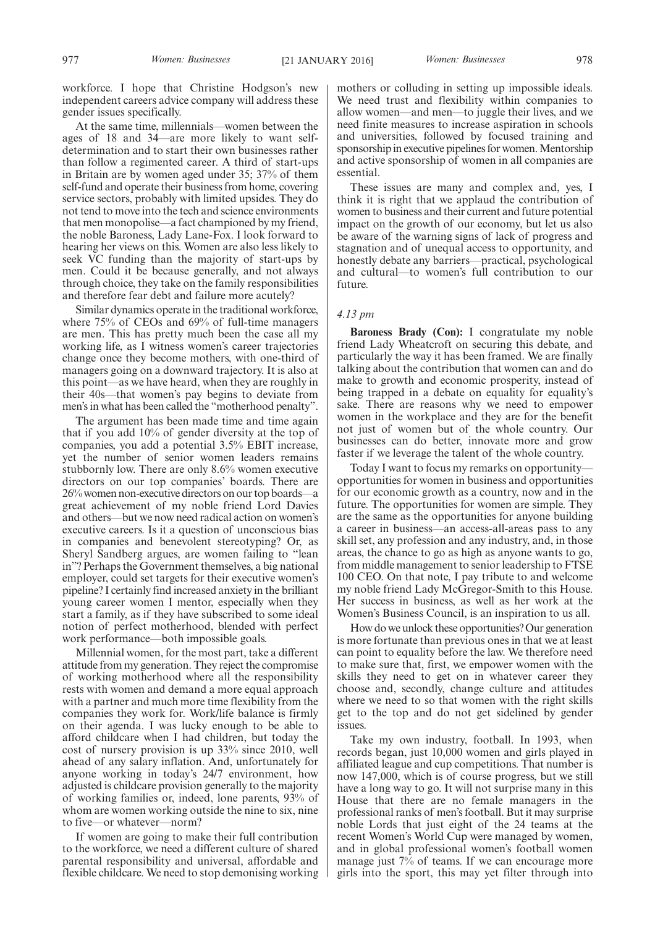workforce. I hope that Christine Hodgson's new independent careers advice company will address these gender issues specifically.

At the same time, millennials—women between the ages of 18 and 34—are more likely to want selfdetermination and to start their own businesses rather than follow a regimented career. A third of start-ups in Britain are by women aged under 35; 37% of them self-fund and operate their business from home, covering service sectors, probably with limited upsides. They do not tend to move into the tech and science environments that men monopolise—a fact championed by my friend, the noble Baroness, Lady Lane-Fox. I look forward to hearing her views on this. Women are also less likely to seek VC funding than the majority of start-ups by men. Could it be because generally, and not always through choice, they take on the family responsibilities and therefore fear debt and failure more acutely?

Similar dynamics operate in the traditional workforce, where 75% of CEOs and 69% of full-time managers are men. This has pretty much been the case all my working life, as I witness women's career trajectories change once they become mothers, with one-third of managers going on a downward trajectory. It is also at this point—as we have heard, when they are roughly in their 40s—that women's pay begins to deviate from men's in what has been called the "motherhood penalty".

The argument has been made time and time again that if you add 10% of gender diversity at the top of companies, you add a potential 3.5% EBIT increase, yet the number of senior women leaders remains stubbornly low. There are only 8.6% women executive directors on our top companies' boards. There are 26% women non-executive directors on our top boards—a great achievement of my noble friend Lord Davies and others—but we now need radical action on women's executive careers. Is it a question of unconscious bias in companies and benevolent stereotyping? Or, as Sheryl Sandberg argues, are women failing to "lean in"? Perhaps the Government themselves, a big national employer, could set targets for their executive women's pipeline? I certainly find increased anxiety in the brilliant young career women I mentor, especially when they start a family, as if they have subscribed to some ideal notion of perfect motherhood, blended with perfect work performance—both impossible goals.

Millennial women, for the most part, take a different attitude from my generation. They reject the compromise of working motherhood where all the responsibility rests with women and demand a more equal approach with a partner and much more time flexibility from the companies they work for. Work/life balance is firmly on their agenda. I was lucky enough to be able to afford childcare when I had children, but today the cost of nursery provision is up 33% since 2010, well ahead of any salary inflation. And, unfortunately for anyone working in today's 24/7 environment, how adjusted is childcare provision generally to the majority of working families or, indeed, lone parents, 93% of whom are women working outside the nine to six, nine to five—or whatever—norm?

If women are going to make their full contribution to the workforce, we need a different culture of shared parental responsibility and universal, affordable and flexible childcare. We need to stop demonising working

mothers or colluding in setting up impossible ideals. We need trust and flexibility within companies to allow women—and men—to juggle their lives, and we need finite measures to increase aspiration in schools and universities, followed by focused training and sponsorship in executive pipelines for women. Mentorship and active sponsorship of women in all companies are essential.

These issues are many and complex and, yes, I think it is right that we applaud the contribution of women to business and their current and future potential impact on the growth of our economy, but let us also be aware of the warning signs of lack of progress and stagnation and of unequal access to opportunity, and honestly debate any barriers—practical, psychological and cultural—to women's full contribution to our future.

### *4.13 pm*

**Baroness Brady (Con):** I congratulate my noble friend Lady Wheatcroft on securing this debate, and particularly the way it has been framed. We are finally talking about the contribution that women can and do make to growth and economic prosperity, instead of being trapped in a debate on equality for equality's sake. There are reasons why we need to empower women in the workplace and they are for the benefit not just of women but of the whole country. Our businesses can do better, innovate more and grow faster if we leverage the talent of the whole country.

Today I want to focus my remarks on opportunity opportunities for women in business and opportunities for our economic growth as a country, now and in the future. The opportunities for women are simple. They are the same as the opportunities for anyone building a career in business—an access-all-areas pass to any skill set, any profession and any industry, and, in those areas, the chance to go as high as anyone wants to go, from middle management to senior leadership to FTSE 100 CEO. On that note, I pay tribute to and welcome my noble friend Lady McGregor-Smith to this House. Her success in business, as well as her work at the Women's Business Council, is an inspiration to us all.

How do we unlock these opportunities? Our generation is more fortunate than previous ones in that we at least can point to equality before the law. We therefore need to make sure that, first, we empower women with the skills they need to get on in whatever career they choose and, secondly, change culture and attitudes where we need to so that women with the right skills get to the top and do not get sidelined by gender issues.

Take my own industry, football. In 1993, when records began, just 10,000 women and girls played in affiliated league and cup competitions. That number is now 147,000, which is of course progress, but we still have a long way to go. It will not surprise many in this House that there are no female managers in the professional ranks of men's football. But it may surprise noble Lords that just eight of the 24 teams at the recent Women's World Cup were managed by women, and in global professional women's football women manage just 7% of teams. If we can encourage more girls into the sport, this may yet filter through into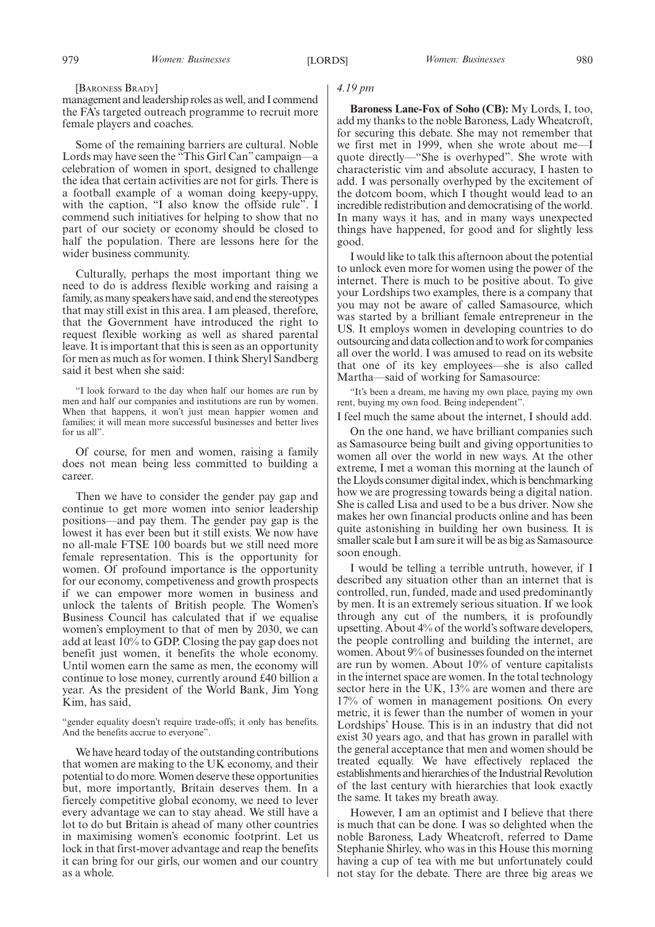#### [BARONESS BRADY]

management and leadership roles as well, and I commend the FA's targeted outreach programme to recruit more female players and coaches.

Some of the remaining barriers are cultural. Noble Lords may have seen the "This Girl Can" campaign—a celebration of women in sport, designed to challenge the idea that certain activities are not for girls. There is a football example of a woman doing keepy-uppy, with the caption, "I also know the offside rule". I commend such initiatives for helping to show that no part of our society or economy should be closed to half the population. There are lessons here for the wider business community.

Culturally, perhaps the most important thing we need to do is address flexible working and raising a family, as many speakers have said, and end the stereotypes that may still exist in this area. I am pleased, therefore, that the Government have introduced the right to request flexible working as well as shared parental leave. It is important that this is seen as an opportunity for men as much as for women. I think Sheryl Sandberg said it best when she said:

"I look forward to the day when half our homes are run by men and half our companies and institutions are run by women. When that happens, it won't just mean happier women and families; it will mean more successful businesses and better lives for us all".

Of course, for men and women, raising a family does not mean being less committed to building a career.

Then we have to consider the gender pay gap and continue to get more women into senior leadership positions—and pay them. The gender pay gap is the lowest it has ever been but it still exists. We now have no all-male FTSE 100 boards but we still need more female representation. This is the opportunity for women. Of profound importance is the opportunity for our economy, competiveness and growth prospects if we can empower more women in business and unlock the talents of British people. The Women's Business Council has calculated that if we equalise women's employment to that of men by 2030, we can add at least 10% to GDP. Closing the pay gap does not benefit just women, it benefits the whole economy. Until women earn the same as men, the economy will continue to lose money, currently around £40 billion a year. As the president of the World Bank, Jim Yong Kim, has said,

We have heard today of the outstanding contributions that women are making to the UK economy, and their potential to do more.Women deserve these opportunities but, more importantly, Britain deserves them. In a fiercely competitive global economy, we need to lever every advantage we can to stay ahead. We still have a lot to do but Britain is ahead of many other countries in maximising women's economic footprint. Let us lock in that first-mover advantage and reap the benefits it can bring for our girls, our women and our country as a whole.

### *4.19 pm*

**Baroness Lane-Fox of Soho (CB):** My Lords, I, too, add my thanks to the noble Baroness, Lady Wheatcroft, for securing this debate. She may not remember that we first met in 1999, when she wrote about me—I quote directly—"She is overhyped". She wrote with characteristic vim and absolute accuracy, I hasten to add. I was personally overhyped by the excitement of the dotcom boom, which I thought would lead to an incredible redistribution and democratising of the world. In many ways it has, and in many ways unexpected things have happened, for good and for slightly less good.

I would like to talk this afternoon about the potential to unlock even more for women using the power of the internet. There is much to be positive about. To give your Lordships two examples, there is a company that you may not be aware of called Samasource, which was started by a brilliant female entrepreneur in the US. It employs women in developing countries to do outsourcing and data collection and to work for companies all over the world. I was amused to read on its website that one of its key employees—she is also called Martha—said of working for Samasource:

"It's been a dream, me having my own place, paying my own rent, buying my own food. Being independent".

I feel much the same about the internet, I should add.

On the one hand, we have brilliant companies such as Samasource being built and giving opportunities to women all over the world in new ways. At the other extreme, I met a woman this morning at the launch of the Lloyds consumer digital index, which is benchmarking how we are progressing towards being a digital nation. She is called Lisa and used to be a bus driver. Now she makes her own financial products online and has been quite astonishing in building her own business. It is smaller scale but  $\overline{I}$  am sure it will be as big as Samasource soon enough.

I would be telling a terrible untruth, however, if I described any situation other than an internet that is controlled, run, funded, made and used predominantly by men. It is an extremely serious situation. If we look through any cut of the numbers, it is profoundly upsetting. About 4% of the world's software developers, the people controlling and building the internet, are women. About 9% of businesses founded on the internet are run by women. About 10% of venture capitalists in the internet space are women. In the total technology sector here in the UK, 13% are women and there are 17% of women in management positions. On every metric, it is fewer than the number of women in your Lordships' House. This is in an industry that did not exist 30 years ago, and that has grown in parallel with the general acceptance that men and women should be treated equally. We have effectively replaced the establishments and hierarchies of the Industrial Revolution of the last century with hierarchies that look exactly the same. It takes my breath away.

However, I am an optimist and I believe that there is much that can be done. I was so delighted when the noble Baroness, Lady Wheatcroft, referred to Dame Stephanie Shirley, who was in this House this morning having a cup of tea with me but unfortunately could not stay for the debate. There are three big areas we

<sup>&</sup>quot;gender equality doesn't require trade-offs; it only has benefits. And the benefits accrue to everyone".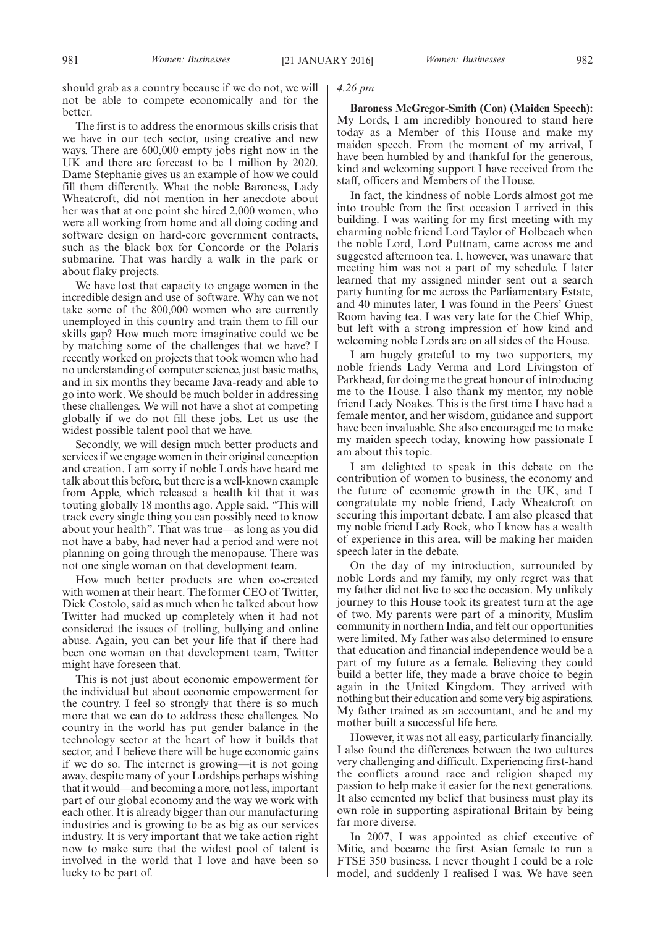should grab as a country because if we do not, we will not be able to compete economically and for the better.

The first is to address the enormous skills crisis that we have in our tech sector, using creative and new ways. There are 600,000 empty jobs right now in the UK and there are forecast to be 1 million by 2020. Dame Stephanie gives us an example of how we could fill them differently. What the noble Baroness, Lady Wheatcroft, did not mention in her anecdote about her was that at one point she hired 2,000 women, who were all working from home and all doing coding and software design on hard-core government contracts, such as the black box for Concorde or the Polaris submarine. That was hardly a walk in the park or about flaky projects.

We have lost that capacity to engage women in the incredible design and use of software. Why can we not take some of the 800,000 women who are currently unemployed in this country and train them to fill our skills gap? How much more imaginative could we be by matching some of the challenges that we have? I recently worked on projects that took women who had no understanding of computer science, just basic maths, and in six months they became Java-ready and able to go into work. We should be much bolder in addressing these challenges. We will not have a shot at competing globally if we do not fill these jobs. Let us use the widest possible talent pool that we have.

Secondly, we will design much better products and services if we engage women in their original conception and creation. I am sorry if noble Lords have heard me talk about this before, but there is a well-known example from Apple, which released a health kit that it was touting globally 18 months ago. Apple said, "This will track every single thing you can possibly need to know about your health". That was true—as long as you did not have a baby, had never had a period and were not planning on going through the menopause. There was not one single woman on that development team.

How much better products are when co-created with women at their heart. The former CEO of Twitter, Dick Costolo, said as much when he talked about how Twitter had mucked up completely when it had not considered the issues of trolling, bullying and online abuse. Again, you can bet your life that if there had been one woman on that development team, Twitter might have foreseen that.

This is not just about economic empowerment for the individual but about economic empowerment for the country. I feel so strongly that there is so much more that we can do to address these challenges. No country in the world has put gender balance in the technology sector at the heart of how it builds that sector, and I believe there will be huge economic gains if we do so. The internet is growing—it is not going away, despite many of your Lordships perhaps wishing that it would—and becoming a more, not less, important part of our global economy and the way we work with each other. It is already bigger than our manufacturing industries and is growing to be as big as our services industry. It is very important that we take action right now to make sure that the widest pool of talent is involved in the world that I love and have been so lucky to be part of.

### *4.26 pm*

**Baroness McGregor-Smith (Con) (Maiden Speech):** My Lords, I am incredibly honoured to stand here today as a Member of this House and make my maiden speech. From the moment of my arrival, I have been humbled by and thankful for the generous, kind and welcoming support I have received from the staff, officers and Members of the House.

In fact, the kindness of noble Lords almost got me into trouble from the first occasion I arrived in this building. I was waiting for my first meeting with my charming noble friend Lord Taylor of Holbeach when the noble Lord, Lord Puttnam, came across me and suggested afternoon tea. I, however, was unaware that meeting him was not a part of my schedule. I later learned that my assigned minder sent out a search party hunting for me across the Parliamentary Estate, and 40 minutes later, I was found in the Peers' Guest Room having tea. I was very late for the Chief Whip, but left with a strong impression of how kind and welcoming noble Lords are on all sides of the House.

I am hugely grateful to my two supporters, my noble friends Lady Verma and Lord Livingston of Parkhead, for doing me the great honour of introducing me to the House. I also thank my mentor, my noble friend Lady Noakes. This is the first time I have had a female mentor, and her wisdom, guidance and support have been invaluable. She also encouraged me to make my maiden speech today, knowing how passionate I am about this topic.

I am delighted to speak in this debate on the contribution of women to business, the economy and the future of economic growth in the UK, and I congratulate my noble friend, Lady Wheatcroft on securing this important debate. I am also pleased that my noble friend Lady Rock, who I know has a wealth of experience in this area, will be making her maiden speech later in the debate.

On the day of my introduction, surrounded by noble Lords and my family, my only regret was that my father did not live to see the occasion. My unlikely journey to this House took its greatest turn at the age of two. My parents were part of a minority, Muslim community in northern India, and felt our opportunities were limited. My father was also determined to ensure that education and financial independence would be a part of my future as a female. Believing they could build a better life, they made a brave choice to begin again in the United Kingdom. They arrived with nothing but their education and some very big aspirations. My father trained as an accountant, and he and my mother built a successful life here.

However, it was not all easy, particularly financially. I also found the differences between the two cultures very challenging and difficult. Experiencing first-hand the conflicts around race and religion shaped my passion to help make it easier for the next generations. It also cemented my belief that business must play its own role in supporting aspirational Britain by being far more diverse.

In 2007, I was appointed as chief executive of Mitie, and became the first Asian female to run a FTSE 350 business. I never thought I could be a role model, and suddenly I realised I was. We have seen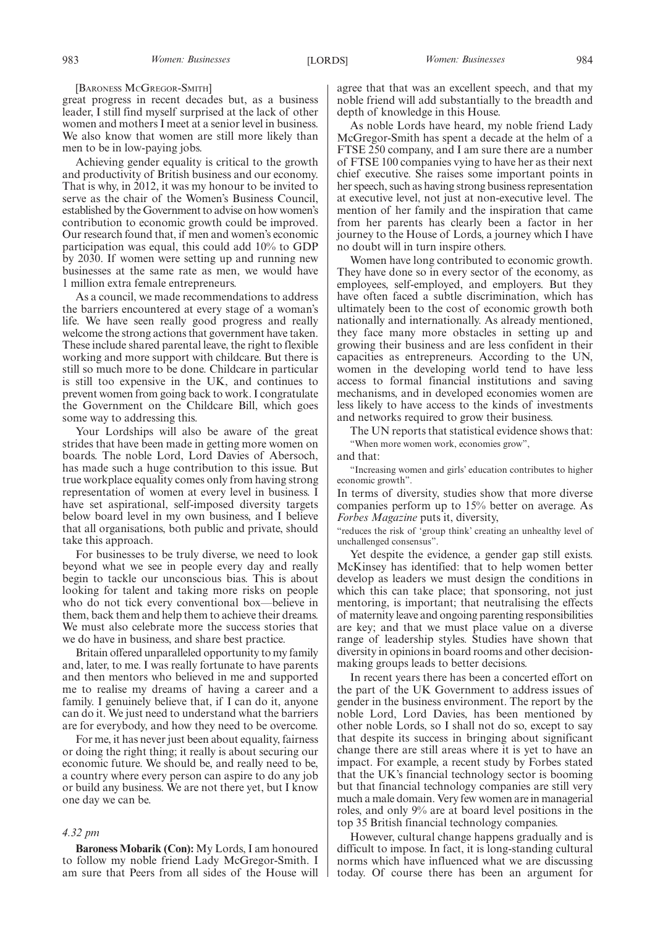#### [BARONESS MCGREGOR-SMITH]

great progress in recent decades but, as a business leader, I still find myself surprised at the lack of other women and mothers I meet at a senior level in business. We also know that women are still more likely than men to be in low-paying jobs.

Achieving gender equality is critical to the growth and productivity of British business and our economy. That is why, in 2012, it was my honour to be invited to serve as the chair of the Women's Business Council, established by the Government to advise on how women's contribution to economic growth could be improved. Our research found that, if men and women's economic participation was equal, this could add 10% to GDP by 2030. If women were setting up and running new businesses at the same rate as men, we would have 1 million extra female entrepreneurs.

As a council, we made recommendations to address the barriers encountered at every stage of a woman's life. We have seen really good progress and really welcome the strong actions that government have taken. These include shared parental leave, the right to flexible working and more support with childcare. But there is still so much more to be done. Childcare in particular is still too expensive in the UK, and continues to prevent women from going back to work. I congratulate the Government on the Childcare Bill, which goes some way to addressing this.

Your Lordships will also be aware of the great strides that have been made in getting more women on boards. The noble Lord, Lord Davies of Abersoch, has made such a huge contribution to this issue. But true workplace equality comes only from having strong representation of women at every level in business. I have set aspirational, self-imposed diversity targets below board level in my own business, and I believe that all organisations, both public and private, should take this approach.

For businesses to be truly diverse, we need to look beyond what we see in people every day and really begin to tackle our unconscious bias. This is about looking for talent and taking more risks on people who do not tick every conventional box—believe in them, back them and help them to achieve their dreams. We must also celebrate more the success stories that we do have in business, and share best practice.

Britain offered unparalleled opportunity to my family and, later, to me. I was really fortunate to have parents and then mentors who believed in me and supported me to realise my dreams of having a career and a family. I genuinely believe that, if I can do it, anyone can do it. We just need to understand what the barriers are for everybody, and how they need to be overcome.

For me, it has never just been about equality, fairness or doing the right thing; it really is about securing our economic future. We should be, and really need to be, a country where every person can aspire to do any job or build any business. We are not there yet, but I know one day we can be.

### *4.32 pm*

**Baroness Mobarik (Con):** My Lords, I am honoured to follow my noble friend Lady McGregor-Smith. I am sure that Peers from all sides of the House will agree that that was an excellent speech, and that my noble friend will add substantially to the breadth and depth of knowledge in this House.

As noble Lords have heard, my noble friend Lady McGregor-Smith has spent a decade at the helm of a FTSE 250 company, and I am sure there are a number of FTSE 100 companies vying to have her as their next chief executive. She raises some important points in her speech, such as having strong business representation at executive level, not just at non-executive level. The mention of her family and the inspiration that came from her parents has clearly been a factor in her journey to the House of Lords, a journey which I have no doubt will in turn inspire others.

Women have long contributed to economic growth. They have done so in every sector of the economy, as employees, self-employed, and employers. But they have often faced a subtle discrimination, which has ultimately been to the cost of economic growth both nationally and internationally. As already mentioned, they face many more obstacles in setting up and growing their business and are less confident in their capacities as entrepreneurs. According to the UN, women in the developing world tend to have less access to formal financial institutions and saving mechanisms, and in developed economies women are less likely to have access to the kinds of investments and networks required to grow their business.

The UN reports that statistical evidence shows that: "When more women work, economies grow",

and that:

"Increasing women and girls' education contributes to higher economic growth".

In terms of diversity, studies show that more diverse companies perform up to 15% better on average. As *Forbes Magazine* puts it, diversity,

"reduces the risk of 'group think' creating an unhealthy level of unchallenged consensus".

Yet despite the evidence, a gender gap still exists. McKinsey has identified: that to help women better develop as leaders we must design the conditions in which this can take place; that sponsoring, not just mentoring, is important; that neutralising the effects of maternity leave and ongoing parenting responsibilities are key; and that we must place value on a diverse range of leadership styles. Studies have shown that diversity in opinions in board rooms and other decisionmaking groups leads to better decisions.

In recent years there has been a concerted effort on the part of the UK Government to address issues of gender in the business environment. The report by the noble Lord, Lord Davies, has been mentioned by other noble Lords, so I shall not do so, except to say that despite its success in bringing about significant change there are still areas where it is yet to have an impact. For example, a recent study by Forbes stated that the UK's financial technology sector is booming but that financial technology companies are still very much a male domain. Very few women are in managerial roles, and only 9% are at board level positions in the top 35 British financial technology companies.

However, cultural change happens gradually and is difficult to impose. In fact, it is long-standing cultural norms which have influenced what we are discussing today. Of course there has been an argument for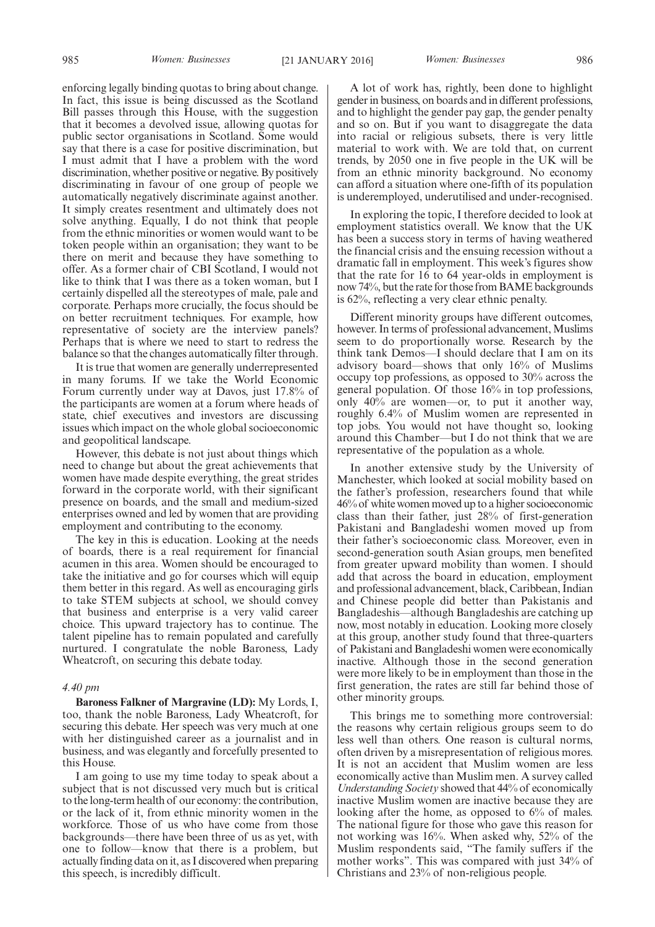enforcing legally binding quotas to bring about change. In fact, this issue is being discussed as the Scotland Bill passes through this House, with the suggestion that it becomes a devolved issue, allowing quotas for public sector organisations in Scotland. Some would say that there is a case for positive discrimination, but I must admit that I have a problem with the word discrimination, whether positive or negative. By positively discriminating in favour of one group of people we automatically negatively discriminate against another. It simply creates resentment and ultimately does not solve anything. Equally, I do not think that people from the ethnic minorities or women would want to be token people within an organisation; they want to be there on merit and because they have something to offer. As a former chair of CBI Scotland, I would not like to think that I was there as a token woman, but I certainly dispelled all the stereotypes of male, pale and corporate. Perhaps more crucially, the focus should be on better recruitment techniques. For example, how representative of society are the interview panels? Perhaps that is where we need to start to redress the balance so that the changes automatically filter through.

It is true that women are generally underrepresented in many forums. If we take the World Economic Forum currently under way at Davos, just 17.8% of the participants are women at a forum where heads of state, chief executives and investors are discussing issues which impact on the whole global socioeconomic and geopolitical landscape.

However, this debate is not just about things which need to change but about the great achievements that women have made despite everything, the great strides forward in the corporate world, with their significant presence on boards, and the small and medium-sized enterprises owned and led by women that are providing employment and contributing to the economy.

The key in this is education. Looking at the needs of boards, there is a real requirement for financial acumen in this area. Women should be encouraged to take the initiative and go for courses which will equip them better in this regard. As well as encouraging girls to take STEM subjects at school, we should convey that business and enterprise is a very valid career choice. This upward trajectory has to continue. The talent pipeline has to remain populated and carefully nurtured. I congratulate the noble Baroness, Lady Wheatcroft, on securing this debate today.

### *4.40 pm*

**Baroness Falkner of Margravine (LD):** My Lords, I, too, thank the noble Baroness, Lady Wheatcroft, for securing this debate. Her speech was very much at one with her distinguished career as a journalist and in business, and was elegantly and forcefully presented to this House.

I am going to use my time today to speak about a subject that is not discussed very much but is critical to the long-term health of our economy: the contribution, or the lack of it, from ethnic minority women in the workforce. Those of us who have come from those backgrounds—there have been three of us as yet, with one to follow—know that there is a problem, but actually finding data on it, as I discovered when preparing this speech, is incredibly difficult.

A lot of work has, rightly, been done to highlight gender in business, on boards and in different professions, and to highlight the gender pay gap, the gender penalty and so on. But if you want to disaggregate the data into racial or religious subsets, there is very little material to work with. We are told that, on current trends, by 2050 one in five people in the UK will be from an ethnic minority background. No economy can afford a situation where one-fifth of its population is underemployed, underutilised and under-recognised.

In exploring the topic, I therefore decided to look at employment statistics overall. We know that the UK has been a success story in terms of having weathered the financial crisis and the ensuing recession without a dramatic fall in employment. This week's figures show that the rate for 16 to 64 year-olds in employment is now 74%, but the rate for those from BAME backgrounds is 62%, reflecting a very clear ethnic penalty.

Different minority groups have different outcomes, however. In terms of professional advancement, Muslims seem to do proportionally worse. Research by the think tank Demos—I should declare that I am on its advisory board—shows that only 16% of Muslims occupy top professions, as opposed to 30% across the general population. Of those 16% in top professions, only 40% are women—or, to put it another way, roughly 6.4% of Muslim women are represented in top jobs. You would not have thought so, looking around this Chamber—but I do not think that we are representative of the population as a whole.

In another extensive study by the University of Manchester, which looked at social mobility based on the father's profession, researchers found that while 46% of white women moved up to a higher socioeconomic class than their father, just 28% of first-generation Pakistani and Bangladeshi women moved up from their father's socioeconomic class. Moreover, even in second-generation south Asian groups, men benefited from greater upward mobility than women. I should add that across the board in education, employment and professional advancement, black, Caribbean, Indian and Chinese people did better than Pakistanis and Bangladeshis—although Bangladeshis are catching up now, most notably in education. Looking more closely at this group, another study found that three-quarters of Pakistani and Bangladeshi women were economically inactive. Although those in the second generation were more likely to be in employment than those in the first generation, the rates are still far behind those of other minority groups.

This brings me to something more controversial: the reasons why certain religious groups seem to do less well than others. One reason is cultural norms, often driven by a misrepresentation of religious mores. It is not an accident that Muslim women are less economically active than Muslim men. A survey called *Understanding Society* showed that 44% of economically inactive Muslim women are inactive because they are looking after the home, as opposed to 6% of males. The national figure for those who gave this reason for not working was 16%. When asked why, 52% of the Muslim respondents said, "The family suffers if the mother works". This was compared with just 34% of Christians and 23% of non-religious people.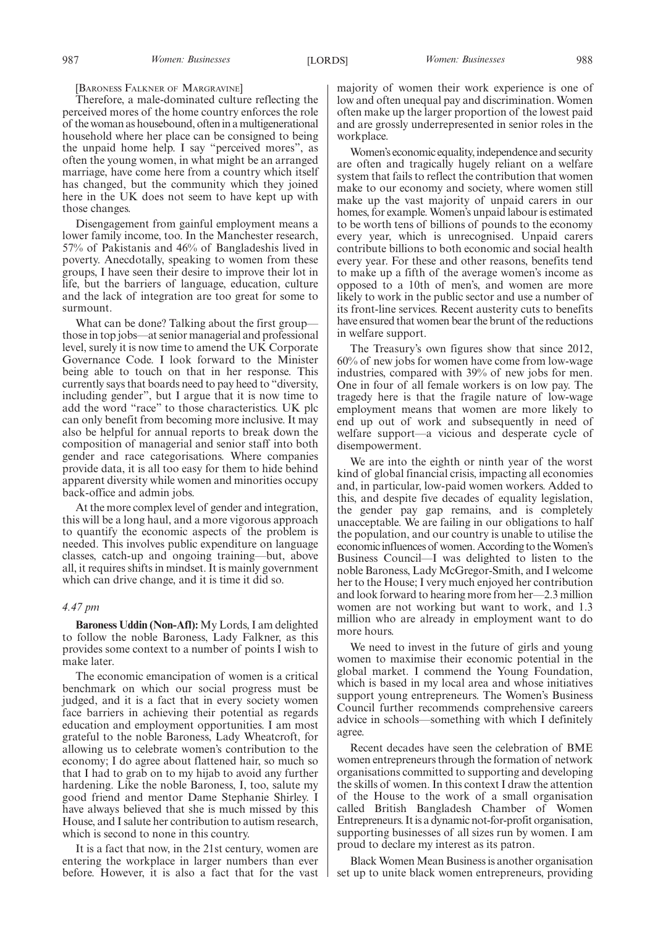### [BARONESS FALKNER OF MARGRAVINE]

Therefore, a male-dominated culture reflecting the perceived mores of the home country enforces the role of the woman as housebound, often in a multigenerational household where her place can be consigned to being the unpaid home help. I say "perceived mores", as often the young women, in what might be an arranged marriage, have come here from a country which itself has changed, but the community which they joined here in the UK does not seem to have kept up with those changes.

Disengagement from gainful employment means a lower family income, too. In the Manchester research, 57% of Pakistanis and 46% of Bangladeshis lived in poverty. Anecdotally, speaking to women from these groups, I have seen their desire to improve their lot in life, but the barriers of language, education, culture and the lack of integration are too great for some to surmount.

What can be done? Talking about the first group those in top jobs—at senior managerial and professional level, surely it is now time to amend the UK Corporate Governance Code. I look forward to the Minister being able to touch on that in her response. This currently says that boards need to pay heed to "diversity, including gender", but I argue that it is now time to add the word "race" to those characteristics. UK plc can only benefit from becoming more inclusive. It may also be helpful for annual reports to break down the composition of managerial and senior staff into both gender and race categorisations. Where companies provide data, it is all too easy for them to hide behind apparent diversity while women and minorities occupy back-office and admin jobs.

At the more complex level of gender and integration, this will be a long haul, and a more vigorous approach to quantify the economic aspects of the problem is needed. This involves public expenditure on language classes, catch-up and ongoing training—but, above all, it requires shifts in mindset. It is mainly government which can drive change, and it is time it did so.

### *4.47 pm*

**Baroness Uddin (Non-Afl):** My Lords, I am delighted to follow the noble Baroness, Lady Falkner, as this provides some context to a number of points I wish to make later.

The economic emancipation of women is a critical benchmark on which our social progress must be judged, and it is a fact that in every society women face barriers in achieving their potential as regards education and employment opportunities. I am most grateful to the noble Baroness, Lady Wheatcroft, for allowing us to celebrate women's contribution to the economy; I do agree about flattened hair, so much so that I had to grab on to my hijab to avoid any further hardening. Like the noble Baroness, I, too, salute my good friend and mentor Dame Stephanie Shirley. I have always believed that she is much missed by this House, and I salute her contribution to autism research, which is second to none in this country.

It is a fact that now, in the 21st century, women are entering the workplace in larger numbers than ever before. However, it is also a fact that for the vast majority of women their work experience is one of low and often unequal pay and discrimination. Women often make up the larger proportion of the lowest paid and are grossly underrepresented in senior roles in the workplace.

Women's economic equality, independence and security are often and tragically hugely reliant on a welfare system that fails to reflect the contribution that women make to our economy and society, where women still make up the vast majority of unpaid carers in our homes, for example. Women's unpaid labour is estimated to be worth tens of billions of pounds to the economy every year, which is unrecognised. Unpaid carers contribute billions to both economic and social health every year. For these and other reasons, benefits tend to make up a fifth of the average women's income as opposed to a 10th of men's, and women are more likely to work in the public sector and use a number of its front-line services. Recent austerity cuts to benefits have ensured that women bear the brunt of the reductions in welfare support.

The Treasury's own figures show that since 2012, 60% of new jobs for women have come from low-wage industries, compared with 39% of new jobs for men. One in four of all female workers is on low pay. The tragedy here is that the fragile nature of low-wage employment means that women are more likely to end up out of work and subsequently in need of welfare support—a vicious and desperate cycle of disempowerment.

We are into the eighth or ninth year of the worst kind of global financial crisis, impacting all economies and, in particular, low-paid women workers. Added to this, and despite five decades of equality legislation, the gender pay gap remains, and is completely unacceptable. We are failing in our obligations to half the population, and our country is unable to utilise the economicinfluences of women. According to theWomen's Business Council—I was delighted to listen to the noble Baroness, Lady McGregor-Smith, and I welcome her to the House; I very much enjoyed her contribution and look forward to hearing more from her—2.3 million women are not working but want to work, and 1.3 million who are already in employment want to do more hours.

We need to invest in the future of girls and young women to maximise their economic potential in the global market. I commend the Young Foundation, which is based in my local area and whose initiatives support young entrepreneurs. The Women's Business Council further recommends comprehensive careers advice in schools—something with which I definitely agree.

Recent decades have seen the celebration of BME women entrepreneurs through the formation of network organisations committed to supporting and developing the skills of women. In this context I draw the attention of the House to the work of a small organisation called British Bangladesh Chamber of Women Entrepreneurs. It is a dynamic not-for-profit organisation, supporting businesses of all sizes run by women. I am proud to declare my interest as its patron.

Black Women Mean Business is another organisation set up to unite black women entrepreneurs, providing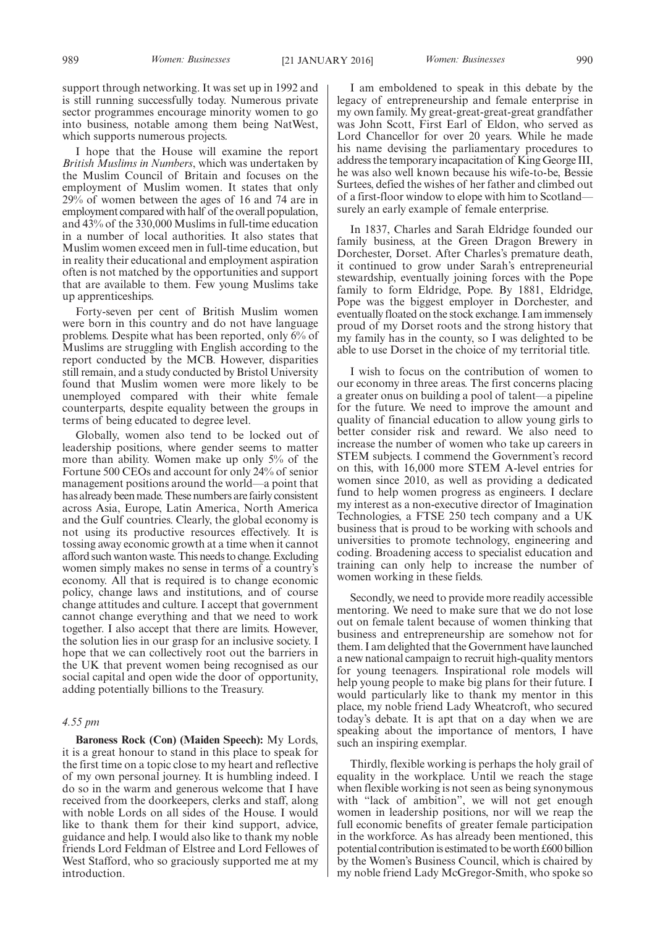support through networking. It was set up in 1992 and is still running successfully today. Numerous private sector programmes encourage minority women to go into business, notable among them being NatWest, which supports numerous projects.

I hope that the House will examine the report *British Muslims in Numbers*, which was undertaken by the Muslim Council of Britain and focuses on the employment of Muslim women. It states that only 29% of women between the ages of 16 and 74 are in employment compared with half of the overall population, and 43% of the 330,000 Muslims in full-time education in a number of local authorities. It also states that Muslim women exceed men in full-time education, but in reality their educational and employment aspiration often is not matched by the opportunities and support that are available to them. Few young Muslims take up apprenticeships.

Forty-seven per cent of British Muslim women were born in this country and do not have language problems. Despite what has been reported, only 6% of Muslims are struggling with English according to the report conducted by the MCB. However, disparities still remain, and a study conducted by Bristol University found that Muslim women were more likely to be unemployed compared with their white female counterparts, despite equality between the groups in terms of being educated to degree level.

Globally, women also tend to be locked out of leadership positions, where gender seems to matter more than ability. Women make up only 5% of the Fortune 500 CEOs and account for only 24% of senior management positions around the world—a point that has already been made. These numbers are fairly consistent across Asia, Europe, Latin America, North America and the Gulf countries. Clearly, the global economy is not using its productive resources effectively. It is tossing away economic growth at a time when it cannot afford such wanton waste. This needs to change. Excluding women simply makes no sense in terms of a country's economy. All that is required is to change economic policy, change laws and institutions, and of course change attitudes and culture. I accept that government cannot change everything and that we need to work together. I also accept that there are limits. However, the solution lies in our grasp for an inclusive society. I hope that we can collectively root out the barriers in the UK that prevent women being recognised as our social capital and open wide the door of opportunity, adding potentially billions to the Treasury.

### *4.55 pm*

**Baroness Rock (Con) (Maiden Speech):** My Lords, it is a great honour to stand in this place to speak for the first time on a topic close to my heart and reflective of my own personal journey. It is humbling indeed. I do so in the warm and generous welcome that I have received from the doorkeepers, clerks and staff, along with noble Lords on all sides of the House. I would like to thank them for their kind support, advice, guidance and help. I would also like to thank my noble friends Lord Feldman of Elstree and Lord Fellowes of West Stafford, who so graciously supported me at my introduction.

I am emboldened to speak in this debate by the legacy of entrepreneurship and female enterprise in my own family. My great-great-great-great grandfather was John Scott, First Earl of Eldon, who served as Lord Chancellor for over 20 years. While he made his name devising the parliamentary procedures to address the temporary incapacitation of King George III, he was also well known because his wife-to-be, Bessie Surtees, defied the wishes of her father and climbed out of a first-floor window to elope with him to Scotland surely an early example of female enterprise.

In 1837, Charles and Sarah Eldridge founded our family business, at the Green Dragon Brewery in Dorchester, Dorset. After Charles's premature death, it continued to grow under Sarah's entrepreneurial stewardship, eventually joining forces with the Pope family to form Eldridge, Pope. By 1881, Eldridge, Pope was the biggest employer in Dorchester, and eventually floated on the stock exchange. I am immensely proud of my Dorset roots and the strong history that my family has in the county, so I was delighted to be able to use Dorset in the choice of my territorial title.

I wish to focus on the contribution of women to our economy in three areas. The first concerns placing a greater onus on building a pool of talent—a pipeline for the future. We need to improve the amount and quality of financial education to allow young girls to better consider risk and reward. We also need to increase the number of women who take up careers in STEM subjects. I commend the Government's record on this, with 16,000 more STEM A-level entries for women since 2010, as well as providing a dedicated fund to help women progress as engineers. I declare my interest as a non-executive director of Imagination Technologies, a FTSE 250 tech company and a UK business that is proud to be working with schools and universities to promote technology, engineering and coding. Broadening access to specialist education and training can only help to increase the number of women working in these fields.

Secondly, we need to provide more readily accessible mentoring. We need to make sure that we do not lose out on female talent because of women thinking that business and entrepreneurship are somehow not for them. I am delighted that the Government have launched a new national campaign to recruit high-quality mentors for young teenagers. Inspirational role models will help young people to make big plans for their future. I would particularly like to thank my mentor in this place, my noble friend Lady Wheatcroft, who secured today's debate. It is apt that on a day when we are speaking about the importance of mentors, I have such an inspiring exemplar.

Thirdly, flexible working is perhaps the holy grail of equality in the workplace. Until we reach the stage when flexible working is not seen as being synonymous with "lack of ambition", we will not get enough women in leadership positions, nor will we reap the full economic benefits of greater female participation in the workforce. As has already been mentioned, this potential contribution is estimated to be worth £600 billion by the Women's Business Council, which is chaired by my noble friend Lady McGregor-Smith, who spoke so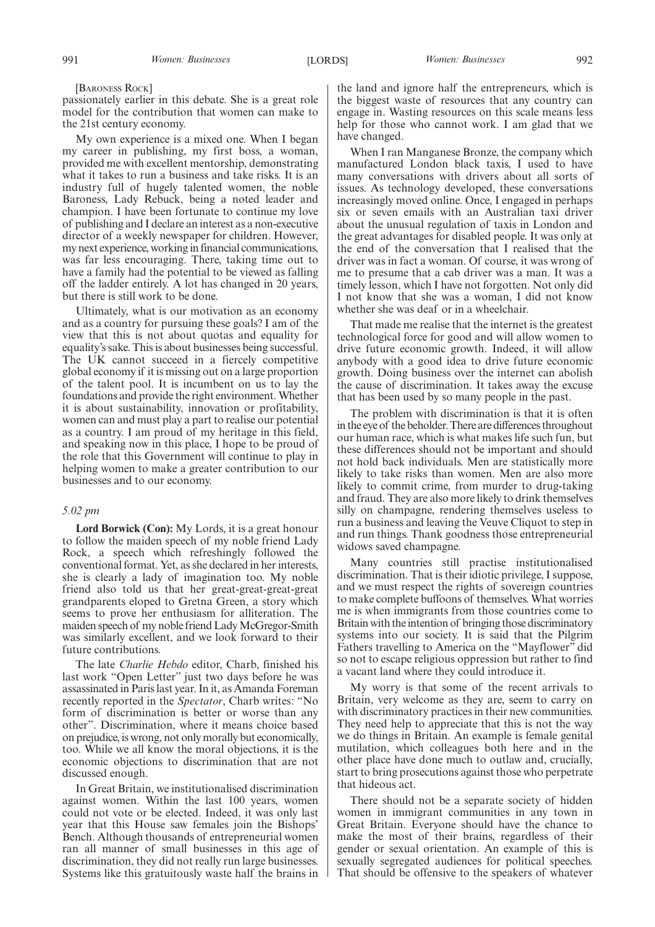[BARONESS ROCK]

passionately earlier in this debate. She is a great role model for the contribution that women can make to the 21st century economy.

My own experience is a mixed one. When I began my career in publishing, my first boss, a woman, provided me with excellent mentorship, demonstrating what it takes to run a business and take risks. It is an industry full of hugely talented women, the noble Baroness, Lady Rebuck, being a noted leader and champion. I have been fortunate to continue my love of publishing and I declare an interest as a non-executive director of a weekly newspaper for children. However, my next experience, working in financial communications, was far less encouraging. There, taking time out to have a family had the potential to be viewed as falling off the ladder entirely. A lot has changed in 20 years, but there is still work to be done.

Ultimately, what is our motivation as an economy and as a country for pursuing these goals? I am of the view that this is not about quotas and equality for equality's sake. This is about businesses being successful. The UK cannot succeed in a fiercely competitive global economy if it is missing out on a large proportion of the talent pool. It is incumbent on us to lay the foundations and provide the right environment.Whether it is about sustainability, innovation or profitability, women can and must play a part to realise our potential as a country. I am proud of my heritage in this field, and speaking now in this place, I hope to be proud of the role that this Government will continue to play in helping women to make a greater contribution to our businesses and to our economy.

### *5.02 pm*

**Lord Borwick (Con):** My Lords, it is a great honour to follow the maiden speech of my noble friend Lady Rock, a speech which refreshingly followed the conventional format. Yet, as she declared in her interests, she is clearly a lady of imagination too. My noble friend also told us that her great-great-great-great grandparents eloped to Gretna Green, a story which seems to prove her enthusiasm for alliteration. The maiden speech of my noble friend Lady McGregor-Smith was similarly excellent, and we look forward to their future contributions.

The late *Charlie Hebdo* editor, Charb, finished his last work "Open Letter" just two days before he was assassinated in Paris last year. In it, as Amanda Foreman recently reported in the *Spectator*, Charb writes: "No form of discrimination is better or worse than any other". Discrimination, where it means choice based on prejudice, is wrong, not only morally but economically, too. While we all know the moral objections, it is the economic objections to discrimination that are not discussed enough.

In Great Britain, we institutionalised discrimination against women. Within the last 100 years, women could not vote or be elected. Indeed, it was only last year that this House saw females join the Bishops' Bench. Although thousands of entrepreneurial women ran all manner of small businesses in this age of discrimination, they did not really run large businesses. Systems like this gratuitously waste half the brains in the land and ignore half the entrepreneurs, which is the biggest waste of resources that any country can engage in. Wasting resources on this scale means less help for those who cannot work. I am glad that we have changed.

When I ran Manganese Bronze, the company which manufactured London black taxis, I used to have many conversations with drivers about all sorts of issues. As technology developed, these conversations increasingly moved online. Once, I engaged in perhaps six or seven emails with an Australian taxi driver about the unusual regulation of taxis in London and the great advantages for disabled people. It was only at the end of the conversation that I realised that the driver was in fact a woman. Of course, it was wrong of me to presume that a cab driver was a man. It was a timely lesson, which I have not forgotten. Not only did I not know that she was a woman, I did not know whether she was deaf or in a wheelchair.

That made me realise that the internet is the greatest technological force for good and will allow women to drive future economic growth. Indeed, it will allow anybody with a good idea to drive future economic growth. Doing business over the internet can abolish the cause of discrimination. It takes away the excuse that has been used by so many people in the past.

The problem with discrimination is that it is often in the eye of the beholder.There are differences throughout our human race, which is what makes life such fun, but these differences should not be important and should not hold back individuals. Men are statistically more likely to take risks than women. Men are also more likely to commit crime, from murder to drug-taking and fraud. They are also more likely to drink themselves silly on champagne, rendering themselves useless to run a business and leaving the Veuve Cliquot to step in and run things. Thank goodness those entrepreneurial widows saved champagne.

Many countries still practise institutionalised discrimination. That is their idiotic privilege, I suppose, and we must respect the rights of sovereign countries to make complete buffoons of themselves. What worries me is when immigrants from those countries come to Britain with the intention of bringing those discriminatory systems into our society. It is said that the Pilgrim Fathers travelling to America on the "Mayflower" did so not to escape religious oppression but rather to find a vacant land where they could introduce it.

My worry is that some of the recent arrivals to Britain, very welcome as they are, seem to carry on with discriminatory practices in their new communities. They need help to appreciate that this is not the way we do things in Britain. An example is female genital mutilation, which colleagues both here and in the other place have done much to outlaw and, crucially, start to bring prosecutions against those who perpetrate that hideous act.

There should not be a separate society of hidden women in immigrant communities in any town in Great Britain. Everyone should have the chance to make the most of their brains, regardless of their gender or sexual orientation. An example of this is sexually segregated audiences for political speeches. That should be offensive to the speakers of whatever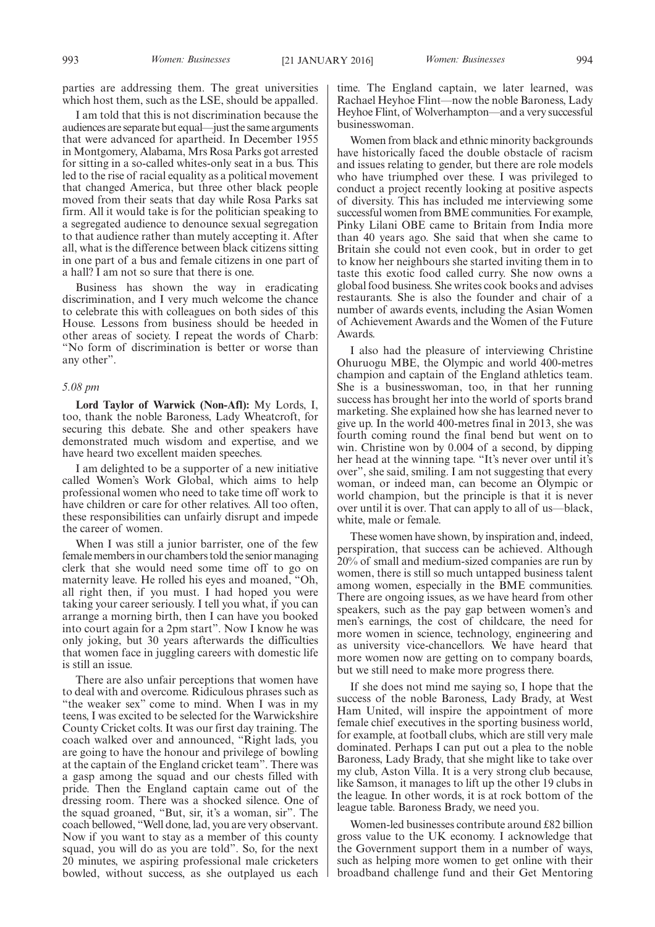parties are addressing them. The great universities which host them, such as the LSE, should be appalled.

I am told that this is not discrimination because the audiences are separate but equal—just the same arguments that were advanced for apartheid. In December 1955 in Montgomery, Alabama, Mrs Rosa Parks got arrested for sitting in a so-called whites-only seat in a bus. This led to the rise of racial equality as a political movement that changed America, but three other black people moved from their seats that day while Rosa Parks sat firm. All it would take is for the politician speaking to a segregated audience to denounce sexual segregation to that audience rather than mutely accepting it. After all, what is the difference between black citizens sitting in one part of a bus and female citizens in one part of a hall? I am not so sure that there is one.

Business has shown the way in eradicating discrimination, and I very much welcome the chance to celebrate this with colleagues on both sides of this House. Lessons from business should be heeded in other areas of society. I repeat the words of Charb: "No form of discrimination is better or worse than any other".

### *5.08 pm*

**Lord Taylor of Warwick (Non-Afl):** My Lords, I, too, thank the noble Baroness, Lady Wheatcroft, for securing this debate. She and other speakers have demonstrated much wisdom and expertise, and we have heard two excellent maiden speeches.

I am delighted to be a supporter of a new initiative called Women's Work Global, which aims to help professional women who need to take time off work to have children or care for other relatives. All too often, these responsibilities can unfairly disrupt and impede the career of women.

When I was still a junior barrister, one of the few female members in our chambers told the senior managing clerk that she would need some time off to go on maternity leave. He rolled his eyes and moaned, "Oh, all right then, if you must. I had hoped you were taking your career seriously. I tell you what, if you can arrange a morning birth, then I can have you booked into court again for a 2pm start". Now I know he was only joking, but 30 years afterwards the difficulties that women face in juggling careers with domestic life is still an issue.

There are also unfair perceptions that women have to deal with and overcome. Ridiculous phrases such as "the weaker sex" come to mind. When I was in my teens, I was excited to be selected for the Warwickshire County Cricket colts. It was our first day training. The coach walked over and announced, "Right lads, you are going to have the honour and privilege of bowling at the captain of the England cricket team". There was a gasp among the squad and our chests filled with pride. Then the England captain came out of the dressing room. There was a shocked silence. One of the squad groaned, "But, sir, it's a woman, sir". The coach bellowed, "Well done, lad, you are very observant. Now if you want to stay as a member of this county squad, you will do as you are told". So, for the next 20 minutes, we aspiring professional male cricketers bowled, without success, as she outplayed us each

time. The England captain, we later learned, was Rachael Heyhoe Flint—now the noble Baroness, Lady Heyhoe Flint, of Wolverhampton—and a very successful businesswoman.

Women from black and ethnic minority backgrounds have historically faced the double obstacle of racism and issues relating to gender, but there are role models who have triumphed over these. I was privileged to conduct a project recently looking at positive aspects of diversity. This has included me interviewing some successful women from BME communities. For example, Pinky Lilani OBE came to Britain from India more than 40 years ago. She said that when she came to Britain she could not even cook, but in order to get to know her neighbours she started inviting them in to taste this exotic food called curry. She now owns a global food business. She writes cook books and advises restaurants. She is also the founder and chair of a number of awards events, including the Asian Women of Achievement Awards and the Women of the Future Awards.

I also had the pleasure of interviewing Christine Ohuruogu MBE, the Olympic and world 400-metres champion and captain of the England athletics team. She is a businesswoman, too, in that her running success has brought her into the world of sports brand marketing. She explained how she has learned never to give up. In the world 400-metres final in 2013, she was fourth coming round the final bend but went on to win. Christine won by 0.004 of a second, by dipping her head at the winning tape. "It's never over until it's over", she said, smiling. I am not suggesting that every woman, or indeed man, can become an Olympic or world champion, but the principle is that it is never over until it is over. That can apply to all of us—black, white, male or female.

These women have shown, by inspiration and, indeed, perspiration, that success can be achieved. Although 20% of small and medium-sized companies are run by women, there is still so much untapped business talent among women, especially in the BME communities. There are ongoing issues, as we have heard from other speakers, such as the pay gap between women's and men's earnings, the cost of childcare, the need for more women in science, technology, engineering and as university vice-chancellors. We have heard that more women now are getting on to company boards, but we still need to make more progress there.

If she does not mind me saying so, I hope that the success of the noble Baroness, Lady Brady, at West Ham United, will inspire the appointment of more female chief executives in the sporting business world, for example, at football clubs, which are still very male dominated. Perhaps I can put out a plea to the noble Baroness, Lady Brady, that she might like to take over my club, Aston Villa. It is a very strong club because, like Samson, it manages to lift up the other 19 clubs in the league. In other words, it is at rock bottom of the league table. Baroness Brady, we need you.

Women-led businesses contribute around £82 billion gross value to the UK economy. I acknowledge that the Government support them in a number of ways, such as helping more women to get online with their broadband challenge fund and their Get Mentoring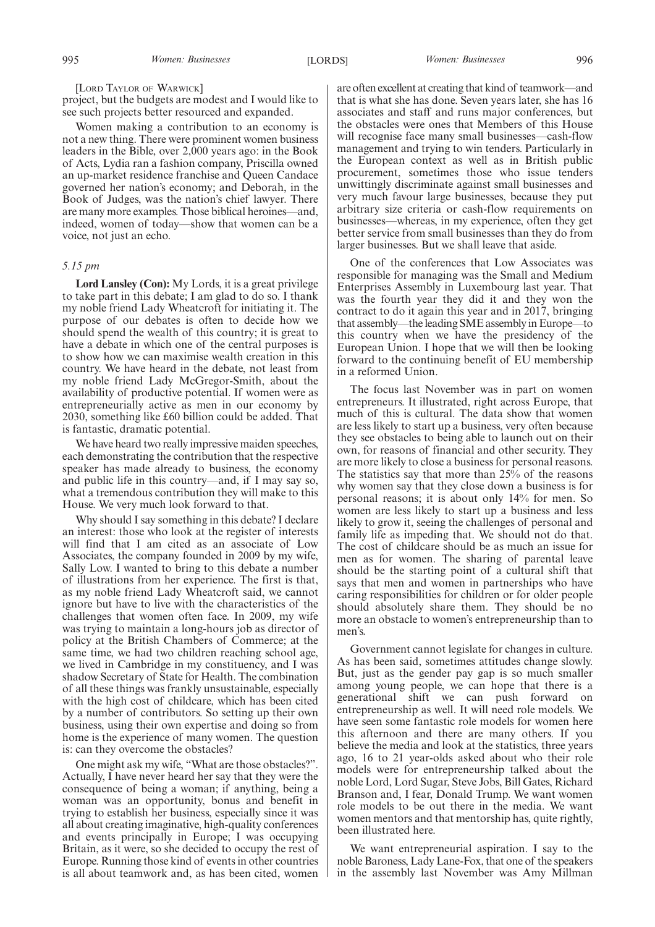### [LORD TAYLOR OF WARWICK]

project, but the budgets are modest and I would like to see such projects better resourced and expanded.

Women making a contribution to an economy is not a new thing. There were prominent women business leaders in the Bible, over 2,000 years ago: in the Book of Acts, Lydia ran a fashion company, Priscilla owned an up-market residence franchise and Queen Candace governed her nation's economy; and Deborah, in the Book of Judges, was the nation's chief lawyer. There are many more examples. Those biblical heroines—and, indeed, women of today—show that women can be a voice, not just an echo.

### *5.15 pm*

**Lord Lansley (Con):** My Lords, it is a great privilege to take part in this debate; I am glad to do so. I thank my noble friend Lady Wheatcroft for initiating it. The purpose of our debates is often to decide how we should spend the wealth of this country; it is great to have a debate in which one of the central purposes is to show how we can maximise wealth creation in this country. We have heard in the debate, not least from my noble friend Lady McGregor-Smith, about the availability of productive potential. If women were as entrepreneurially active as men in our economy by 2030, something like £60 billion could be added. That is fantastic, dramatic potential.

We have heard two really impressive maiden speeches, each demonstrating the contribution that the respective speaker has made already to business, the economy and public life in this country—and, if I may say so, what a tremendous contribution they will make to this House. We very much look forward to that.

Why should I say something in this debate? I declare an interest: those who look at the register of interests will find that I am cited as an associate of Low Associates, the company founded in 2009 by my wife, Sally Low. I wanted to bring to this debate a number of illustrations from her experience. The first is that, as my noble friend Lady Wheatcroft said, we cannot ignore but have to live with the characteristics of the challenges that women often face. In 2009, my wife was trying to maintain a long-hours job as director of policy at the British Chambers of Commerce; at the same time, we had two children reaching school age, we lived in Cambridge in my constituency, and I was shadow Secretary of State for Health. The combination of all these things was frankly unsustainable, especially with the high cost of childcare, which has been cited by a number of contributors. So setting up their own business, using their own expertise and doing so from home is the experience of many women. The question is: can they overcome the obstacles?

One might ask my wife, "What are those obstacles?". Actually, I have never heard her say that they were the consequence of being a woman; if anything, being a woman was an opportunity, bonus and benefit in trying to establish her business, especially since it was all about creating imaginative, high-quality conferences and events principally in Europe; I was occupying Britain, as it were, so she decided to occupy the rest of Europe. Running those kind of events in other countries is all about teamwork and, as has been cited, women are often excellent at creating that kind of teamwork—and that is what she has done. Seven years later, she has 16 associates and staff and runs major conferences, but the obstacles were ones that Members of this House will recognise face many small businesses—cash-flow management and trying to win tenders. Particularly in the European context as well as in British public procurement, sometimes those who issue tenders unwittingly discriminate against small businesses and very much favour large businesses, because they put arbitrary size criteria or cash-flow requirements on businesses—whereas, in my experience, often they get better service from small businesses than they do from larger businesses. But we shall leave that aside.

One of the conferences that Low Associates was responsible for managing was the Small and Medium Enterprises Assembly in Luxembourg last year. That was the fourth year they did it and they won the contract to do it again this year and in 2017, bringing that assembly—the leading SME assembly in Europe—to this country when we have the presidency of the European Union. I hope that we will then be looking forward to the continuing benefit of EU membership in a reformed Union.

The focus last November was in part on women entrepreneurs. It illustrated, right across Europe, that much of this is cultural. The data show that women are less likely to start up a business, very often because they see obstacles to being able to launch out on their own, for reasons of financial and other security. They are more likely to close a business for personal reasons. The statistics say that more than 25% of the reasons why women say that they close down a business is for personal reasons; it is about only 14% for men. So women are less likely to start up a business and less likely to grow it, seeing the challenges of personal and family life as impeding that. We should not do that. The cost of childcare should be as much an issue for men as for women. The sharing of parental leave should be the starting point of a cultural shift that says that men and women in partnerships who have caring responsibilities for children or for older people should absolutely share them. They should be no more an obstacle to women's entrepreneurship than to men's.

Government cannot legislate for changes in culture. As has been said, sometimes attitudes change slowly. But, just as the gender pay gap is so much smaller among young people, we can hope that there is a generational shift we can push forward on entrepreneurship as well. It will need role models. We have seen some fantastic role models for women here this afternoon and there are many others. If you believe the media and look at the statistics, three years ago, 16 to 21 year-olds asked about who their role models were for entrepreneurship talked about the noble Lord, Lord Sugar, Steve Jobs, Bill Gates, Richard Branson and, I fear, Donald Trump. We want women role models to be out there in the media. We want women mentors and that mentorship has, quite rightly, been illustrated here.

We want entrepreneurial aspiration. I say to the noble Baroness, Lady Lane-Fox, that one of the speakers in the assembly last November was Amy Millman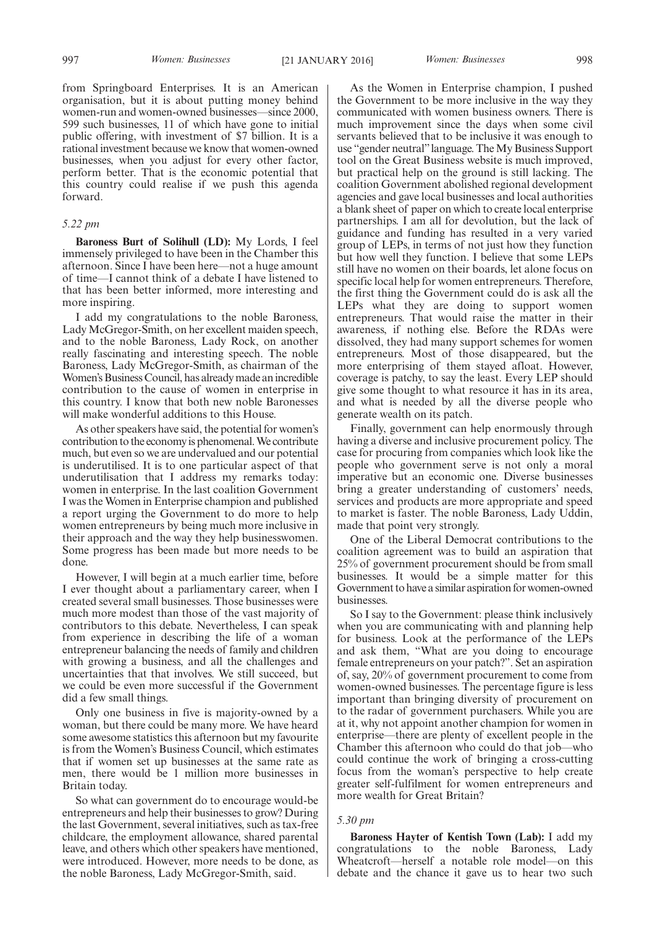from Springboard Enterprises. It is an American organisation, but it is about putting money behind women-run and women-owned businesses—since 2000, 599 such businesses, 11 of which have gone to initial public offering, with investment of \$7 billion. It is a rational investment because we know that women-owned businesses, when you adjust for every other factor, perform better. That is the economic potential that this country could realise if we push this agenda forward.

### *5.22 pm*

**Baroness Burt of Solihull (LD):** My Lords, I feel immensely privileged to have been in the Chamber this afternoon. Since I have been here—not a huge amount of time—I cannot think of a debate I have listened to that has been better informed, more interesting and more inspiring.

I add my congratulations to the noble Baroness, Lady McGregor-Smith, on her excellent maiden speech, and to the noble Baroness, Lady Rock, on another really fascinating and interesting speech. The noble Baroness, Lady McGregor-Smith, as chairman of the Women's Business Council, has already made an incredible contribution to the cause of women in enterprise in this country. I know that both new noble Baronesses will make wonderful additions to this House.

As other speakers have said, the potential for women's contribution to the economy is phenomenal. We contribute much, but even so we are undervalued and our potential is underutilised. It is to one particular aspect of that underutilisation that I address my remarks today: women in enterprise. In the last coalition Government I was the Women in Enterprise champion and published a report urging the Government to do more to help women entrepreneurs by being much more inclusive in their approach and the way they help businesswomen. Some progress has been made but more needs to be done.

However, I will begin at a much earlier time, before I ever thought about a parliamentary career, when I created several small businesses. Those businesses were much more modest than those of the vast majority of contributors to this debate. Nevertheless, I can speak from experience in describing the life of a woman entrepreneur balancing the needs of family and children with growing a business, and all the challenges and uncertainties that that involves. We still succeed, but we could be even more successful if the Government did a few small things.

Only one business in five is majority-owned by a woman, but there could be many more. We have heard some awesome statistics this afternoon but my favourite is from the Women's Business Council, which estimates that if women set up businesses at the same rate as men, there would be 1 million more businesses in Britain today.

So what can government do to encourage would-be entrepreneurs and help their businesses to grow? During the last Government, several initiatives, such as tax-free childcare, the employment allowance, shared parental leave, and others which other speakers have mentioned, were introduced. However, more needs to be done, as the noble Baroness, Lady McGregor-Smith, said.

As the Women in Enterprise champion, I pushed the Government to be more inclusive in the way they communicated with women business owners. There is much improvement since the days when some civil servants believed that to be inclusive it was enough to use "gender neutral"language. TheMy Business Support tool on the Great Business website is much improved, but practical help on the ground is still lacking. The coalition Government abolished regional development agencies and gave local businesses and local authorities a blank sheet of paper on which to create local enterprise partnerships. I am all for devolution, but the lack of guidance and funding has resulted in a very varied group of LEPs, in terms of not just how they function but how well they function. I believe that some LEPs still have no women on their boards, let alone focus on specific local help for women entrepreneurs. Therefore, the first thing the Government could do is ask all the LEPs what they are doing to support women entrepreneurs. That would raise the matter in their awareness, if nothing else. Before the RDAs were dissolved, they had many support schemes for women entrepreneurs. Most of those disappeared, but the more enterprising of them stayed afloat. However, coverage is patchy, to say the least. Every LEP should give some thought to what resource it has in its area, and what is needed by all the diverse people who generate wealth on its patch.

Finally, government can help enormously through having a diverse and inclusive procurement policy. The case for procuring from companies which look like the people who government serve is not only a moral imperative but an economic one. Diverse businesses bring a greater understanding of customers' needs, services and products are more appropriate and speed to market is faster. The noble Baroness, Lady Uddin, made that point very strongly.

One of the Liberal Democrat contributions to the coalition agreement was to build an aspiration that 25% of government procurement should be from small businesses. It would be a simple matter for this Government to have a similar aspiration for women-owned businesses.

So I say to the Government: please think inclusively when you are communicating with and planning help for business. Look at the performance of the LEPs and ask them, "What are you doing to encourage female entrepreneurs on your patch?". Set an aspiration of, say, 20% of government procurement to come from women-owned businesses. The percentage figure is less important than bringing diversity of procurement on to the radar of government purchasers. While you are at it, why not appoint another champion for women in enterprise—there are plenty of excellent people in the Chamber this afternoon who could do that job—who could continue the work of bringing a cross-cutting focus from the woman's perspective to help create greater self-fulfilment for women entrepreneurs and more wealth for Great Britain?

#### *5.30 pm*

**Baroness Hayter of Kentish Town (Lab):** I add my congratulations to the noble Baroness, Lady Wheatcroft—herself a notable role model—on this debate and the chance it gave us to hear two such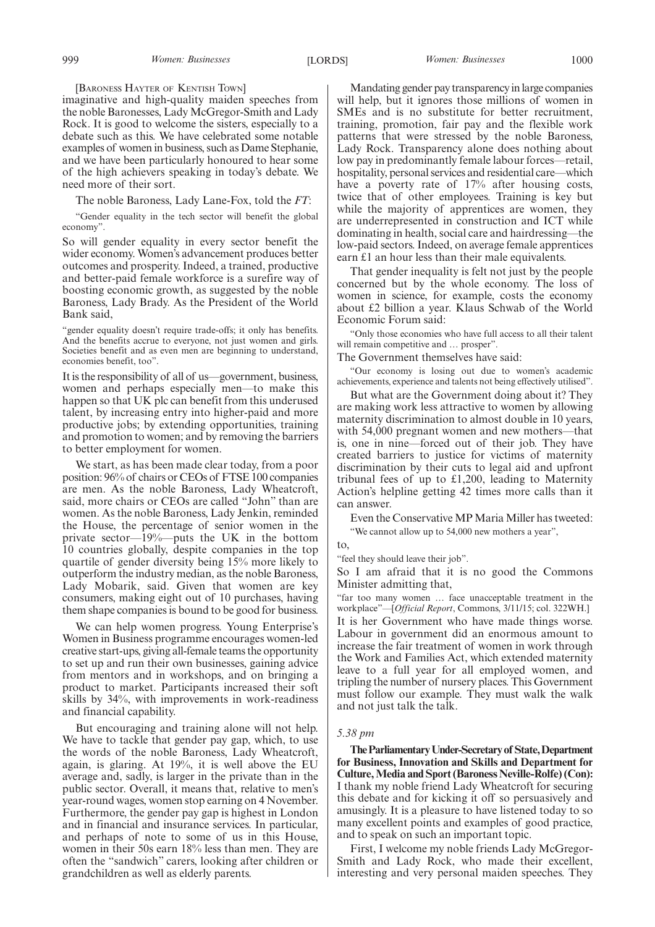[BARONESS HAYTER OF KENTISH TOWN]

imaginative and high-quality maiden speeches from the noble Baronesses, Lady McGregor-Smith and Lady Rock. It is good to welcome the sisters, especially to a debate such as this. We have celebrated some notable examples of women in business, such as Dame Stephanie, and we have been particularly honoured to hear some of the high achievers speaking in today's debate. We need more of their sort.

The noble Baroness, Lady Lane-Fox, told the *FT*:

"Gender equality in the tech sector will benefit the global economy".

So will gender equality in every sector benefit the wider economy. Women's advancement produces better outcomes and prosperity. Indeed, a trained, productive and better-paid female workforce is a surefire way of boosting economic growth, as suggested by the noble Baroness, Lady Brady. As the President of the World Bank said,

"gender equality doesn't require trade-offs; it only has benefits. And the benefits accrue to everyone, not just women and girls. Societies benefit and as even men are beginning to understand, economies benefit, too".

It is the responsibility of all of us—government, business, women and perhaps especially men—to make this happen so that UK plc can benefit from this underused talent, by increasing entry into higher-paid and more productive jobs; by extending opportunities, training and promotion to women; and by removing the barriers to better employment for women.

We start, as has been made clear today, from a poor position: 96% of chairs or CEOs of FTSE 100 companies are men. As the noble Baroness, Lady Wheatcroft, said, more chairs or CEOs are called "John" than are women. As the noble Baroness, Lady Jenkin, reminded the House, the percentage of senior women in the private sector—19%—puts the UK in the bottom 10 countries globally, despite companies in the top quartile of gender diversity being 15% more likely to outperform the industry median, as the noble Baroness, Lady Mobarik, said. Given that women are key consumers, making eight out of 10 purchases, having them shape companies is bound to be good for business.

We can help women progress. Young Enterprise's Women in Business programme encourages women-led creative start-ups, giving all-female teams the opportunity to set up and run their own businesses, gaining advice from mentors and in workshops, and on bringing a product to market. Participants increased their soft skills by 34%, with improvements in work-readiness and financial capability.

But encouraging and training alone will not help. We have to tackle that gender pay gap, which, to use the words of the noble Baroness, Lady Wheatcroft, again, is glaring. At 19%, it is well above the EU average and, sadly, is larger in the private than in the public sector. Overall, it means that, relative to men's year-round wages, women stop earning on 4 November. Furthermore, the gender pay gap is highest in London and in financial and insurance services. In particular, and perhaps of note to some of us in this House, women in their 50s earn 18% less than men. They are often the "sandwich" carers, looking after children or grandchildren as well as elderly parents.

Mandating gender pay transparency in large companies will help, but it ignores those millions of women in SMEs and is no substitute for better recruitment, training, promotion, fair pay and the flexible work patterns that were stressed by the noble Baroness, Lady Rock. Transparency alone does nothing about low pay in predominantly female labour forces—retail, hospitality, personal services and residential care—which have a poverty rate of 17% after housing costs, twice that of other employees. Training is key but while the majority of apprentices are women, they are underrepresented in construction and ICT while dominating in health, social care and hairdressing—the low-paid sectors. Indeed, on average female apprentices earn £1 an hour less than their male equivalents.

That gender inequality is felt not just by the people concerned but by the whole economy. The loss of women in science, for example, costs the economy about £2 billion a year. Klaus Schwab of the World Economic Forum said:

"Only those economies who have full access to all their talent will remain competitive and ... prosper".

The Government themselves have said:

"Our economy is losing out due to women's academic achievements, experience and talents not being effectively utilised".

But what are the Government doing about it? They are making work less attractive to women by allowing maternity discrimination to almost double in 10 years, with 54,000 pregnant women and new mothers—that is, one in nine—forced out of their job. They have created barriers to justice for victims of maternity discrimination by their cuts to legal aid and upfront tribunal fees of up to £1,200, leading to Maternity Action's helpline getting 42 times more calls than it can answer.

Even the Conservative MP Maria Miller has tweeted: "We cannot allow up to 54,000 new mothers a year",

to,

"feel they should leave their job".

So I am afraid that it is no good the Commons Minister admitting that,

"far too many women … face unacceptable treatment in the workplace"—[*Official Report*, Commons, 3/11/15; col. 322WH.] It is her Government who have made things worse. Labour in government did an enormous amount to increase the fair treatment of women in work through the Work and Families Act, which extended maternity leave to a full year for all employed women, and tripling the number of nursery places. This Government must follow our example. They must walk the walk and not just talk the talk.

### *5.38 pm*

**TheParliamentaryUnder-Secretaryof State,Department for Business, Innovation and Skills and Department for Culture,Media and Sport (Baroness Neville-Rolfe) (Con):** I thank my noble friend Lady Wheatcroft for securing this debate and for kicking it off so persuasively and amusingly. It is a pleasure to have listened today to so many excellent points and examples of good practice, and to speak on such an important topic.

First, I welcome my noble friends Lady McGregor-Smith and Lady Rock, who made their excellent, interesting and very personal maiden speeches. They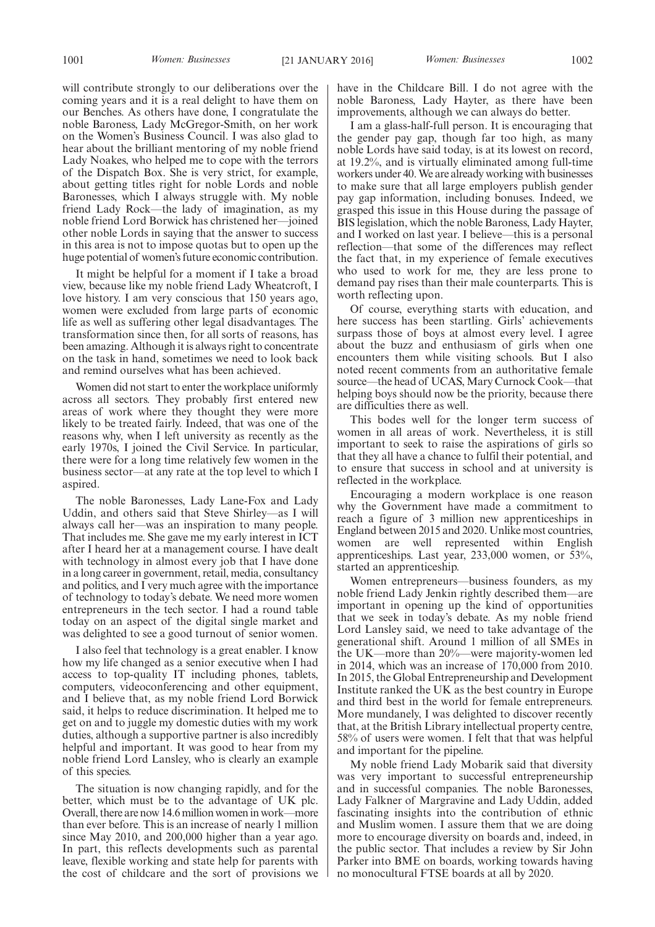will contribute strongly to our deliberations over the coming years and it is a real delight to have them on our Benches. As others have done, I congratulate the noble Baroness, Lady McGregor-Smith, on her work on the Women's Business Council. I was also glad to hear about the brilliant mentoring of my noble friend Lady Noakes, who helped me to cope with the terrors of the Dispatch Box. She is very strict, for example, about getting titles right for noble Lords and noble Baronesses, which I always struggle with. My noble friend Lady Rock—the lady of imagination, as my noble friend Lord Borwick has christened her—joined other noble Lords in saying that the answer to success in this area is not to impose quotas but to open up the huge potential of women's future economic contribution.

It might be helpful for a moment if I take a broad view, because like my noble friend Lady Wheatcroft, I love history. I am very conscious that 150 years ago, women were excluded from large parts of economic life as well as suffering other legal disadvantages. The transformation since then, for all sorts of reasons, has been amazing. Although it is always right to concentrate on the task in hand, sometimes we need to look back and remind ourselves what has been achieved.

Women did not start to enter the workplace uniformly across all sectors. They probably first entered new areas of work where they thought they were more likely to be treated fairly. Indeed, that was one of the reasons why, when I left university as recently as the early 1970s, I joined the Civil Service. In particular, there were for a long time relatively few women in the business sector—at any rate at the top level to which I aspired.

The noble Baronesses, Lady Lane-Fox and Lady Uddin, and others said that Steve Shirley—as I will always call her—was an inspiration to many people. That includes me. She gave me my early interest in ICT after I heard her at a management course. I have dealt with technology in almost every job that I have done in a long career in government, retail, media, consultancy and politics, and I very much agree with the importance of technology to today's debate. We need more women entrepreneurs in the tech sector. I had a round table today on an aspect of the digital single market and was delighted to see a good turnout of senior women.

I also feel that technology is a great enabler. I know how my life changed as a senior executive when I had access to top-quality IT including phones, tablets, computers, videoconferencing and other equipment, and I believe that, as my noble friend Lord Borwick said, it helps to reduce discrimination. It helped me to get on and to juggle my domestic duties with my work duties, although a supportive partner is also incredibly helpful and important. It was good to hear from my noble friend Lord Lansley, who is clearly an example of this species.

The situation is now changing rapidly, and for the better, which must be to the advantage of UK plc. Overall, there are now 14.6 million women in work—more than ever before. This is an increase of nearly 1 million since May 2010, and 200,000 higher than a year ago. In part, this reflects developments such as parental leave, flexible working and state help for parents with the cost of childcare and the sort of provisions we

have in the Childcare Bill. I do not agree with the noble Baroness, Lady Hayter, as there have been improvements, although we can always do better.

I am a glass-half-full person. It is encouraging that the gender pay gap, though far too high, as many noble Lords have said today, is at its lowest on record, at 19.2%, and is virtually eliminated among full-time workers under 40.We are already working with businesses to make sure that all large employers publish gender pay gap information, including bonuses. Indeed, we grasped this issue in this House during the passage of BIS legislation, which the noble Baroness, Lady Hayter, and I worked on last year. I believe—this is a personal reflection—that some of the differences may reflect the fact that, in my experience of female executives who used to work for me, they are less prone to demand pay rises than their male counterparts. This is worth reflecting upon.

Of course, everything starts with education, and here success has been startling. Girls' achievements surpass those of boys at almost every level. I agree about the buzz and enthusiasm of girls when one encounters them while visiting schools. But I also noted recent comments from an authoritative female source—the head of UCAS, Mary Curnock Cook—that helping boys should now be the priority, because there are difficulties there as well.

This bodes well for the longer term success of women in all areas of work. Nevertheless, it is still important to seek to raise the aspirations of girls so that they all have a chance to fulfil their potential, and to ensure that success in school and at university is reflected in the workplace.

Encouraging a modern workplace is one reason why the Government have made a commitment to reach a figure of 3 million new apprenticeships in England between 2015 and 2020. Unlike most countries, women are well represented within English apprenticeships. Last year, 233,000 women, or 53%, started an apprenticeship.

Women entrepreneurs—business founders, as my noble friend Lady Jenkin rightly described them—are important in opening up the kind of opportunities that we seek in today's debate. As my noble friend Lord Lansley said, we need to take advantage of the generational shift. Around 1 million of all SMEs in the UK—more than 20%—were majority-women led in 2014, which was an increase of 170,000 from 2010. In 2015, the Global Entrepreneurship and Development Institute ranked the UK as the best country in Europe and third best in the world for female entrepreneurs. More mundanely, I was delighted to discover recently that, at the British Library intellectual property centre, 58% of users were women. I felt that that was helpful and important for the pipeline.

My noble friend Lady Mobarik said that diversity was very important to successful entrepreneurship and in successful companies. The noble Baronesses, Lady Falkner of Margravine and Lady Uddin, added fascinating insights into the contribution of ethnic and Muslim women. I assure them that we are doing more to encourage diversity on boards and, indeed, in the public sector. That includes a review by Sir John Parker into BME on boards, working towards having no monocultural FTSE boards at all by 2020.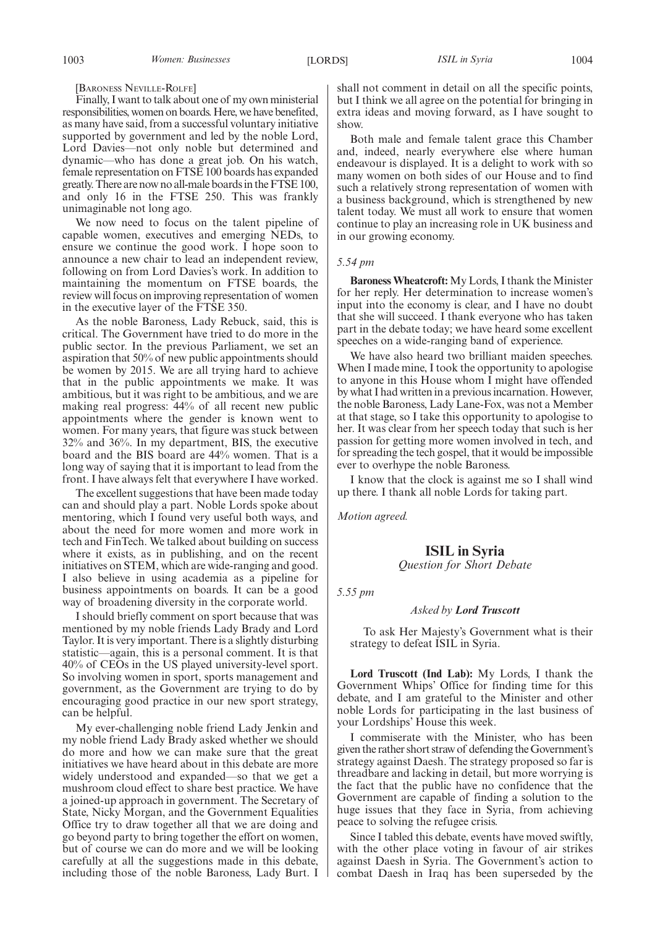[BARONESS NEVILLE-ROLFE]

Finally, I want to talk about one of my own ministerial responsibilities, women on boards.Here, we have benefited, as many have said, from a successful voluntary initiative supported by government and led by the noble Lord, Lord Davies—not only noble but determined and dynamic—who has done a great job. On his watch, female representation on FTSE 100 boards has expanded greatly. There are now no all-male boards in the FTSE 100, and only 16 in the FTSE 250. This was frankly unimaginable not long ago.

We now need to focus on the talent pipeline of capable women, executives and emerging NEDs, to ensure we continue the good work. I hope soon to announce a new chair to lead an independent review, following on from Lord Davies's work. In addition to maintaining the momentum on FTSE boards, the review will focus on improving representation of women in the executive layer of the FTSE 350.

As the noble Baroness, Lady Rebuck, said, this is critical. The Government have tried to do more in the public sector. In the previous Parliament, we set an aspiration that 50% of new public appointments should be women by 2015. We are all trying hard to achieve that in the public appointments we make. It was ambitious, but it was right to be ambitious, and we are making real progress: 44% of all recent new public appointments where the gender is known went to women. For many years, that figure was stuck between 32% and 36%. In my department, BIS, the executive board and the BIS board are 44% women. That is a long way of saying that it is important to lead from the front. I have always felt that everywhere I have worked.

The excellent suggestions that have been made today can and should play a part. Noble Lords spoke about mentoring, which I found very useful both ways, and about the need for more women and more work in tech and FinTech. We talked about building on success where it exists, as in publishing, and on the recent initiatives on STEM, which are wide-ranging and good. I also believe in using academia as a pipeline for business appointments on boards. It can be a good way of broadening diversity in the corporate world.

I should briefly comment on sport because that was mentioned by my noble friends Lady Brady and Lord Taylor. It is very important. There is a slightly disturbing statistic—again, this is a personal comment. It is that 40% of CEOs in the US played university-level sport. So involving women in sport, sports management and government, as the Government are trying to do by encouraging good practice in our new sport strategy, can be helpful.

My ever-challenging noble friend Lady Jenkin and my noble friend Lady Brady asked whether we should do more and how we can make sure that the great initiatives we have heard about in this debate are more widely understood and expanded—so that we get a mushroom cloud effect to share best practice. We have a joined-up approach in government. The Secretary of State, Nicky Morgan, and the Government Equalities Office try to draw together all that we are doing and go beyond party to bring together the effort on women, but of course we can do more and we will be looking carefully at all the suggestions made in this debate, including those of the noble Baroness, Lady Burt. I shall not comment in detail on all the specific points, but I think we all agree on the potential for bringing in extra ideas and moving forward, as I have sought to show.

Both male and female talent grace this Chamber and, indeed, nearly everywhere else where human endeavour is displayed. It is a delight to work with so many women on both sides of our House and to find such a relatively strong representation of women with a business background, which is strengthened by new talent today. We must all work to ensure that women continue to play an increasing role in UK business and in our growing economy.

#### *5.54 pm*

**Baroness Wheatcroft:** My Lords, I thank the Minister for her reply. Her determination to increase women's input into the economy is clear, and I have no doubt that she will succeed. I thank everyone who has taken part in the debate today; we have heard some excellent speeches on a wide-ranging band of experience.

We have also heard two brilliant maiden speeches. When I made mine, I took the opportunity to apologise to anyone in this House whom I might have offended by what I had written in a previous incarnation. However, the noble Baroness, Lady Lane-Fox, was not a Member at that stage, so I take this opportunity to apologise to her. It was clear from her speech today that such is her passion for getting more women involved in tech, and for spreading the tech gospel, that it would be impossible ever to overhype the noble Baroness.

I know that the clock is against me so I shall wind up there. I thank all noble Lords for taking part.

*Motion agreed.*

### **ISIL in Syria**

*Question for Short Debate*

*5.55 pm*

### *Asked by Lord Truscott*

To ask Her Majesty's Government what is their strategy to defeat ISIL in Syria.

**Lord Truscott (Ind Lab):** My Lords, I thank the Government Whips' Office for finding time for this debate, and I am grateful to the Minister and other noble Lords for participating in the last business of your Lordships' House this week.

I commiserate with the Minister, who has been given the rather short straw of defending theGovernment's strategy against Daesh. The strategy proposed so far is threadbare and lacking in detail, but more worrying is the fact that the public have no confidence that the Government are capable of finding a solution to the huge issues that they face in Syria, from achieving peace to solving the refugee crisis.

Since I tabled this debate, events have moved swiftly, with the other place voting in favour of air strikes against Daesh in Syria. The Government's action to combat Daesh in Iraq has been superseded by the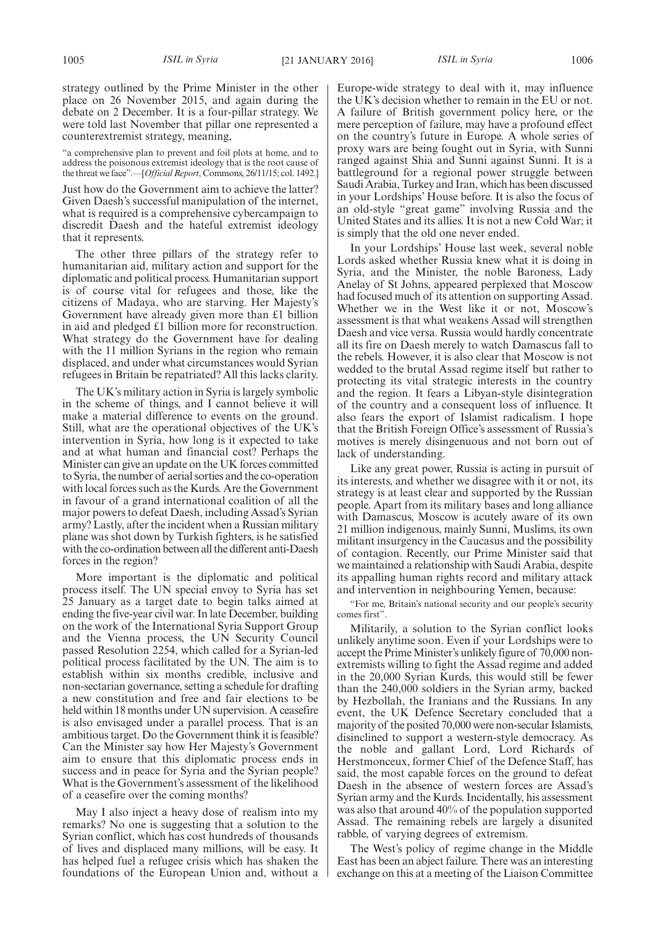strategy outlined by the Prime Minister in the other place on 26 November 2015, and again during the debate on 2 December. It is a four-pillar strategy. We were told last November that pillar one represented a counterextremist strategy, meaning,

"a comprehensive plan to prevent and foil plots at home, and to address the poisonous extremist ideology that is the root cause of the threat we face".—[*Official Report*, Commons, 26/11/15; col. 1492.]

Just how do the Government aim to achieve the latter? Given Daesh's successful manipulation of the internet, what is required is a comprehensive cybercampaign to discredit Daesh and the hateful extremist ideology that it represents.

The other three pillars of the strategy refer to humanitarian aid, military action and support for the diplomatic and political process. Humanitarian support is of course vital for refugees and those, like the citizens of Madaya, who are starving. Her Majesty's Government have already given more than £1 billion in aid and pledged £1 billion more for reconstruction. What strategy do the Government have for dealing with the 11 million Syrians in the region who remain displaced, and under what circumstances would Syrian refugees in Britain be repatriated? All this lacks clarity.

The UK's military action in Syria is largely symbolic in the scheme of things, and I cannot believe it will make a material difference to events on the ground. Still, what are the operational objectives of the UK's intervention in Syria, how long is it expected to take and at what human and financial cost? Perhaps the Minister can give an update on the UK forces committed to Syria, the number of aerial sorties and the co-operation with local forces such as the Kurds. Are the Government in favour of a grand international coalition of all the major powers to defeat Daesh, including Assad's Syrian army? Lastly, after the incident when a Russian military plane was shot down by Turkish fighters, is he satisfied with the co-ordination between all the different anti-Daesh forces in the region?

More important is the diplomatic and political process itself. The UN special envoy to Syria has set 25 January as a target date to begin talks aimed at ending the five-year civil war. In late December, building on the work of the International Syria Support Group and the Vienna process, the UN Security Council passed Resolution 2254, which called for a Syrian-led political process facilitated by the UN. The aim is to establish within six months credible, inclusive and non-sectarian governance, setting a schedule for drafting a new constitution and free and fair elections to be held within 18 months under UN supervision. A ceasefire is also envisaged under a parallel process. That is an ambitious target. Do the Government think it is feasible? Can the Minister say how Her Majesty's Government aim to ensure that this diplomatic process ends in success and in peace for Syria and the Syrian people? What is the Government's assessment of the likelihood of a ceasefire over the coming months?

May I also inject a heavy dose of realism into my remarks? No one is suggesting that a solution to the Syrian conflict, which has cost hundreds of thousands of lives and displaced many millions, will be easy. It has helped fuel a refugee crisis which has shaken the foundations of the European Union and, without a Europe-wide strategy to deal with it, may influence the UK's decision whether to remain in the EU or not. A failure of British government policy here, or the mere perception of failure, may have a profound effect on the country's future in Europe. A whole series of proxy wars are being fought out in Syria, with Sunni ranged against Shia and Sunni against Sunni. It is a battleground for a regional power struggle between Saudi Arabia, Turkey and Iran, which has been discussed in your Lordships' House before. It is also the focus of an old-style "great game" involving Russia and the United States and its allies. It is not a new Cold War; it is simply that the old one never ended.

In your Lordships' House last week, several noble Lords asked whether Russia knew what it is doing in Syria, and the Minister, the noble Baroness, Lady Anelay of St Johns, appeared perplexed that Moscow had focused much of its attention on supporting Assad. Whether we in the West like it or not, Moscow's assessment is that what weakens Assad will strengthen Daesh and vice versa. Russia would hardly concentrate all its fire on Daesh merely to watch Damascus fall to the rebels. However, it is also clear that Moscow is not wedded to the brutal Assad regime itself but rather to protecting its vital strategic interests in the country and the region. It fears a Libyan-style disintegration of the country and a consequent loss of influence. It also fears the export of Islamist radicalism. I hope that the British Foreign Office's assessment of Russia's motives is merely disingenuous and not born out of lack of understanding.

Like any great power, Russia is acting in pursuit of its interests, and whether we disagree with it or not, its strategy is at least clear and supported by the Russian people. Apart from its military bases and long alliance with Damascus, Moscow is acutely aware of its own 21 million indigenous, mainly Sunni, Muslims, its own militant insurgency in the Caucasus and the possibility of contagion. Recently, our Prime Minister said that we maintained a relationship with Saudi Arabia, despite its appalling human rights record and military attack and intervention in neighbouring Yemen, because:

"For me, Britain's national security and our people's security comes first".

Militarily, a solution to the Syrian conflict looks unlikely anytime soon. Even if your Lordships were to accept the Prime Minister's unlikely figure of 70,000 nonextremists willing to fight the Assad regime and added in the 20,000 Syrian Kurds, this would still be fewer than the 240,000 soldiers in the Syrian army, backed by Hezbollah, the Iranians and the Russians. In any event, the UK Defence Secretary concluded that a majority of the posited 70,000 were non-secular Islamists, disinclined to support a western-style democracy. As the noble and gallant Lord, Lord Richards of Herstmonceux, former Chief of the Defence Staff, has said, the most capable forces on the ground to defeat Daesh in the absence of western forces are Assad's Syrian army and the Kurds. Incidentally, his assessment was also that around 40% of the population supported Assad. The remaining rebels are largely a disunited rabble, of varying degrees of extremism.

The West's policy of regime change in the Middle East has been an abject failure. There was an interesting exchange on this at a meeting of the Liaison Committee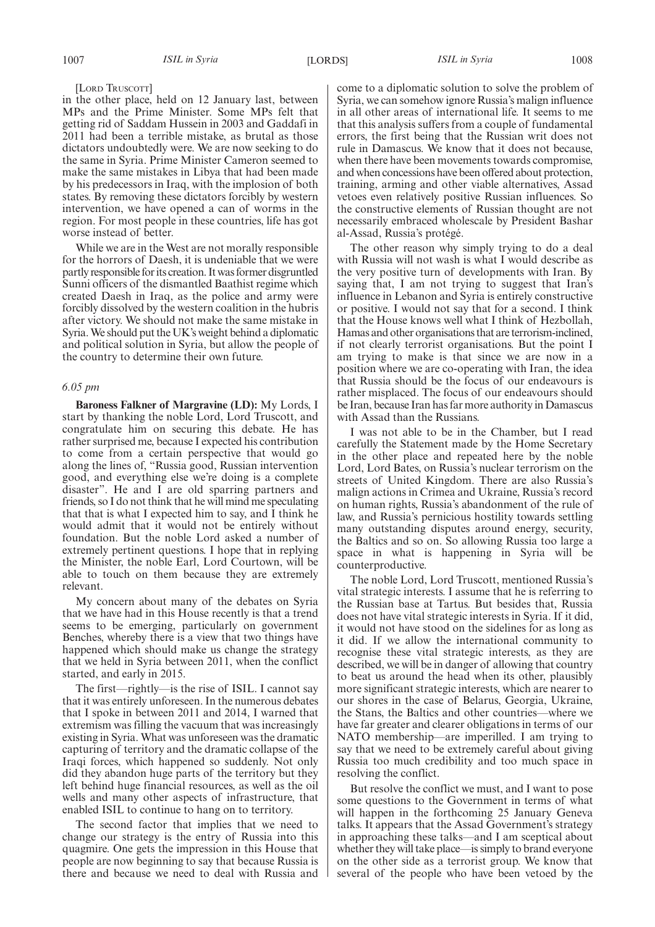[LORD TRUSCOTT]

in the other place, held on 12 January last, between MPs and the Prime Minister. Some MPs felt that getting rid of Saddam Hussein in 2003 and Gaddafi in 2011 had been a terrible mistake, as brutal as those dictators undoubtedly were. We are now seeking to do the same in Syria. Prime Minister Cameron seemed to make the same mistakes in Libya that had been made by his predecessors in Iraq, with the implosion of both states. By removing these dictators forcibly by western intervention, we have opened a can of worms in the region. For most people in these countries, life has got worse instead of better.

While we are in the West are not morally responsible for the horrors of Daesh, it is undeniable that we were partly responsible for its creation. It was former disgruntled Sunni officers of the dismantled Baathist regime which created Daesh in Iraq, as the police and army were forcibly dissolved by the western coalition in the hubris after victory. We should not make the same mistake in Syria.We should put the UK's weight behind a diplomatic and political solution in Syria, but allow the people of the country to determine their own future.

### *6.05 pm*

**Baroness Falkner of Margravine (LD):** My Lords, I start by thanking the noble Lord, Lord Truscott, and congratulate him on securing this debate. He has rather surprised me, because I expected his contribution to come from a certain perspective that would go along the lines of, "Russia good, Russian intervention good, and everything else we're doing is a complete disaster". He and I are old sparring partners and friends, so I do not think that he will mind me speculating that that is what I expected him to say, and I think he would admit that it would not be entirely without foundation. But the noble Lord asked a number of extremely pertinent questions. I hope that in replying the Minister, the noble Earl, Lord Courtown, will be able to touch on them because they are extremely relevant.

My concern about many of the debates on Syria that we have had in this House recently is that a trend seems to be emerging, particularly on government Benches, whereby there is a view that two things have happened which should make us change the strategy that we held in Syria between 2011, when the conflict started, and early in 2015.

The first—rightly—is the rise of ISIL. I cannot say that it was entirely unforeseen. In the numerous debates that I spoke in between 2011 and 2014, I warned that extremism was filling the vacuum that was increasingly existing in Syria. What was unforeseen was the dramatic capturing of territory and the dramatic collapse of the Iraqi forces, which happened so suddenly. Not only did they abandon huge parts of the territory but they left behind huge financial resources, as well as the oil wells and many other aspects of infrastructure, that enabled ISIL to continue to hang on to territory.

The second factor that implies that we need to change our strategy is the entry of Russia into this quagmire. One gets the impression in this House that people are now beginning to say that because Russia is there and because we need to deal with Russia and come to a diplomatic solution to solve the problem of Syria, we can somehow ignore Russia's malign influence in all other areas of international life. It seems to me that this analysis suffers from a couple of fundamental errors, the first being that the Russian writ does not rule in Damascus. We know that it does not because, when there have been movements towards compromise, and when concessions have been offered about protection, training, arming and other viable alternatives, Assad vetoes even relatively positive Russian influences. So the constructive elements of Russian thought are not necessarily embraced wholescale by President Bashar al-Assad, Russia's protégé.

The other reason why simply trying to do a deal with Russia will not wash is what I would describe as the very positive turn of developments with Iran. By saying that, I am not trying to suggest that Iran's influence in Lebanon and Syria is entirely constructive or positive. I would not say that for a second. I think that the House knows well what I think of Hezbollah, Hamas and other organisations that are terrorism-inclined, if not clearly terrorist organisations. But the point I am trying to make is that since we are now in a position where we are co-operating with Iran, the idea that Russia should be the focus of our endeavours is rather misplaced. The focus of our endeavours should be Iran, because Iran has far more authority in Damascus with Assad than the Russians.

I was not able to be in the Chamber, but I read carefully the Statement made by the Home Secretary in the other place and repeated here by the noble Lord, Lord Bates, on Russia's nuclear terrorism on the streets of United Kingdom. There are also Russia's malign actions in Crimea and Ukraine, Russia's record on human rights, Russia's abandonment of the rule of law, and Russia's pernicious hostility towards settling many outstanding disputes around energy, security, the Baltics and so on. So allowing Russia too large a space in what is happening in Syria will be counterproductive.

The noble Lord, Lord Truscott, mentioned Russia's vital strategic interests. I assume that he is referring to the Russian base at Tartus. But besides that, Russia does not have vital strategic interests in Syria. If it did, it would not have stood on the sidelines for as long as it did. If we allow the international community to recognise these vital strategic interests, as they are described, we will be in danger of allowing that country to beat us around the head when its other, plausibly more significant strategic interests, which are nearer to our shores in the case of Belarus, Georgia, Ukraine, the Stans, the Baltics and other countries—where we have far greater and clearer obligations in terms of our NATO membership—are imperilled. I am trying to say that we need to be extremely careful about giving Russia too much credibility and too much space in resolving the conflict.

But resolve the conflict we must, and I want to pose some questions to the Government in terms of what will happen in the forthcoming 25 January Geneva talks. It appears that the Assad Government's strategy in approaching these talks—and I am sceptical about whether they will take place—is simply to brand everyone on the other side as a terrorist group. We know that several of the people who have been vetoed by the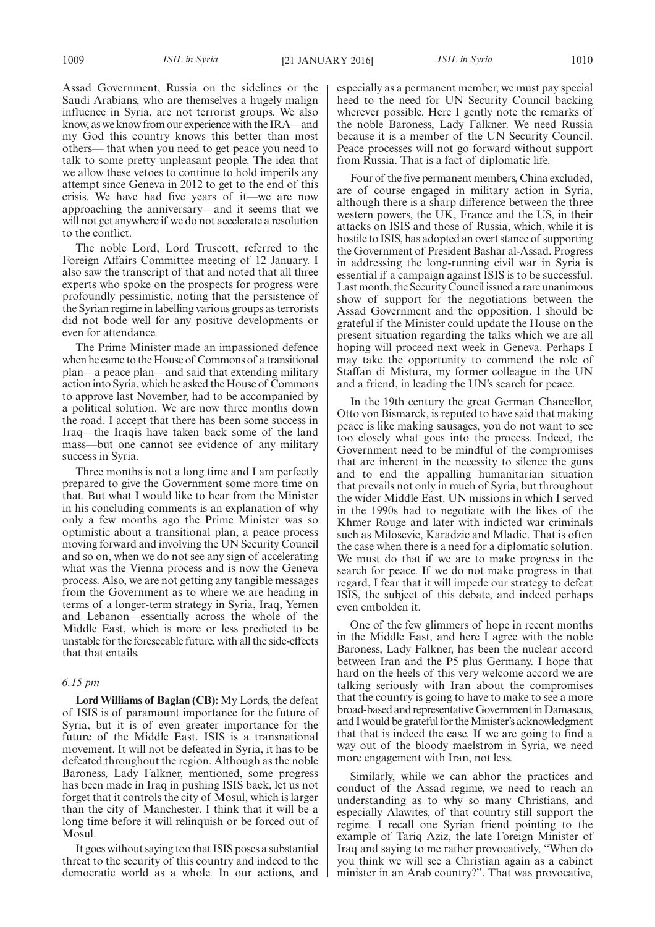Assad Government, Russia on the sidelines or the Saudi Arabians, who are themselves a hugely malign influence in Syria, are not terrorist groups. We also know, as we know from our experience with the IRA—and my God this country knows this better than most others— that when you need to get peace you need to talk to some pretty unpleasant people. The idea that we allow these vetoes to continue to hold imperils any attempt since Geneva in 2012 to get to the end of this crisis. We have had five years of it—we are now approaching the anniversary—and it seems that we will not get anywhere if we do not accelerate a resolution to the conflict.

The noble Lord, Lord Truscott, referred to the Foreign Affairs Committee meeting of 12 January. I also saw the transcript of that and noted that all three experts who spoke on the prospects for progress were profoundly pessimistic, noting that the persistence of the Syrian regime in labelling various groups as terrorists did not bode well for any positive developments or even for attendance.

The Prime Minister made an impassioned defence when he came to the House of Commons of a transitional plan—a peace plan—and said that extending military action into Syria, which he asked the House of Commons to approve last November, had to be accompanied by a political solution. We are now three months down the road. I accept that there has been some success in Iraq—the Iraqis have taken back some of the land mass—but one cannot see evidence of any military success in Syria.

Three months is not a long time and I am perfectly prepared to give the Government some more time on that. But what I would like to hear from the Minister in his concluding comments is an explanation of why only a few months ago the Prime Minister was so optimistic about a transitional plan, a peace process moving forward and involving the UN Security Council and so on, when we do not see any sign of accelerating what was the Vienna process and is now the Geneva process. Also, we are not getting any tangible messages from the Government as to where we are heading in terms of a longer-term strategy in Syria, Iraq, Yemen and Lebanon—essentially across the whole of the Middle East, which is more or less predicted to be unstable for the foreseeable future, with all the side-effects that that entails.

### *6.15 pm*

**Lord Williams of Baglan (CB):** My Lords, the defeat of ISIS is of paramount importance for the future of Syria, but it is of even greater importance for the future of the Middle East. ISIS is a transnational movement. It will not be defeated in Syria, it has to be defeated throughout the region. Although as the noble Baroness, Lady Falkner, mentioned, some progress has been made in Iraq in pushing ISIS back, let us not forget that it controls the city of Mosul, which is larger than the city of Manchester. I think that it will be a long time before it will relinquish or be forced out of Mosul.

It goes without saying too that ISIS poses a substantial threat to the security of this country and indeed to the democratic world as a whole. In our actions, and especially as a permanent member, we must pay special heed to the need for UN Security Council backing wherever possible. Here I gently note the remarks of the noble Baroness, Lady Falkner. We need Russia because it is a member of the UN Security Council. Peace processes will not go forward without support from Russia. That is a fact of diplomatic life.

Four of the five permanent members, China excluded, are of course engaged in military action in Syria, although there is a sharp difference between the three western powers, the UK, France and the US, in their attacks on ISIS and those of Russia, which, while it is hostile to ISIS, has adopted an overt stance of supporting the Government of President Bashar al-Assad. Progress in addressing the long-running civil war in Syria is essential if a campaign against ISIS is to be successful. Last month, the Security Council issued a rare unanimous show of support for the negotiations between the Assad Government and the opposition. I should be grateful if the Minister could update the House on the present situation regarding the talks which we are all hoping will proceed next week in Geneva. Perhaps I may take the opportunity to commend the role of Staffan di Mistura, my former colleague in the UN and a friend, in leading the UN's search for peace.

In the 19th century the great German Chancellor, Otto von Bismarck, is reputed to have said that making peace is like making sausages, you do not want to see too closely what goes into the process. Indeed, the Government need to be mindful of the compromises that are inherent in the necessity to silence the guns and to end the appalling humanitarian situation that prevails not only in much of Syria, but throughout the wider Middle East. UN missions in which I served in the 1990s had to negotiate with the likes of the Khmer Rouge and later with indicted war criminals such as Milosevic, Karadzic and Mladic. That is often the case when there is a need for a diplomatic solution. We must do that if we are to make progress in the search for peace. If we do not make progress in that regard, I fear that it will impede our strategy to defeat ISIS, the subject of this debate, and indeed perhaps even embolden it.

One of the few glimmers of hope in recent months in the Middle East, and here I agree with the noble Baroness, Lady Falkner, has been the nuclear accord between Iran and the P5 plus Germany. I hope that hard on the heels of this very welcome accord we are talking seriously with Iran about the compromises that the country is going to have to make to see a more broad-based and representative Government in Damascus, and I would be grateful for the Minister's acknowledgment that that is indeed the case. If we are going to find a way out of the bloody maelstrom in Syria, we need more engagement with Iran, not less.

Similarly, while we can abhor the practices and conduct of the Assad regime, we need to reach an understanding as to why so many Christians, and especially Alawites, of that country still support the regime. I recall one Syrian friend pointing to the example of Tariq Aziz, the late Foreign Minister of Iraq and saying to me rather provocatively, "When do you think we will see a Christian again as a cabinet minister in an Arab country?". That was provocative,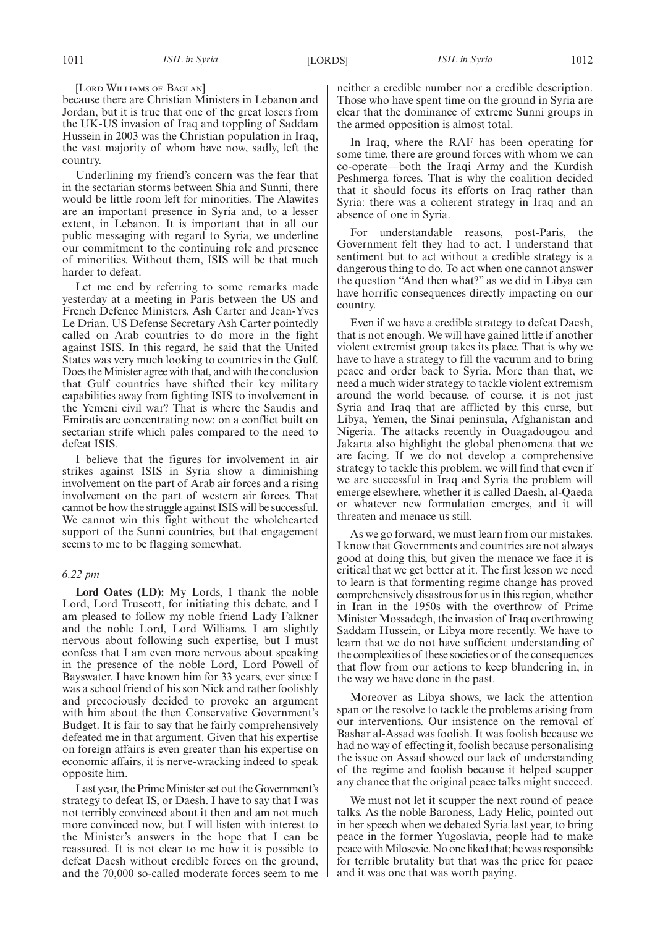[LORD WILLIAMS OF BAGLAN]

because there are Christian Ministers in Lebanon and Jordan, but it is true that one of the great losers from the UK-US invasion of Iraq and toppling of Saddam Hussein in 2003 was the Christian population in Iraq, the vast majority of whom have now, sadly, left the country.

Underlining my friend's concern was the fear that in the sectarian storms between Shia and Sunni, there would be little room left for minorities. The Alawites are an important presence in Syria and, to a lesser extent, in Lebanon. It is important that in all our public messaging with regard to Syria, we underline our commitment to the continuing role and presence of minorities. Without them, ISIS will be that much harder to defeat.

Let me end by referring to some remarks made yesterday at a meeting in Paris between the US and French Defence Ministers, Ash Carter and Jean-Yves Le Drian. US Defense Secretary Ash Carter pointedly called on Arab countries to do more in the fight against ISIS. In this regard, he said that the United States was very much looking to countries in the Gulf. Does the Minister agree with that, and with the conclusion that Gulf countries have shifted their key military capabilities away from fighting ISIS to involvement in the Yemeni civil war? That is where the Saudis and Emiratis are concentrating now: on a conflict built on sectarian strife which pales compared to the need to defeat ISIS.

I believe that the figures for involvement in air strikes against ISIS in Syria show a diminishing involvement on the part of Arab air forces and a rising involvement on the part of western air forces. That cannot be how the struggle against ISIS will be successful. We cannot win this fight without the wholehearted support of the Sunni countries, but that engagement seems to me to be flagging somewhat.

### *6.22 pm*

**Lord Oates (LD):** My Lords, I thank the noble Lord, Lord Truscott, for initiating this debate, and I am pleased to follow my noble friend Lady Falkner and the noble Lord, Lord Williams. I am slightly nervous about following such expertise, but I must confess that I am even more nervous about speaking in the presence of the noble Lord, Lord Powell of Bayswater. I have known him for 33 years, ever since I was a school friend of his son Nick and rather foolishly and precociously decided to provoke an argument with him about the then Conservative Government's Budget. It is fair to say that he fairly comprehensively defeated me in that argument. Given that his expertise on foreign affairs is even greater than his expertise on economic affairs, it is nerve-wracking indeed to speak opposite him.

Last year, the Prime Minister set out the Government's strategy to defeat IS, or Daesh. I have to say that I was not terribly convinced about it then and am not much more convinced now, but I will listen with interest to the Minister's answers in the hope that I can be reassured. It is not clear to me how it is possible to defeat Daesh without credible forces on the ground, and the 70,000 so-called moderate forces seem to me

neither a credible number nor a credible description. Those who have spent time on the ground in Syria are clear that the dominance of extreme Sunni groups in the armed opposition is almost total.

In Iraq, where the RAF has been operating for some time, there are ground forces with whom we can co-operate—both the Iraqi Army and the Kurdish Peshmerga forces. That is why the coalition decided that it should focus its efforts on Iraq rather than Syria: there was a coherent strategy in Iraq and an absence of one in Syria.

For understandable reasons, post-Paris, the Government felt they had to act. I understand that sentiment but to act without a credible strategy is a dangerous thing to do. To act when one cannot answer the question "And then what?" as we did in Libya can have horrific consequences directly impacting on our country.

Even if we have a credible strategy to defeat Daesh, that is not enough. We will have gained little if another violent extremist group takes its place. That is why we have to have a strategy to fill the vacuum and to bring peace and order back to Syria. More than that, we need a much wider strategy to tackle violent extremism around the world because, of course, it is not just Syria and Iraq that are afflicted by this curse, but Libya, Yemen, the Sinai peninsula, Afghanistan and Nigeria. The attacks recently in Ouagadougou and Jakarta also highlight the global phenomena that we are facing. If we do not develop a comprehensive strategy to tackle this problem, we will find that even if we are successful in Iraq and Syria the problem will emerge elsewhere, whether it is called Daesh, al-Qaeda or whatever new formulation emerges, and it will threaten and menace us still.

As we go forward, we must learn from our mistakes. I know that Governments and countries are not always good at doing this, but given the menace we face it is critical that we get better at it. The first lesson we need to learn is that formenting regime change has proved comprehensively disastrous for us in this region, whether in Iran in the 1950s with the overthrow of Prime Minister Mossadegh, the invasion of Iraq overthrowing Saddam Hussein, or Libya more recently. We have to learn that we do not have sufficient understanding of the complexities of these societies or of the consequences that flow from our actions to keep blundering in, in the way we have done in the past.

Moreover as Libya shows, we lack the attention span or the resolve to tackle the problems arising from our interventions. Our insistence on the removal of Bashar al-Assad was foolish. It was foolish because we had no way of effecting it, foolish because personalising the issue on Assad showed our lack of understanding of the regime and foolish because it helped scupper any chance that the original peace talks might succeed.

We must not let it scupper the next round of peace talks. As the noble Baroness, Lady Helic, pointed out in her speech when we debated Syria last year, to bring peace in the former Yugoslavia, people had to make peace with Milosevic. No one liked that; he was responsible for terrible brutality but that was the price for peace and it was one that was worth paying.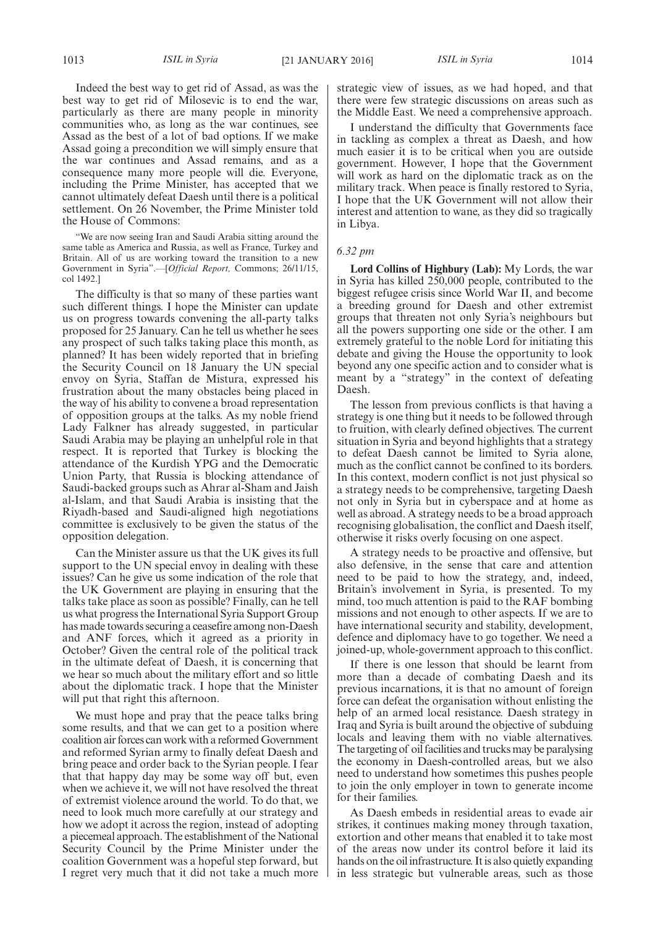Indeed the best way to get rid of Assad, as was the best way to get rid of Milosevic is to end the war, particularly as there are many people in minority communities who, as long as the war continues, see Assad as the best of a lot of bad options. If we make Assad going a precondition we will simply ensure that the war continues and Assad remains, and as a consequence many more people will die. Everyone, including the Prime Minister, has accepted that we cannot ultimately defeat Daesh until there is a political

settlement. On 26 November, the Prime Minister told the House of Commons: "We are now seeing Iran and Saudi Arabia sitting around the same table as America and Russia, as well as France, Turkey and Britain. All of us are working toward the transition to a new Government in Syria".—[*Official Report,* Commons; 26/11/15, col 1492.]

The difficulty is that so many of these parties want such different things. I hope the Minister can update us on progress towards convening the all-party talks proposed for 25 January. Can he tell us whether he sees any prospect of such talks taking place this month, as planned? It has been widely reported that in briefing the Security Council on 18 January the UN special envoy on Syria, Staffan de Mistura, expressed his frustration about the many obstacles being placed in the way of his ability to convene a broad representation of opposition groups at the talks. As my noble friend Lady Falkner has already suggested, in particular Saudi Arabia may be playing an unhelpful role in that respect. It is reported that Turkey is blocking the attendance of the Kurdish YPG and the Democratic Union Party, that Russia is blocking attendance of Saudi-backed groups such as Ahrar al-Sham and Jaish al-Islam, and that Saudi Arabia is insisting that the Riyadh-based and Saudi-aligned high negotiations committee is exclusively to be given the status of the opposition delegation.

Can the Minister assure us that the UK gives its full support to the UN special envoy in dealing with these issues? Can he give us some indication of the role that the UK Government are playing in ensuring that the talks take place as soon as possible? Finally, can he tell us what progress the International Syria Support Group has made towards securing a ceasefire among non-Daesh and ANF forces, which it agreed as a priority in October? Given the central role of the political track in the ultimate defeat of Daesh, it is concerning that we hear so much about the military effort and so little about the diplomatic track. I hope that the Minister will put that right this afternoon.

We must hope and pray that the peace talks bring some results, and that we can get to a position where coalition air forces can work with a reformed Government and reformed Syrian army to finally defeat Daesh and bring peace and order back to the Syrian people. I fear that that happy day may be some way off but, even when we achieve it, we will not have resolved the threat of extremist violence around the world. To do that, we need to look much more carefully at our strategy and how we adopt it across the region, instead of adopting a piecemeal approach. The establishment of the National Security Council by the Prime Minister under the coalition Government was a hopeful step forward, but I regret very much that it did not take a much more strategic view of issues, as we had hoped, and that there were few strategic discussions on areas such as the Middle East. We need a comprehensive approach.

I understand the difficulty that Governments face in tackling as complex a threat as Daesh, and how much easier it is to be critical when you are outside government. However, I hope that the Government will work as hard on the diplomatic track as on the military track. When peace is finally restored to Syria, I hope that the UK Government will not allow their interest and attention to wane, as they did so tragically in Libya.

### *6.32 pm*

**Lord Collins of Highbury (Lab):** My Lords, the war in Syria has killed 250,000 people, contributed to the biggest refugee crisis since World War II, and become a breeding ground for Daesh and other extremist groups that threaten not only Syria's neighbours but all the powers supporting one side or the other. I am extremely grateful to the noble Lord for initiating this debate and giving the House the opportunity to look beyond any one specific action and to consider what is meant by a "strategy" in the context of defeating Daesh.

The lesson from previous conflicts is that having a strategy is one thing but it needs to be followed through to fruition, with clearly defined objectives. The current situation in Syria and beyond highlights that a strategy to defeat Daesh cannot be limited to Syria alone, much as the conflict cannot be confined to its borders. In this context, modern conflict is not just physical so a strategy needs to be comprehensive, targeting Daesh not only in Syria but in cyberspace and at home as well as abroad. A strategy needs to be a broad approach recognising globalisation, the conflict and Daesh itself, otherwise it risks overly focusing on one aspect.

A strategy needs to be proactive and offensive, but also defensive, in the sense that care and attention need to be paid to how the strategy, and, indeed, Britain's involvement in Syria, is presented. To my mind, too much attention is paid to the RAF bombing missions and not enough to other aspects. If we are to have international security and stability, development, defence and diplomacy have to go together. We need a joined-up, whole-government approach to this conflict.

If there is one lesson that should be learnt from more than a decade of combating Daesh and its previous incarnations, it is that no amount of foreign force can defeat the organisation without enlisting the help of an armed local resistance. Daesh strategy in Iraq and Syria is built around the objective of subduing locals and leaving them with no viable alternatives. The targeting of oil facilities and trucks may be paralysing the economy in Daesh-controlled areas, but we also need to understand how sometimes this pushes people to join the only employer in town to generate income for their families.

As Daesh embeds in residential areas to evade air strikes, it continues making money through taxation, extortion and other means that enabled it to take most of the areas now under its control before it laid its hands on the oil infrastructure. It is also quietly expanding in less strategic but vulnerable areas, such as those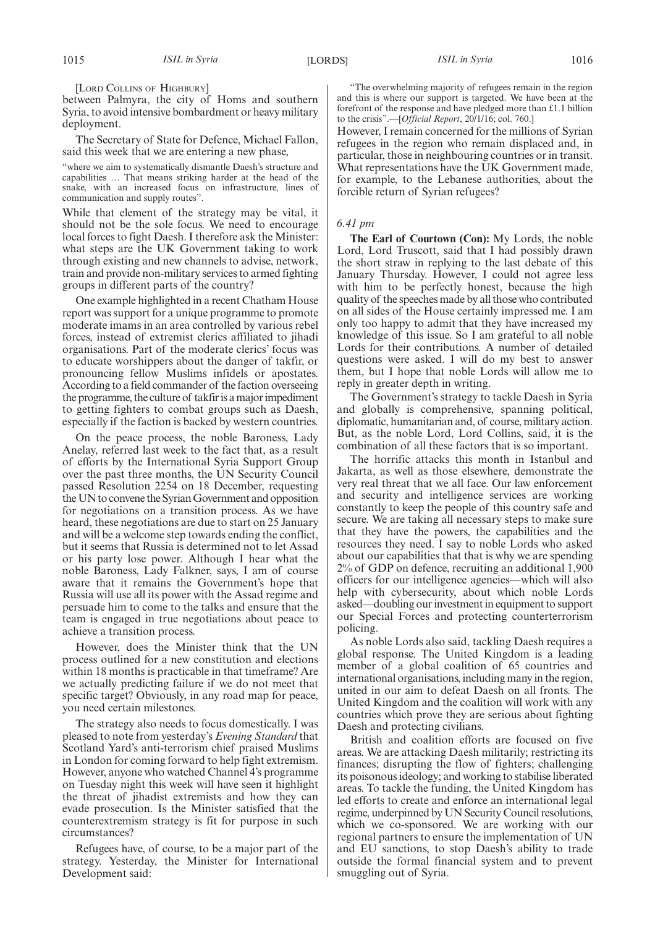[LORD COLLINS OF HIGHBURY]

between Palmyra, the city of Homs and southern Syria, to avoid intensive bombardment or heavy military deployment.

The Secretary of State for Defence, Michael Fallon, said this week that we are entering a new phase,

"where we aim to systematically dismantle Daesh's structure and capabilities … That means striking harder at the head of the snake, with an increased focus on infrastructure, lines of communication and supply routes".

While that element of the strategy may be vital, it should not be the sole focus. We need to encourage local forces to fight Daesh. I therefore ask the Minister: what steps are the UK Government taking to work through existing and new channels to advise, network, train and provide non-military services to armed fighting groups in different parts of the country?

One example highlighted in a recent Chatham House report was support for a unique programme to promote moderate imams in an area controlled by various rebel forces, instead of extremist clerics affiliated to jihadi organisations. Part of the moderate clerics' focus was to educate worshippers about the danger of takfir, or pronouncing fellow Muslims infidels or apostates. According to a field commander of the faction overseeing the programme, the culture of takfir is a major impediment to getting fighters to combat groups such as Daesh, especially if the faction is backed by western countries.

On the peace process, the noble Baroness, Lady Anelay, referred last week to the fact that, as a result of efforts by the International Syria Support Group over the past three months, the UN Security Council passed Resolution 2254 on 18 December, requesting the UN to convene the Syrian Government and opposition for negotiations on a transition process. As we have heard, these negotiations are due to start on 25 January and will be a welcome step towards ending the conflict, but it seems that Russia is determined not to let Assad or his party lose power. Although I hear what the noble Baroness, Lady Falkner, says, I am of course aware that it remains the Government's hope that Russia will use all its power with the Assad regime and persuade him to come to the talks and ensure that the team is engaged in true negotiations about peace to achieve a transition process.

However, does the Minister think that the UN process outlined for a new constitution and elections within 18 months is practicable in that timeframe? Are we actually predicting failure if we do not meet that specific target? Obviously, in any road map for peace, you need certain milestones.

The strategy also needs to focus domestically. I was pleased to note from yesterday's *Evening Standard* that Scotland Yard's anti-terrorism chief praised Muslims in London for coming forward to help fight extremism. However, anyone who watched Channel 4's programme on Tuesday night this week will have seen it highlight the threat of jihadist extremists and how they can evade prosecution. Is the Minister satisfied that the counterextremism strategy is fit for purpose in such circumstances?

Refugees have, of course, to be a major part of the strategy. Yesterday, the Minister for International Development said:

"The overwhelming majority of refugees remain in the region and this is where our support is targeted. We have been at the forefront of the response and have pledged more than £1.1 billion to the crisis".—[*Official Report*, 20/1/16; col. 760.]

However, I remain concerned for the millions of Syrian refugees in the region who remain displaced and, in particular, those in neighbouring countries or in transit. What representations have the UK Government made, for example, to the Lebanese authorities, about the forcible return of Syrian refugees?

### *6.41 pm*

**The Earl of Courtown (Con):** My Lords, the noble Lord, Lord Truscott, said that I had possibly drawn the short straw in replying to the last debate of this January Thursday. However, I could not agree less with him to be perfectly honest, because the high quality of the speeches made by all those who contributed on all sides of the House certainly impressed me. I am only too happy to admit that they have increased my knowledge of this issue. So I am grateful to all noble Lords for their contributions. A number of detailed questions were asked. I will do my best to answer them, but I hope that noble Lords will allow me to reply in greater depth in writing.

The Government's strategy to tackle Daesh in Syria and globally is comprehensive, spanning political, diplomatic, humanitarian and, of course, military action. But, as the noble Lord, Lord Collins, said, it is the combination of all these factors that is so important.

The horrific attacks this month in Istanbul and Jakarta, as well as those elsewhere, demonstrate the very real threat that we all face. Our law enforcement and security and intelligence services are working constantly to keep the people of this country safe and secure. We are taking all necessary steps to make sure that they have the powers, the capabilities and the resources they need. I say to noble Lords who asked about our capabilities that that is why we are spending 2% of GDP on defence, recruiting an additional 1,900 officers for our intelligence agencies—which will also help with cybersecurity, about which noble Lords asked—doubling our investment in equipment to support our Special Forces and protecting counterterrorism policing.

As noble Lords also said, tackling Daesh requires a global response. The United Kingdom is a leading member of a global coalition of 65 countries and international organisations, including many in the region, united in our aim to defeat Daesh on all fronts. The United Kingdom and the coalition will work with any countries which prove they are serious about fighting Daesh and protecting civilians.

British and coalition efforts are focused on five areas. We are attacking Daesh militarily; restricting its finances; disrupting the flow of fighters; challenging its poisonous ideology; and working to stabilise liberated areas. To tackle the funding, the United Kingdom has led efforts to create and enforce an international legal regime, underpinned by UN Security Council resolutions, which we co-sponsored. We are working with our regional partners to ensure the implementation of UN and EU sanctions, to stop Daesh's ability to trade outside the formal financial system and to prevent smuggling out of Syria.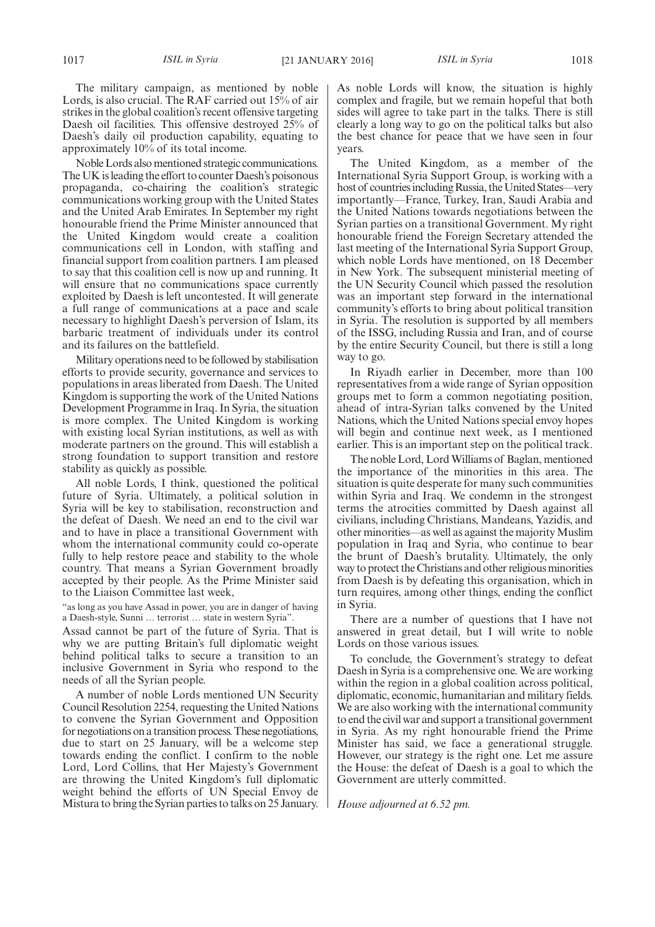The military campaign, as mentioned by noble Lords, is also crucial. The RAF carried out 15% of air strikes in the global coalition's recent offensive targeting Daesh oil facilities. This offensive destroyed 25% of Daesh's daily oil production capability, equating to approximately 10% of its total income.

Noble Lords also mentioned strategic communications. The UK is leading the effort to counter Daesh's poisonous propaganda, co-chairing the coalition's strategic communications working group with the United States and the United Arab Emirates. In September my right honourable friend the Prime Minister announced that the United Kingdom would create a coalition communications cell in London, with staffing and financial support from coalition partners. I am pleased to say that this coalition cell is now up and running. It will ensure that no communications space currently exploited by Daesh is left uncontested. It will generate a full range of communications at a pace and scale necessary to highlight Daesh's perversion of Islam, its barbaric treatment of individuals under its control and its failures on the battlefield.

Military operations need to be followed by stabilisation efforts to provide security, governance and services to populations in areas liberated from Daesh. The United Kingdom is supporting the work of the United Nations Development Programme in Iraq. In Syria, the situation is more complex. The United Kingdom is working with existing local Syrian institutions, as well as with moderate partners on the ground. This will establish a strong foundation to support transition and restore stability as quickly as possible.

All noble Lords, I think, questioned the political future of Syria. Ultimately, a political solution in Syria will be key to stabilisation, reconstruction and the defeat of Daesh. We need an end to the civil war and to have in place a transitional Government with whom the international community could co-operate fully to help restore peace and stability to the whole country. That means a Syrian Government broadly accepted by their people. As the Prime Minister said to the Liaison Committee last week,

"as long as you have Assad in power, you are in danger of having a Daesh-style, Sunni … terrorist … state in western Syria".

Assad cannot be part of the future of Syria. That is why we are putting Britain's full diplomatic weight behind political talks to secure a transition to an inclusive Government in Syria who respond to the needs of all the Syrian people.

A number of noble Lords mentioned UN Security Council Resolution 2254, requesting the United Nations to convene the Syrian Government and Opposition for negotiations on a transition process.These negotiations, due to start on 25 January, will be a welcome step towards ending the conflict. I confirm to the noble Lord, Lord Collins, that Her Majesty's Government are throwing the United Kingdom's full diplomatic weight behind the efforts of UN Special Envoy de Mistura to bring the Syrian parties to talks on 25 January. As noble Lords will know, the situation is highly complex and fragile, but we remain hopeful that both sides will agree to take part in the talks. There is still clearly a long way to go on the political talks but also the best chance for peace that we have seen in four years.

The United Kingdom, as a member of the International Syria Support Group, is working with a host of countries including Russia, the United States—very importantly—France, Turkey, Iran, Saudi Arabia and the United Nations towards negotiations between the Syrian parties on a transitional Government. My right honourable friend the Foreign Secretary attended the last meeting of the International Syria Support Group, which noble Lords have mentioned, on 18 December in New York. The subsequent ministerial meeting of the UN Security Council which passed the resolution was an important step forward in the international community's efforts to bring about political transition in Syria. The resolution is supported by all members of the ISSG, including Russia and Iran, and of course by the entire Security Council, but there is still a long way to go.

In Riyadh earlier in December, more than 100 representatives from a wide range of Syrian opposition groups met to form a common negotiating position, ahead of intra-Syrian talks convened by the United Nations, which the United Nations special envoy hopes will begin and continue next week, as I mentioned earlier. This is an important step on the political track.

The noble Lord, LordWilliams of Baglan, mentioned the importance of the minorities in this area. The situation is quite desperate for many such communities within Syria and Iraq. We condemn in the strongest terms the atrocities committed by Daesh against all civilians, including Christians, Mandeans, Yazidis, and other minorities—as well as against the majority Muslim population in Iraq and Syria, who continue to bear the brunt of Daesh's brutality. Ultimately, the only way to protect the Christians and other religious minorities from Daesh is by defeating this organisation, which in turn requires, among other things, ending the conflict in Syria.

There are a number of questions that I have not answered in great detail, but I will write to noble Lords on those various issues.

To conclude, the Government's strategy to defeat Daesh in Syria is a comprehensive one. We are working within the region in a global coalition across political, diplomatic, economic, humanitarian and military fields. We are also working with the international community to end the civil war and support a transitional government in Syria. As my right honourable friend the Prime Minister has said, we face a generational struggle. However, our strategy is the right one. Let me assure the House: the defeat of Daesh is a goal to which the Government are utterly committed.

*House adjourned at 6.52 pm.*